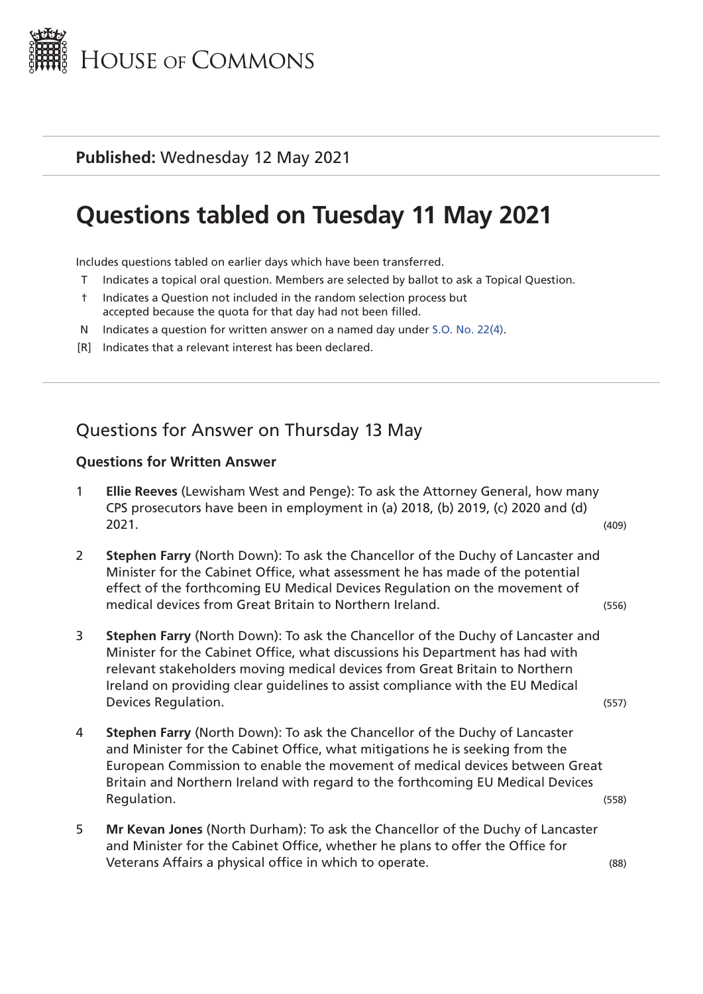

### **Published:** Wednesday 12 May 2021

# **Questions tabled on Tuesday 11 May 2021**

Includes questions tabled on earlier days which have been transferred.

- T Indicates a topical oral question. Members are selected by ballot to ask a Topical Question.
- † Indicates a Question not included in the random selection process but accepted because the quota for that day had not been filled.
- N Indicates a question for written answer on a named day under [S.O. No. 22\(4\)](http://publications.parliament.uk/pa/cm201719/cmstords/0004/body.html#22(4)).
- [R] Indicates that a relevant interest has been declared.

# Questions for Answer on Thursday 13 May

#### **Questions for Written Answer**

- 1 **Ellie Reeves** (Lewisham West and Penge): To ask the Attorney General, how many CPS prosecutors have been in employment in (a) 2018, (b) 2019, (c) 2020 and (d) 2021. (409)
- 2 **Stephen Farry** (North Down): To ask the Chancellor of the Duchy of Lancaster and Minister for the Cabinet Office, what assessment he has made of the potential effect of the forthcoming EU Medical Devices Regulation on the movement of medical devices from Great Britain to Northern Ireland. (556)
- 3 **Stephen Farry** (North Down): To ask the Chancellor of the Duchy of Lancaster and Minister for the Cabinet Office, what discussions his Department has had with relevant stakeholders moving medical devices from Great Britain to Northern Ireland on providing clear guidelines to assist compliance with the EU Medical Devices Regulation. (557)
- 4 **Stephen Farry** (North Down): To ask the Chancellor of the Duchy of Lancaster and Minister for the Cabinet Office, what mitigations he is seeking from the European Commission to enable the movement of medical devices between Great Britain and Northern Ireland with regard to the forthcoming EU Medical Devices Requisition. (558)
- 5 **Mr Kevan Jones** (North Durham): To ask the Chancellor of the Duchy of Lancaster and Minister for the Cabinet Office, whether he plans to offer the Office for Veterans Affairs a physical office in which to operate. (88)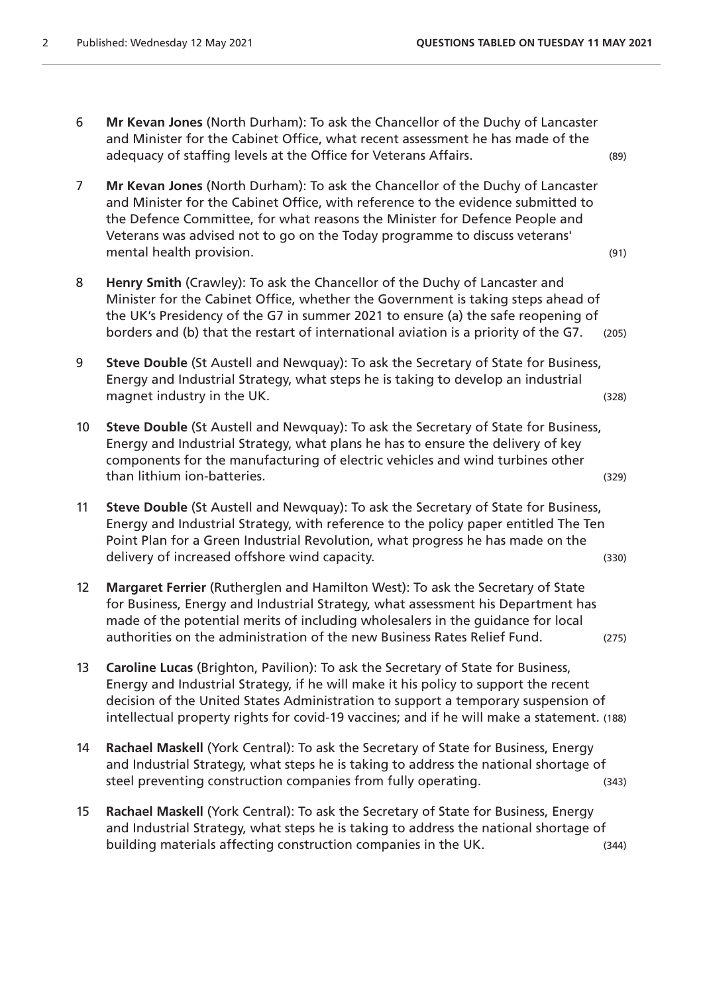- 6 **Mr Kevan Jones** (North Durham): To ask the Chancellor of the Duchy of Lancaster and Minister for the Cabinet Office, what recent assessment he has made of the adequacy of staffing levels at the Office for Veterans Affairs. (89)
- 7 **Mr Kevan Jones** (North Durham): To ask the Chancellor of the Duchy of Lancaster and Minister for the Cabinet Office, with reference to the evidence submitted to the Defence Committee, for what reasons the Minister for Defence People and Veterans was advised not to go on the Today programme to discuss veterans' mental health provision. (91) and the set of the set of the set of the set of the set of the set of the set of the set of the set of the set of the set of the set of the set of the set of the set of the set of the set of t
- 8 **Henry Smith** (Crawley): To ask the Chancellor of the Duchy of Lancaster and Minister for the Cabinet Office, whether the Government is taking steps ahead of the UK's Presidency of the G7 in summer 2021 to ensure (a) the safe reopening of borders and (b) that the restart of international aviation is a priority of the G7. (205)
- 9 **Steve Double** (St Austell and Newquay): To ask the Secretary of State for Business, Energy and Industrial Strategy, what steps he is taking to develop an industrial magnet industry in the UK. (328)
- 10 **Steve Double** (St Austell and Newquay): To ask the Secretary of State for Business, Energy and Industrial Strategy, what plans he has to ensure the delivery of key components for the manufacturing of electric vehicles and wind turbines other than lithium ion-batteries. (329)
- 11 **Steve Double** (St Austell and Newquay): To ask the Secretary of State for Business, Energy and Industrial Strategy, with reference to the policy paper entitled The Ten Point Plan for a Green Industrial Revolution, what progress he has made on the delivery of increased offshore wind capacity. The same state of the state (330)
- 12 **Margaret Ferrier** (Rutherglen and Hamilton West): To ask the Secretary of State for Business, Energy and Industrial Strategy, what assessment his Department has made of the potential merits of including wholesalers in the guidance for local authorities on the administration of the new Business Rates Relief Fund. (275)
- 13 **Caroline Lucas** (Brighton, Pavilion): To ask the Secretary of State for Business, Energy and Industrial Strategy, if he will make it his policy to support the recent decision of the United States Administration to support a temporary suspension of intellectual property rights for covid-19 vaccines; and if he will make a statement. (188)
- 14 **Rachael Maskell** (York Central): To ask the Secretary of State for Business, Energy and Industrial Strategy, what steps he is taking to address the national shortage of steel preventing construction companies from fully operating. (343)
- 15 **Rachael Maskell** (York Central): To ask the Secretary of State for Business, Energy and Industrial Strategy, what steps he is taking to address the national shortage of building materials affecting construction companies in the UK. (344)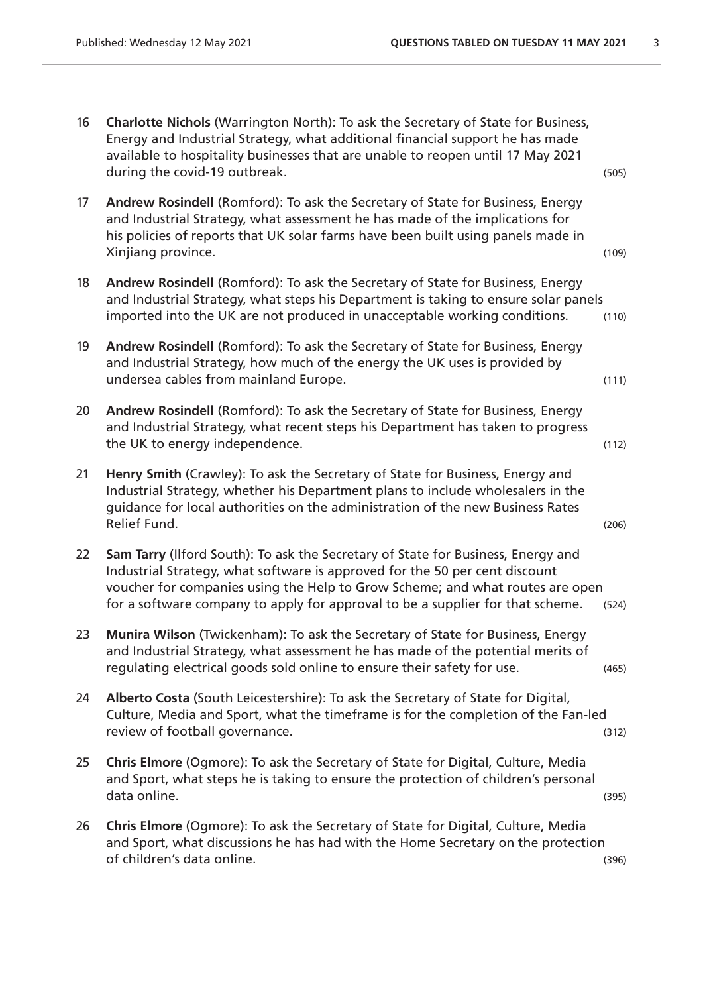| 16 | Charlotte Nichols (Warrington North): To ask the Secretary of State for Business,<br>Energy and Industrial Strategy, what additional financial support he has made<br>available to hospitality businesses that are unable to reopen until 17 May 2021<br>during the covid-19 outbreak.                                             | (505) |
|----|------------------------------------------------------------------------------------------------------------------------------------------------------------------------------------------------------------------------------------------------------------------------------------------------------------------------------------|-------|
| 17 | Andrew Rosindell (Romford): To ask the Secretary of State for Business, Energy<br>and Industrial Strategy, what assessment he has made of the implications for<br>his policies of reports that UK solar farms have been built using panels made in<br>Xinjiang province.                                                           | (109) |
| 18 | Andrew Rosindell (Romford): To ask the Secretary of State for Business, Energy<br>and Industrial Strategy, what steps his Department is taking to ensure solar panels<br>imported into the UK are not produced in unacceptable working conditions.                                                                                 | (110) |
| 19 | Andrew Rosindell (Romford): To ask the Secretary of State for Business, Energy<br>and Industrial Strategy, how much of the energy the UK uses is provided by<br>undersea cables from mainland Europe.                                                                                                                              | (111) |
| 20 | Andrew Rosindell (Romford): To ask the Secretary of State for Business, Energy<br>and Industrial Strategy, what recent steps his Department has taken to progress<br>the UK to energy independence.                                                                                                                                | (112) |
| 21 | Henry Smith (Crawley): To ask the Secretary of State for Business, Energy and<br>Industrial Strategy, whether his Department plans to include wholesalers in the<br>guidance for local authorities on the administration of the new Business Rates<br>Relief Fund.                                                                 | (206) |
| 22 | Sam Tarry (Ilford South): To ask the Secretary of State for Business, Energy and<br>Industrial Strategy, what software is approved for the 50 per cent discount<br>voucher for companies using the Help to Grow Scheme; and what routes are open<br>for a software company to apply for approval to be a supplier for that scheme. | (524) |
| 23 | Munira Wilson (Twickenham): To ask the Secretary of State for Business, Energy<br>and Industrial Strategy, what assessment he has made of the potential merits of<br>regulating electrical goods sold online to ensure their safety for use.                                                                                       | (465) |
| 24 | Alberto Costa (South Leicestershire): To ask the Secretary of State for Digital,<br>Culture, Media and Sport, what the timeframe is for the completion of the Fan-led<br>review of football governance.                                                                                                                            | (312) |
| 25 | Chris Elmore (Ogmore): To ask the Secretary of State for Digital, Culture, Media<br>and Sport, what steps he is taking to ensure the protection of children's personal<br>data online.                                                                                                                                             | (395) |
| 26 | Chris Elmore (Ogmore): To ask the Secretary of State for Digital, Culture, Media<br>and Sport, what discussions he has had with the Home Secretary on the protection<br>of children's data online.                                                                                                                                 | (396) |
|    |                                                                                                                                                                                                                                                                                                                                    |       |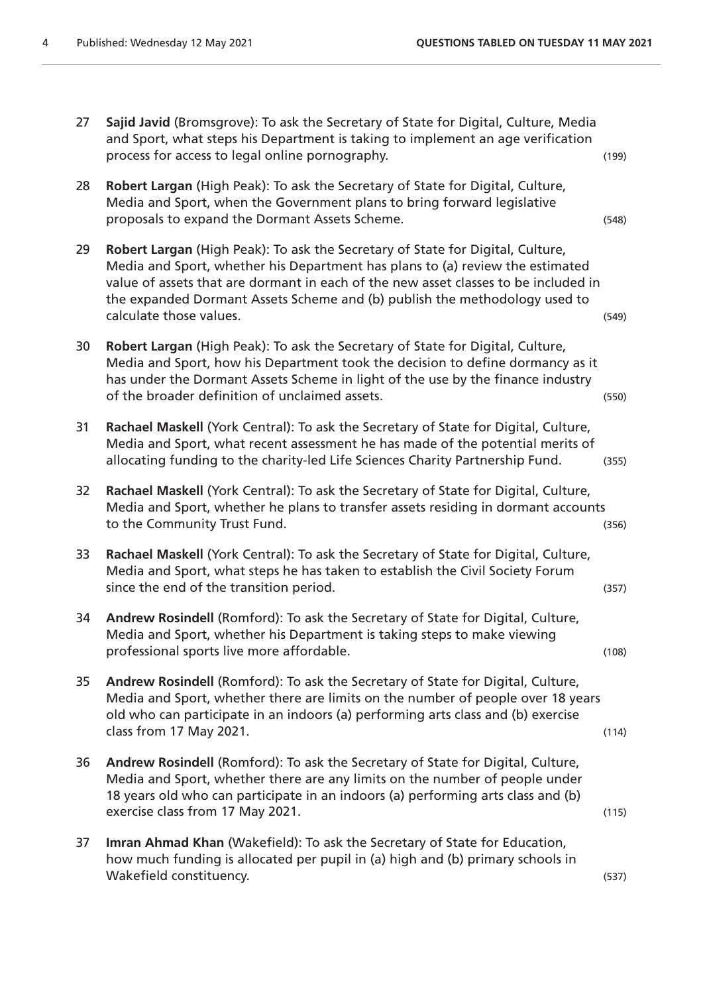and Sport, what steps his Department is taking to implement an age verification process for access to legal online pornography. (199) 28 **Robert Largan** (High Peak): To ask the Secretary of State for Digital, Culture, Media and Sport, when the Government plans to bring forward legislative proposals to expand the Dormant Assets Scheme. (548) 29 **Robert Largan** (High Peak): To ask the Secretary of State for Digital, Culture, Media and Sport, whether his Department has plans to (a) review the estimated value of assets that are dormant in each of the new asset classes to be included in the expanded Dormant Assets Scheme and (b) publish the methodology used to calculate those values. (549) 30 **Robert Largan** (High Peak): To ask the Secretary of State for Digital, Culture, Media and Sport, how his Department took the decision to define dormancy as it has under the Dormant Assets Scheme in light of the use by the finance industry of the broader definition of unclaimed assets. (550) 31 **Rachael Maskell** (York Central): To ask the Secretary of State for Digital, Culture, Media and Sport, what recent assessment he has made of the potential merits of allocating funding to the charity-led Life Sciences Charity Partnership Fund. (355) 32 **Rachael Maskell** (York Central): To ask the Secretary of State for Digital, Culture, Media and Sport, whether he plans to transfer assets residing in dormant accounts to the Community Trust Fund. (356) 33 **Rachael Maskell** (York Central): To ask the Secretary of State for Digital, Culture, Media and Sport, what steps he has taken to establish the Civil Society Forum since the end of the transition period. (357) 34 **Andrew Rosindell** (Romford): To ask the Secretary of State for Digital, Culture, Media and Sport, whether his Department is taking steps to make viewing professional sports live more affordable. (108) 35 **Andrew Rosindell** (Romford): To ask the Secretary of State for Digital, Culture, Media and Sport, whether there are limits on the number of people over 18 years old who can participate in an indoors (a) performing arts class and (b) exercise class from 17 May 2021. (114) 36 **Andrew Rosindell** (Romford): To ask the Secretary of State for Digital, Culture, Media and Sport, whether there are any limits on the number of people under 18 years old who can participate in an indoors (a) performing arts class and (b) exercise class from 17 May 2021. (115) 37 **Imran Ahmad Khan** (Wakefield): To ask the Secretary of State for Education, how much funding is allocated per pupil in (a) high and (b) primary schools in Wakefield constituency. (537)

27 **Sajid Javid** (Bromsgrove): To ask the Secretary of State for Digital, Culture, Media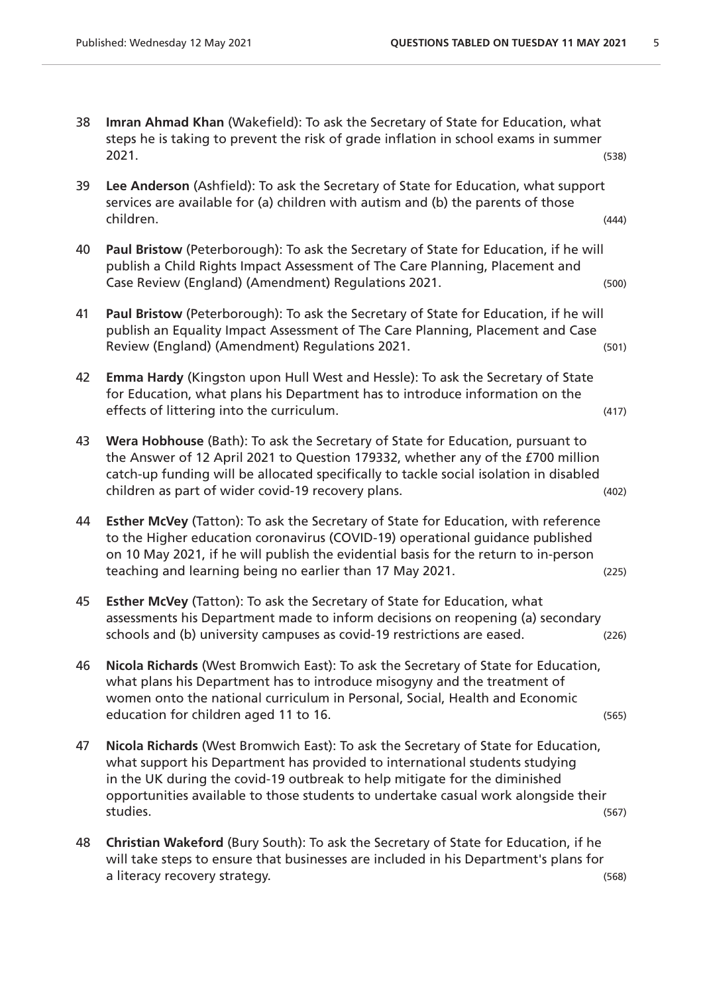- 38 **Imran Ahmad Khan** (Wakefield): To ask the Secretary of State for Education, what steps he is taking to prevent the risk of grade inflation in school exams in summer 2021. (538)
- 39 **Lee Anderson** (Ashfield): To ask the Secretary of State for Education, what support services are available for (a) children with autism and (b) the parents of those children. (444)
- 40 **Paul Bristow** (Peterborough): To ask the Secretary of State for Education, if he will publish a Child Rights Impact Assessment of The Care Planning, Placement and Case Review (England) (Amendment) Regulations 2021. (500)
- 41 **Paul Bristow** (Peterborough): To ask the Secretary of State for Education, if he will publish an Equality Impact Assessment of The Care Planning, Placement and Case Review (England) (Amendment) Regulations 2021.
- 42 **Emma Hardy** (Kingston upon Hull West and Hessle): To ask the Secretary of State for Education, what plans his Department has to introduce information on the effects of littering into the curriculum. (417)
- 43 **Wera Hobhouse** (Bath): To ask the Secretary of State for Education, pursuant to the Answer of 12 April 2021 to Question 179332, whether any of the £700 million catch-up funding will be allocated specifically to tackle social isolation in disabled children as part of wider covid-19 recovery plans. (402)
- 44 **Esther McVey** (Tatton): To ask the Secretary of State for Education, with reference to the Higher education coronavirus (COVID-19) operational guidance published on 10 May 2021, if he will publish the evidential basis for the return to in-person teaching and learning being no earlier than 17 May 2021. (225)
- 45 **Esther McVey** (Tatton): To ask the Secretary of State for Education, what assessments his Department made to inform decisions on reopening (a) secondary schools and (b) university campuses as covid-19 restrictions are eased. (226)
- 46 **Nicola Richards** (West Bromwich East): To ask the Secretary of State for Education, what plans his Department has to introduce misogyny and the treatment of women onto the national curriculum in Personal, Social, Health and Economic education for children aged 11 to 16. (565) (565)
- 47 **Nicola Richards** (West Bromwich East): To ask the Secretary of State for Education, what support his Department has provided to international students studying in the UK during the covid-19 outbreak to help mitigate for the diminished opportunities available to those students to undertake casual work alongside their studies. (567)
- 48 **Christian Wakeford** (Bury South): To ask the Secretary of State for Education, if he will take steps to ensure that businesses are included in his Department's plans for a literacy recovery strategy. (568)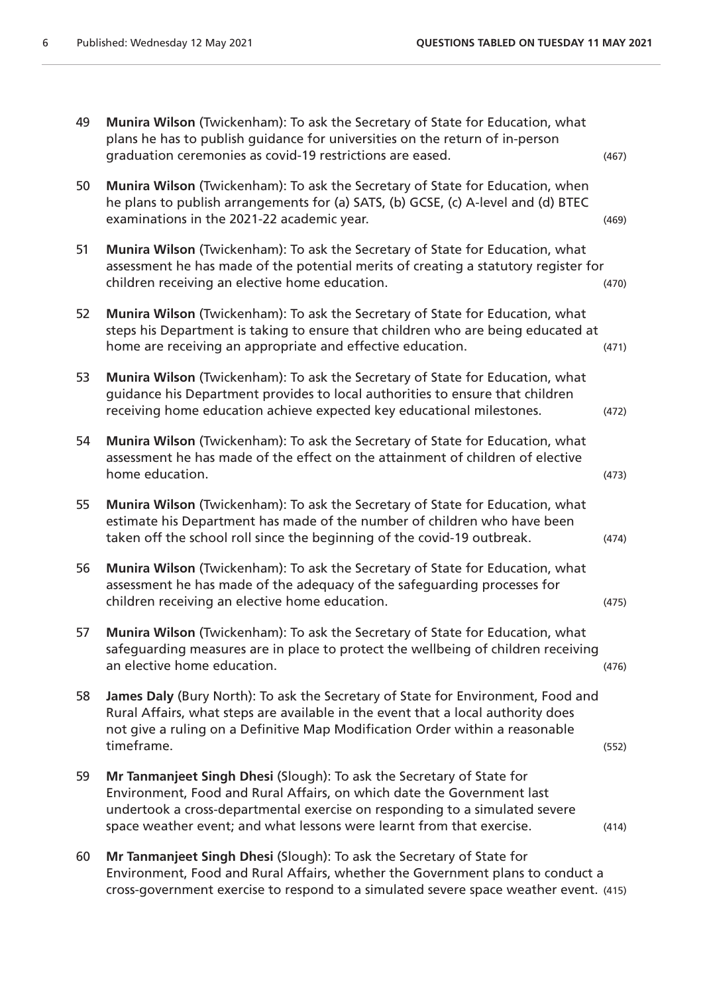| 49 | Munira Wilson (Twickenham): To ask the Secretary of State for Education, what<br>plans he has to publish guidance for universities on the return of in-person<br>graduation ceremonies as covid-19 restrictions are eased.                                                                              | (467) |
|----|---------------------------------------------------------------------------------------------------------------------------------------------------------------------------------------------------------------------------------------------------------------------------------------------------------|-------|
| 50 | Munira Wilson (Twickenham): To ask the Secretary of State for Education, when<br>he plans to publish arrangements for (a) SATS, (b) GCSE, (c) A-level and (d) BTEC<br>examinations in the 2021-22 academic year.                                                                                        | (469) |
| 51 | Munira Wilson (Twickenham): To ask the Secretary of State for Education, what<br>assessment he has made of the potential merits of creating a statutory register for<br>children receiving an elective home education.                                                                                  | (470) |
| 52 | Munira Wilson (Twickenham): To ask the Secretary of State for Education, what<br>steps his Department is taking to ensure that children who are being educated at<br>home are receiving an appropriate and effective education.                                                                         | (471) |
| 53 | Munira Wilson (Twickenham): To ask the Secretary of State for Education, what<br>guidance his Department provides to local authorities to ensure that children<br>receiving home education achieve expected key educational milestones.                                                                 | (472) |
| 54 | Munira Wilson (Twickenham): To ask the Secretary of State for Education, what<br>assessment he has made of the effect on the attainment of children of elective<br>home education.                                                                                                                      | (473) |
| 55 | Munira Wilson (Twickenham): To ask the Secretary of State for Education, what<br>estimate his Department has made of the number of children who have been<br>taken off the school roll since the beginning of the covid-19 outbreak.                                                                    | (474) |
| 56 | Munira Wilson (Twickenham): To ask the Secretary of State for Education, what<br>assessment he has made of the adequacy of the safeguarding processes for<br>children receiving an elective home education.                                                                                             | (475) |
| 57 | Munira Wilson (Twickenham): To ask the Secretary of State for Education, what<br>safeguarding measures are in place to protect the wellbeing of children receiving<br>an elective home education.                                                                                                       | (476) |
| 58 | James Daly (Bury North): To ask the Secretary of State for Environment, Food and<br>Rural Affairs, what steps are available in the event that a local authority does<br>not give a ruling on a Definitive Map Modification Order within a reasonable<br>timeframe.                                      | (552) |
| 59 | Mr Tanmanjeet Singh Dhesi (Slough): To ask the Secretary of State for<br>Environment, Food and Rural Affairs, on which date the Government last<br>undertook a cross-departmental exercise on responding to a simulated severe<br>space weather event; and what lessons were learnt from that exercise. | (414) |
| 60 | Mr Tanmanjeet Singh Dhesi (Slough): To ask the Secretary of State for<br>Environment, Food and Rural Affairs, whether the Government plans to conduct a<br>cross-government exercise to respond to a simulated severe space weather event. (415)                                                        |       |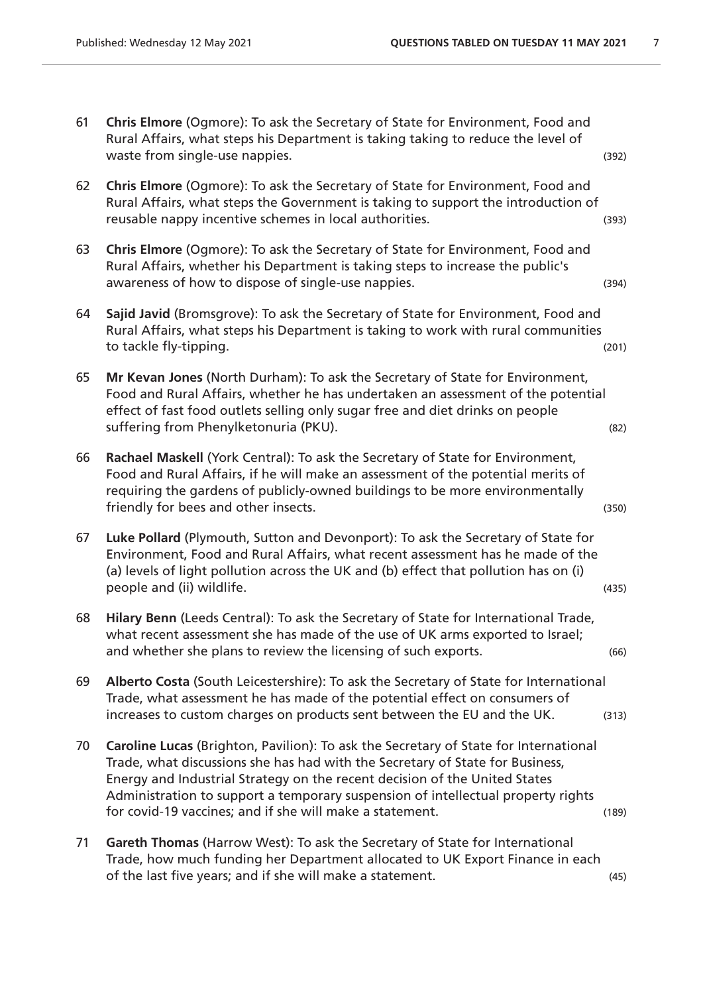61 **Chris Elmore** (Ogmore): To ask the Secretary of State for Environment, Food and Rural Affairs, what steps his Department is taking taking to reduce the level of waste from single-use nappies. The same state of the state of the state of the state of the state of the state of the state of the state of the state of the state of the state of the state of the state of the state of the 62 **Chris Elmore** (Ogmore): To ask the Secretary of State for Environment, Food and Rural Affairs, what steps the Government is taking to support the introduction of reusable nappy incentive schemes in local authorities. (393) 63 **Chris Elmore** (Ogmore): To ask the Secretary of State for Environment, Food and Rural Affairs, whether his Department is taking steps to increase the public's awareness of how to dispose of single-use nappies. (394) 64 **Sajid Javid** (Bromsgrove): To ask the Secretary of State for Environment, Food and Rural Affairs, what steps his Department is taking to work with rural communities to tackle fly-tipping. (201) 65 **Mr Kevan Jones** (North Durham): To ask the Secretary of State for Environment, Food and Rural Affairs, whether he has undertaken an assessment of the potential effect of fast food outlets selling only sugar free and diet drinks on people suffering from Phenylketonuria (PKU). (82) (82) (82) 66 **Rachael Maskell** (York Central): To ask the Secretary of State for Environment, Food and Rural Affairs, if he will make an assessment of the potential merits of requiring the gardens of publicly-owned buildings to be more environmentally friendly for bees and other insects. The same state of the state of the state of the state of the state of the state of the state of the state of the state of the state of the state of the state of the state of the state o 67 **Luke Pollard** (Plymouth, Sutton and Devonport): To ask the Secretary of State for Environment, Food and Rural Affairs, what recent assessment has he made of the (a) levels of light pollution across the UK and (b) effect that pollution has on (i) people and (ii) wildlife. (435) 68 **Hilary Benn** (Leeds Central): To ask the Secretary of State for International Trade, what recent assessment she has made of the use of UK arms exported to Israel; and whether she plans to review the licensing of such exports. (66) 69 **Alberto Costa** (South Leicestershire): To ask the Secretary of State for International Trade, what assessment he has made of the potential effect on consumers of increases to custom charges on products sent between the EU and the UK. (313) 70 **Caroline Lucas** (Brighton, Pavilion): To ask the Secretary of State for International Trade, what discussions she has had with the Secretary of State for Business, Energy and Industrial Strategy on the recent decision of the United States Administration to support a temporary suspension of intellectual property rights for covid-19 vaccines; and if she will make a statement. (189) 71 **Gareth Thomas** (Harrow West): To ask the Secretary of State for International Trade, how much funding her Department allocated to UK Export Finance in each of the last five years; and if she will make a statement. (45)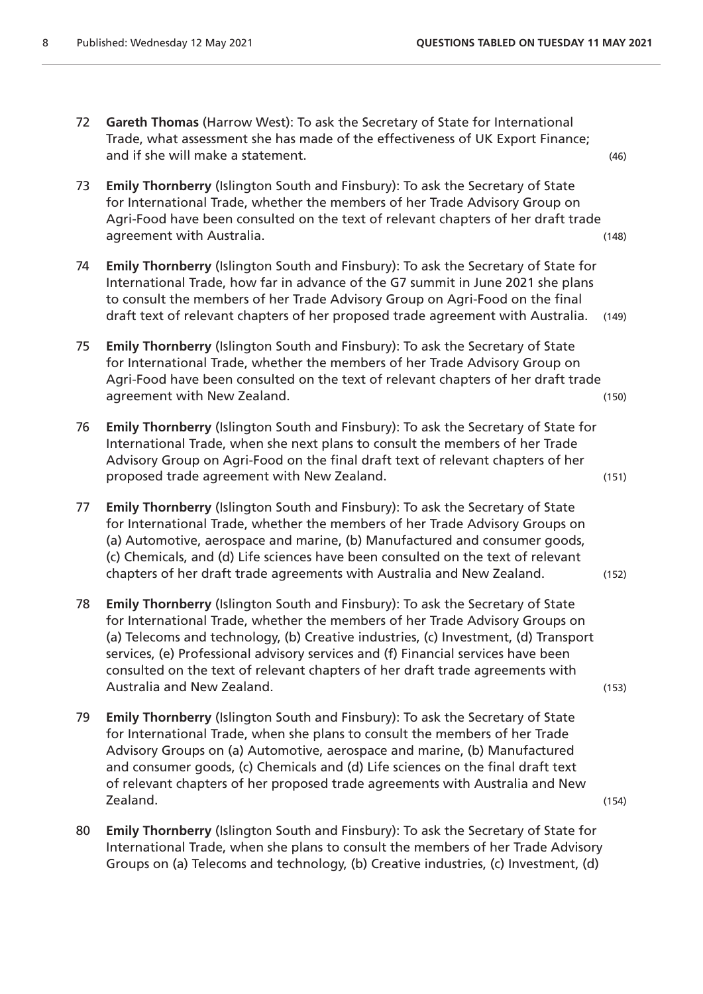- 72 **Gareth Thomas** (Harrow West): To ask the Secretary of State for International Trade, what assessment she has made of the effectiveness of UK Export Finance; and if she will make a statement. (46)
- 73 **Emily Thornberry** (Islington South and Finsbury): To ask the Secretary of State for International Trade, whether the members of her Trade Advisory Group on Agri-Food have been consulted on the text of relevant chapters of her draft trade agreement with Australia. The contract of the contract of the contract of the contract of the contract of the contract of the contract of the contract of the contract of the contract of the contract of the contract of the
- 74 **Emily Thornberry** (Islington South and Finsbury): To ask the Secretary of State for International Trade, how far in advance of the G7 summit in June 2021 she plans to consult the members of her Trade Advisory Group on Agri-Food on the final draft text of relevant chapters of her proposed trade agreement with Australia. (149)
- 75 **Emily Thornberry** (Islington South and Finsbury): To ask the Secretary of State for International Trade, whether the members of her Trade Advisory Group on Agri-Food have been consulted on the text of relevant chapters of her draft trade agreement with New Zealand. The contract of the contract of the contract of the contract of the contract of the contract of the contract of the contract of the contract of the contract of the contract of the contract of th
- 76 **Emily Thornberry** (Islington South and Finsbury): To ask the Secretary of State for International Trade, when she next plans to consult the members of her Trade Advisory Group on Agri-Food on the final draft text of relevant chapters of her proposed trade agreement with New Zealand. (151)
- 77 **Emily Thornberry** (Islington South and Finsbury): To ask the Secretary of State for International Trade, whether the members of her Trade Advisory Groups on (a) Automotive, aerospace and marine, (b) Manufactured and consumer goods, (c) Chemicals, and (d) Life sciences have been consulted on the text of relevant chapters of her draft trade agreements with Australia and New Zealand. (152)
- 78 **Emily Thornberry** (Islington South and Finsbury): To ask the Secretary of State for International Trade, whether the members of her Trade Advisory Groups on (a) Telecoms and technology, (b) Creative industries, (c) Investment, (d) Transport services, (e) Professional advisory services and (f) Financial services have been consulted on the text of relevant chapters of her draft trade agreements with Australia and New Zealand. (153)
- 79 **Emily Thornberry** (Islington South and Finsbury): To ask the Secretary of State for International Trade, when she plans to consult the members of her Trade Advisory Groups on (a) Automotive, aerospace and marine, (b) Manufactured and consumer goods, (c) Chemicals and (d) Life sciences on the final draft text of relevant chapters of her proposed trade agreements with Australia and New Zealand. (154)
- 80 **Emily Thornberry** (Islington South and Finsbury): To ask the Secretary of State for International Trade, when she plans to consult the members of her Trade Advisory Groups on (a) Telecoms and technology, (b) Creative industries, (c) Investment, (d)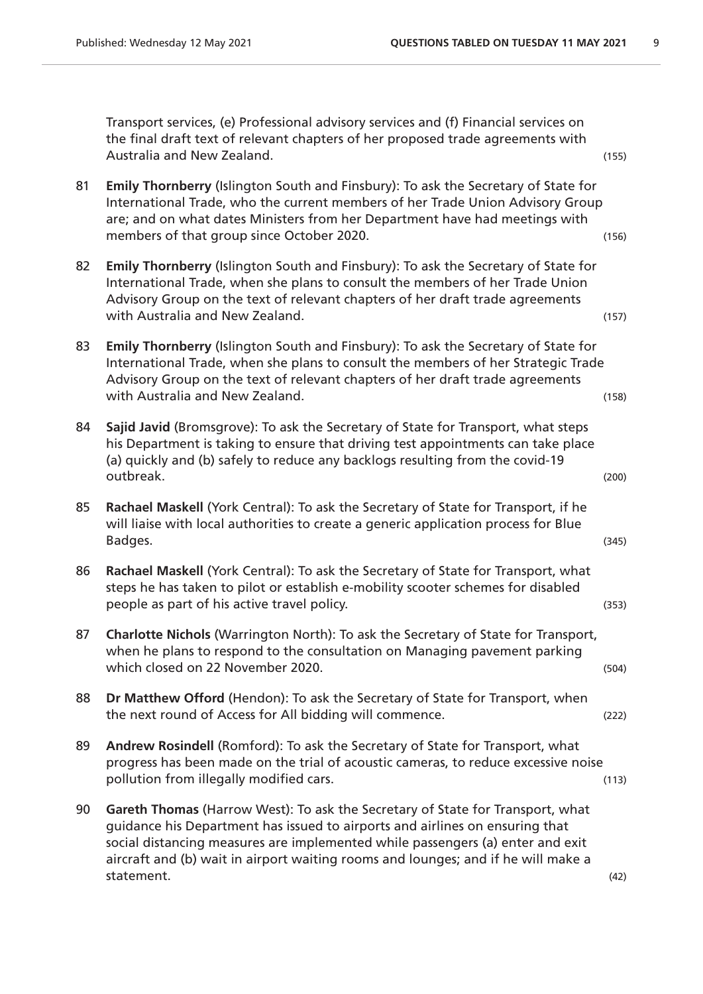Transport services, (e) Professional advisory services and (f) Financial services on the final draft text of relevant chapters of her proposed trade agreements with Australia and New Zealand. (155)

- 81 **Emily Thornberry** (Islington South and Finsbury): To ask the Secretary of State for International Trade, who the current members of her Trade Union Advisory Group are; and on what dates Ministers from her Department have had meetings with members of that group since October 2020.
- 82 **Emily Thornberry** (Islington South and Finsbury): To ask the Secretary of State for International Trade, when she plans to consult the members of her Trade Union Advisory Group on the text of relevant chapters of her draft trade agreements with Australia and New Zealand. (157)
- 83 **Emily Thornberry** (Islington South and Finsbury): To ask the Secretary of State for International Trade, when she plans to consult the members of her Strategic Trade Advisory Group on the text of relevant chapters of her draft trade agreements with Australia and New Zealand. (158) (158)
- 84 **Sajid Javid** (Bromsgrove): To ask the Secretary of State for Transport, what steps his Department is taking to ensure that driving test appointments can take place (a) quickly and (b) safely to reduce any backlogs resulting from the covid-19 outbreak. (200)
- 85 **Rachael Maskell** (York Central): To ask the Secretary of State for Transport, if he will liaise with local authorities to create a generic application process for Blue Badges. (345)
- 86 **Rachael Maskell** (York Central): To ask the Secretary of State for Transport, what steps he has taken to pilot or establish e-mobility scooter schemes for disabled people as part of his active travel policy. (353)
- 87 **Charlotte Nichols** (Warrington North): To ask the Secretary of State for Transport, when he plans to respond to the consultation on Managing pavement parking which closed on 22 November 2020. The same state of the state of the state of the state of the state of the state of the state of the state of the state of the state of the state of the state of the state of the state of t
- 88 **Dr Matthew Offord** (Hendon): To ask the Secretary of State for Transport, when the next round of Access for All bidding will commence. (222)
- 89 **Andrew Rosindell** (Romford): To ask the Secretary of State for Transport, what progress has been made on the trial of acoustic cameras, to reduce excessive noise pollution from illegally modified cars. (113)
- 90 **Gareth Thomas** (Harrow West): To ask the Secretary of State for Transport, what guidance his Department has issued to airports and airlines on ensuring that social distancing measures are implemented while passengers (a) enter and exit aircraft and (b) wait in airport waiting rooms and lounges; and if he will make a statement. (42)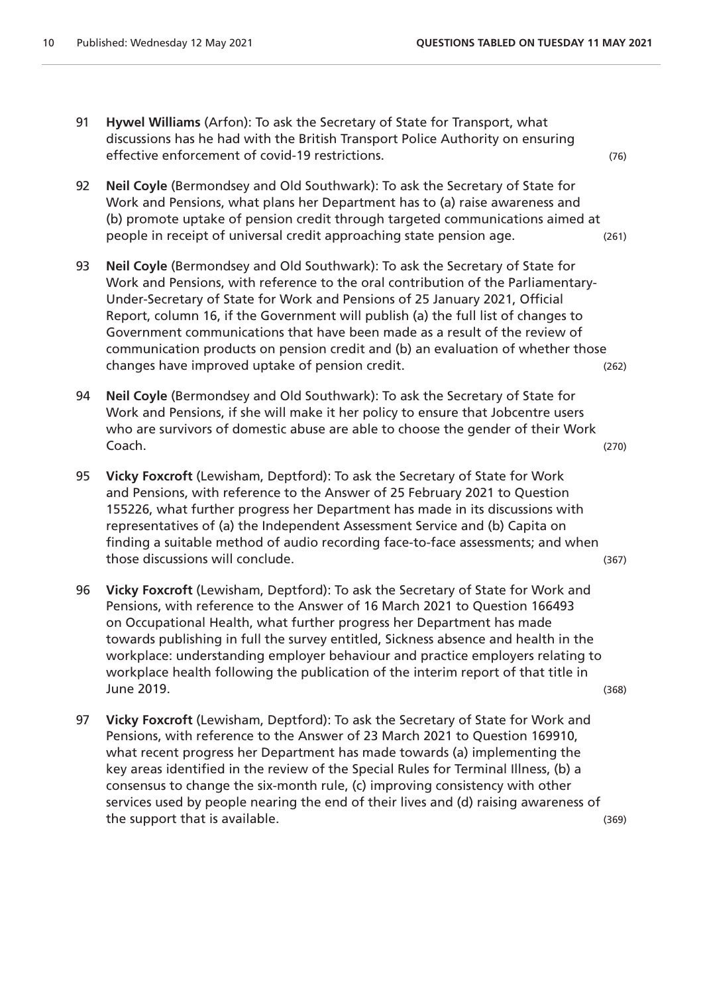- 91 **Hywel Williams** (Arfon): To ask the Secretary of State for Transport, what discussions has he had with the British Transport Police Authority on ensuring effective enforcement of covid-19 restrictions. (76)
- 92 **Neil Coyle** (Bermondsey and Old Southwark): To ask the Secretary of State for Work and Pensions, what plans her Department has to (a) raise awareness and (b) promote uptake of pension credit through targeted communications aimed at people in receipt of universal credit approaching state pension age. (261)
- 93 **Neil Coyle** (Bermondsey and Old Southwark): To ask the Secretary of State for Work and Pensions, with reference to the oral contribution of the Parliamentary-Under-Secretary of State for Work and Pensions of 25 January 2021, Official Report, column 16, if the Government will publish (a) the full list of changes to Government communications that have been made as a result of the review of communication products on pension credit and (b) an evaluation of whether those changes have improved uptake of pension credit. (262)
- 94 **Neil Coyle** (Bermondsey and Old Southwark): To ask the Secretary of State for Work and Pensions, if she will make it her policy to ensure that Jobcentre users who are survivors of domestic abuse are able to choose the gender of their Work Coach. (270)
- 95 **Vicky Foxcroft** (Lewisham, Deptford): To ask the Secretary of State for Work and Pensions, with reference to the Answer of 25 February 2021 to Question 155226, what further progress her Department has made in its discussions with representatives of (a) the Independent Assessment Service and (b) Capita on finding a suitable method of audio recording face-to-face assessments; and when those discussions will conclude. (367)
- 96 **Vicky Foxcroft** (Lewisham, Deptford): To ask the Secretary of State for Work and Pensions, with reference to the Answer of 16 March 2021 to Question 166493 on Occupational Health, what further progress her Department has made towards publishing in full the survey entitled, Sickness absence and health in the workplace: understanding employer behaviour and practice employers relating to workplace health following the publication of the interim report of that title in June 2019. (368)
- 97 **Vicky Foxcroft** (Lewisham, Deptford): To ask the Secretary of State for Work and Pensions, with reference to the Answer of 23 March 2021 to Question 169910, what recent progress her Department has made towards (a) implementing the key areas identified in the review of the Special Rules for Terminal Illness, (b) a consensus to change the six-month rule, (c) improving consistency with other services used by people nearing the end of their lives and (d) raising awareness of the support that is available. (369)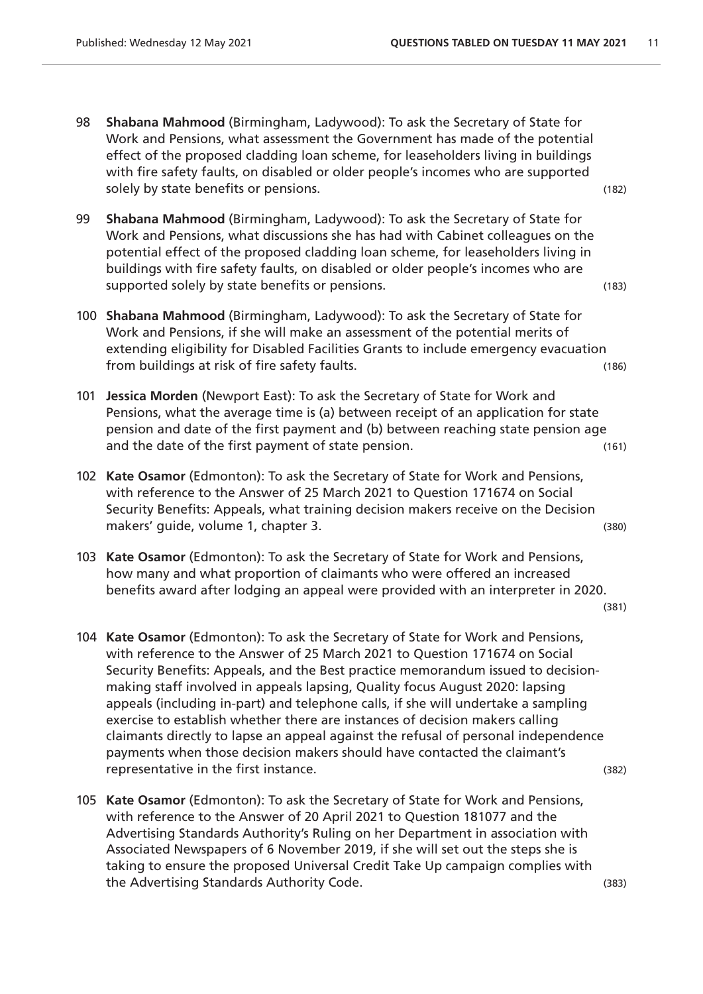- 98 **Shabana Mahmood** (Birmingham, Ladywood): To ask the Secretary of State for Work and Pensions, what assessment the Government has made of the potential effect of the proposed cladding loan scheme, for leaseholders living in buildings with fire safety faults, on disabled or older people's incomes who are supported solely by state benefits or pensions. (182)
- 99 **Shabana Mahmood** (Birmingham, Ladywood): To ask the Secretary of State for Work and Pensions, what discussions she has had with Cabinet colleagues on the potential effect of the proposed cladding loan scheme, for leaseholders living in buildings with fire safety faults, on disabled or older people's incomes who are supported solely by state benefits or pensions. (183)
- 100 **Shabana Mahmood** (Birmingham, Ladywood): To ask the Secretary of State for Work and Pensions, if she will make an assessment of the potential merits of extending eligibility for Disabled Facilities Grants to include emergency evacuation from buildings at risk of fire safety faults. (186)
- 101 **Jessica Morden** (Newport East): To ask the Secretary of State for Work and Pensions, what the average time is (a) between receipt of an application for state pension and date of the first payment and (b) between reaching state pension age and the date of the first payment of state pension. (161)
- 102 **Kate Osamor** (Edmonton): To ask the Secretary of State for Work and Pensions, with reference to the Answer of 25 March 2021 to Question 171674 on Social Security Benefits: Appeals, what training decision makers receive on the Decision makers' guide, volume 1, chapter 3. (380) (380)
- 103 **Kate Osamor** (Edmonton): To ask the Secretary of State for Work and Pensions, how many and what proportion of claimants who were offered an increased benefits award after lodging an appeal were provided with an interpreter in 2020.

(381)

- 104 **Kate Osamor** (Edmonton): To ask the Secretary of State for Work and Pensions, with reference to the Answer of 25 March 2021 to Question 171674 on Social Security Benefits: Appeals, and the Best practice memorandum issued to decisionmaking staff involved in appeals lapsing, Quality focus August 2020: lapsing appeals (including in-part) and telephone calls, if she will undertake a sampling exercise to establish whether there are instances of decision makers calling claimants directly to lapse an appeal against the refusal of personal independence payments when those decision makers should have contacted the claimant's representative in the first instance. (382)
- 105 **Kate Osamor** (Edmonton): To ask the Secretary of State for Work and Pensions, with reference to the Answer of 20 April 2021 to Question 181077 and the Advertising Standards Authority's Ruling on her Department in association with Associated Newspapers of 6 November 2019, if she will set out the steps she is taking to ensure the proposed Universal Credit Take Up campaign complies with the Advertising Standards Authority Code. (383)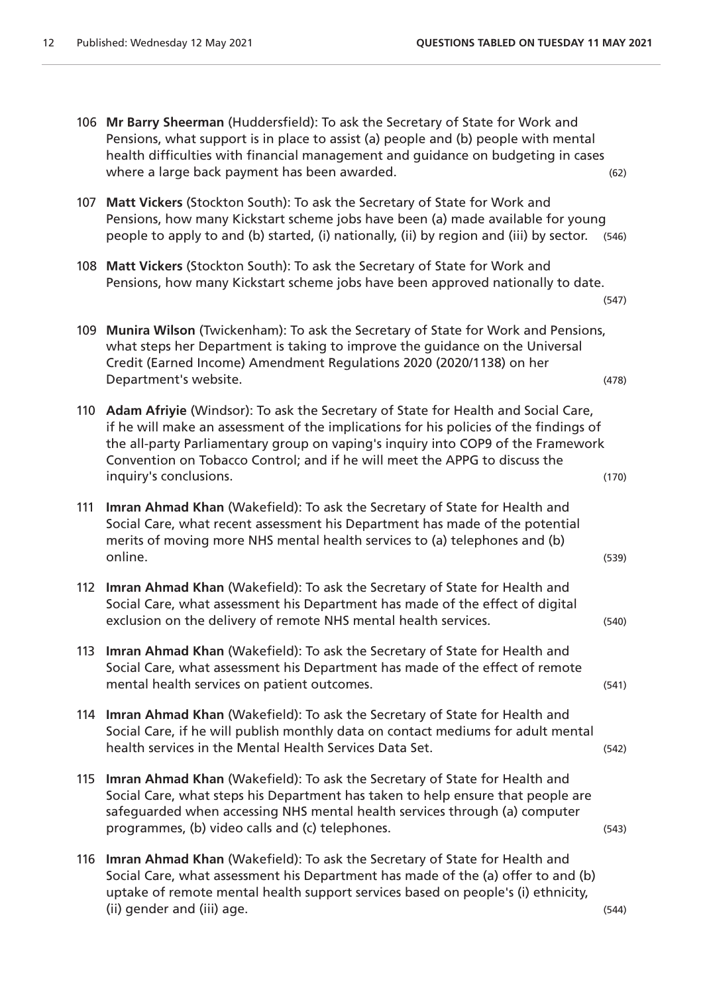(547)

- 106 **Mr Barry Sheerman** (Huddersfield): To ask the Secretary of State for Work and Pensions, what support is in place to assist (a) people and (b) people with mental health difficulties with financial management and guidance on budgeting in cases where a large back payment has been awarded.  $(62)$
- 107 **Matt Vickers** (Stockton South): To ask the Secretary of State for Work and Pensions, how many Kickstart scheme jobs have been (a) made available for young people to apply to and (b) started, (i) nationally, (ii) by region and (iii) by sector. (546)
- 108 **Matt Vickers** (Stockton South): To ask the Secretary of State for Work and Pensions, how many Kickstart scheme jobs have been approved nationally to date.
- 109 **Munira Wilson** (Twickenham): To ask the Secretary of State for Work and Pensions, what steps her Department is taking to improve the guidance on the Universal Credit (Earned Income) Amendment Regulations 2020 (2020/1138) on her Department's website. (478)
- 110 **Adam Afriyie** (Windsor): To ask the Secretary of State for Health and Social Care, if he will make an assessment of the implications for his policies of the findings of the all-party Parliamentary group on vaping's inquiry into COP9 of the Framework Convention on Tobacco Control; and if he will meet the APPG to discuss the inquiry's conclusions. (170)
- 111 **Imran Ahmad Khan** (Wakefield): To ask the Secretary of State for Health and Social Care, what recent assessment his Department has made of the potential merits of moving more NHS mental health services to (a) telephones and (b) online. (539)
- 112 **Imran Ahmad Khan** (Wakefield): To ask the Secretary of State for Health and Social Care, what assessment his Department has made of the effect of digital exclusion on the delivery of remote NHS mental health services. (540)
- 113 **Imran Ahmad Khan** (Wakefield): To ask the Secretary of State for Health and Social Care, what assessment his Department has made of the effect of remote mental health services on patient outcomes. The same service of the services on patient outcomes.
- 114 **Imran Ahmad Khan** (Wakefield): To ask the Secretary of State for Health and Social Care, if he will publish monthly data on contact mediums for adult mental health services in the Mental Health Services Data Set. (542)
- 115 **Imran Ahmad Khan** (Wakefield): To ask the Secretary of State for Health and Social Care, what steps his Department has taken to help ensure that people are safeguarded when accessing NHS mental health services through (a) computer programmes, (b) video calls and (c) telephones. (543)
- 116 **Imran Ahmad Khan** (Wakefield): To ask the Secretary of State for Health and Social Care, what assessment his Department has made of the (a) offer to and (b) uptake of remote mental health support services based on people's (i) ethnicity, (ii) gender and (iii) age. (544)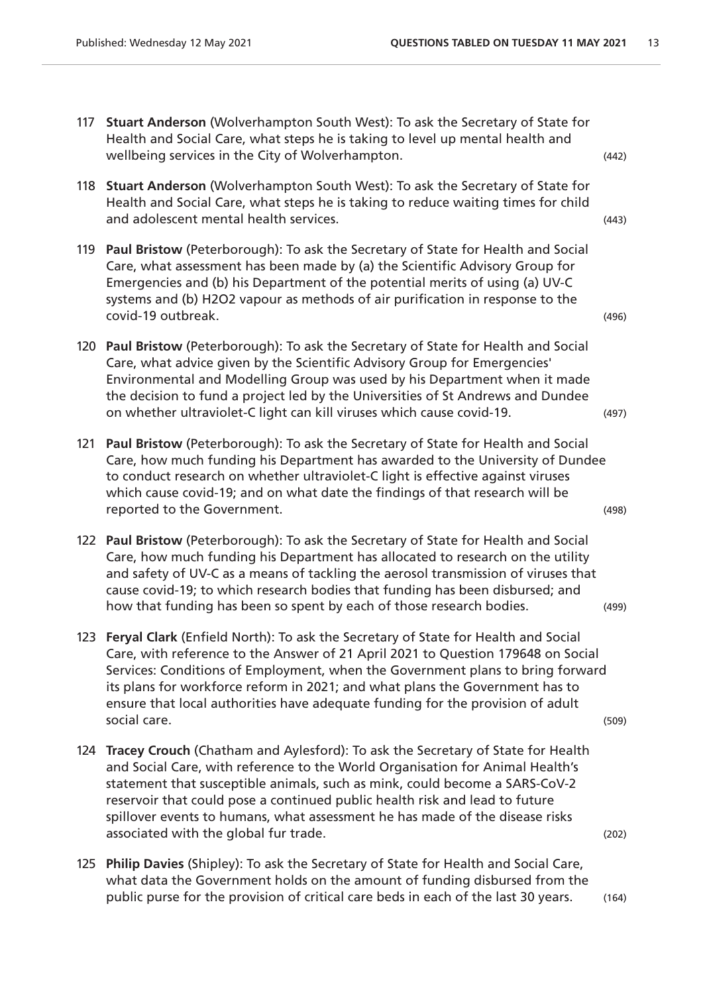- 117 **Stuart Anderson** (Wolverhampton South West): To ask the Secretary of State for Health and Social Care, what steps he is taking to level up mental health and wellbeing services in the City of Wolverhampton. (442)
- 118 **Stuart Anderson** (Wolverhampton South West): To ask the Secretary of State for Health and Social Care, what steps he is taking to reduce waiting times for child and adolescent mental health services. (443)
- 119 **Paul Bristow** (Peterborough): To ask the Secretary of State for Health and Social Care, what assessment has been made by (a) the Scientific Advisory Group for Emergencies and (b) his Department of the potential merits of using (a) UV-C systems and (b) H2O2 vapour as methods of air purification in response to the covid-19 outbreak. (496)
- 120 **Paul Bristow** (Peterborough): To ask the Secretary of State for Health and Social Care, what advice given by the Scientific Advisory Group for Emergencies' Environmental and Modelling Group was used by his Department when it made the decision to fund a project led by the Universities of St Andrews and Dundee on whether ultraviolet-C light can kill viruses which cause covid-19. (497)
- 121 **Paul Bristow** (Peterborough): To ask the Secretary of State for Health and Social Care, how much funding his Department has awarded to the University of Dundee to conduct research on whether ultraviolet-C light is effective against viruses which cause covid-19; and on what date the findings of that research will be reported to the Government. The contract of the Government of the contract of the contract of the contract of the contract of the contract of the contract of the contract of the contract of the contract of the contract of
- 122 **Paul Bristow** (Peterborough): To ask the Secretary of State for Health and Social Care, how much funding his Department has allocated to research on the utility and safety of UV-C as a means of tackling the aerosol transmission of viruses that cause covid-19; to which research bodies that funding has been disbursed; and how that funding has been so spent by each of those research bodies. (499)
- 123 **Feryal Clark** (Enfield North): To ask the Secretary of State for Health and Social Care, with reference to the Answer of 21 April 2021 to Question 179648 on Social Services: Conditions of Employment, when the Government plans to bring forward its plans for workforce reform in 2021; and what plans the Government has to ensure that local authorities have adequate funding for the provision of adult social care. (509)
- 124 **Tracey Crouch** (Chatham and Aylesford): To ask the Secretary of State for Health and Social Care, with reference to the World Organisation for Animal Health's statement that susceptible animals, such as mink, could become a SARS-CoV-2 reservoir that could pose a continued public health risk and lead to future spillover events to humans, what assessment he has made of the disease risks associated with the global fur trade. (202)  $(202)$
- 125 **Philip Davies** (Shipley): To ask the Secretary of State for Health and Social Care, what data the Government holds on the amount of funding disbursed from the public purse for the provision of critical care beds in each of the last 30 years. (164)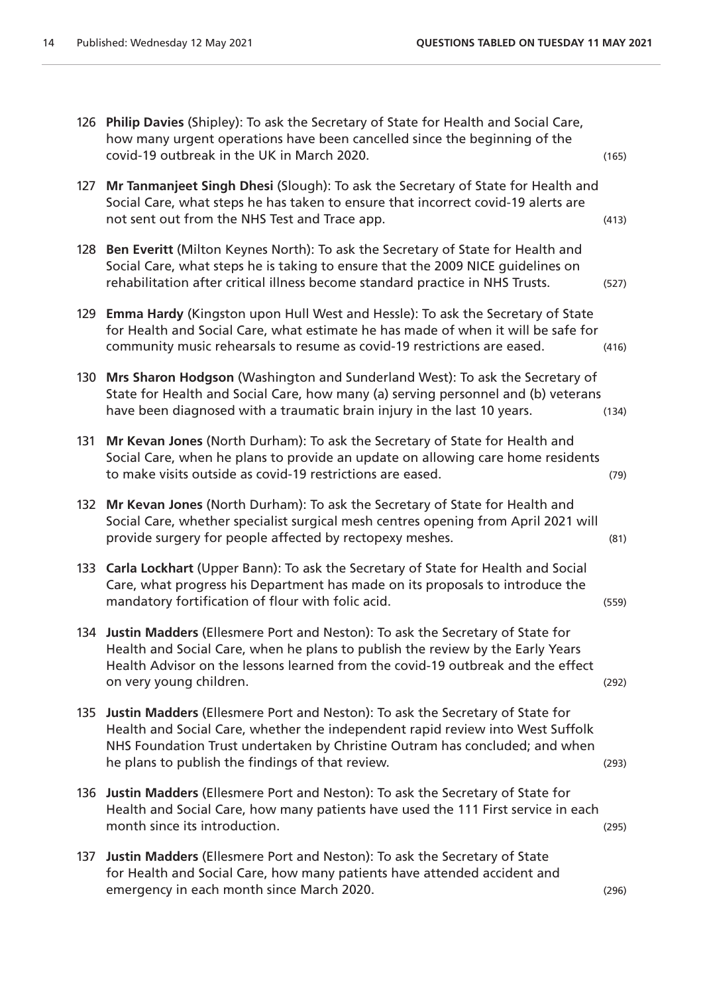|     | 126 Philip Davies (Shipley): To ask the Secretary of State for Health and Social Care,<br>how many urgent operations have been cancelled since the beginning of the<br>covid-19 outbreak in the UK in March 2020.                                                                                  | (165) |
|-----|----------------------------------------------------------------------------------------------------------------------------------------------------------------------------------------------------------------------------------------------------------------------------------------------------|-------|
| 127 | Mr Tanmanjeet Singh Dhesi (Slough): To ask the Secretary of State for Health and<br>Social Care, what steps he has taken to ensure that incorrect covid-19 alerts are<br>not sent out from the NHS Test and Trace app.                                                                             | (413) |
| 128 | Ben Everitt (Milton Keynes North): To ask the Secretary of State for Health and<br>Social Care, what steps he is taking to ensure that the 2009 NICE guidelines on<br>rehabilitation after critical illness become standard practice in NHS Trusts.                                                | (527) |
| 129 | Emma Hardy (Kingston upon Hull West and Hessle): To ask the Secretary of State<br>for Health and Social Care, what estimate he has made of when it will be safe for<br>community music rehearsals to resume as covid-19 restrictions are eased.                                                    | (416) |
| 130 | Mrs Sharon Hodgson (Washington and Sunderland West): To ask the Secretary of<br>State for Health and Social Care, how many (a) serving personnel and (b) veterans<br>have been diagnosed with a traumatic brain injury in the last 10 years.                                                       | (134) |
| 131 | Mr Kevan Jones (North Durham): To ask the Secretary of State for Health and<br>Social Care, when he plans to provide an update on allowing care home residents<br>to make visits outside as covid-19 restrictions are eased.                                                                       | (79)  |
| 132 | Mr Kevan Jones (North Durham): To ask the Secretary of State for Health and<br>Social Care, whether specialist surgical mesh centres opening from April 2021 will<br>provide surgery for people affected by rectopexy meshes.                                                                      | (81)  |
| 133 | Carla Lockhart (Upper Bann): To ask the Secretary of State for Health and Social<br>Care, what progress his Department has made on its proposals to introduce the<br>mandatory fortification of flour with folic acid.                                                                             | (559) |
|     | 134 Justin Madders (Ellesmere Port and Neston): To ask the Secretary of State for<br>Health and Social Care, when he plans to publish the review by the Early Years<br>Health Advisor on the lessons learned from the covid-19 outbreak and the effect<br>on very young children.                  | (292) |
| 135 | Justin Madders (Ellesmere Port and Neston): To ask the Secretary of State for<br>Health and Social Care, whether the independent rapid review into West Suffolk<br>NHS Foundation Trust undertaken by Christine Outram has concluded; and when<br>he plans to publish the findings of that review. | (293) |
| 136 | Justin Madders (Ellesmere Port and Neston): To ask the Secretary of State for<br>Health and Social Care, how many patients have used the 111 First service in each<br>month since its introduction.                                                                                                | (295) |
| 137 | Justin Madders (Ellesmere Port and Neston): To ask the Secretary of State<br>for Health and Social Care, how many patients have attended accident and<br>emergency in each month since March 2020.                                                                                                 | (296) |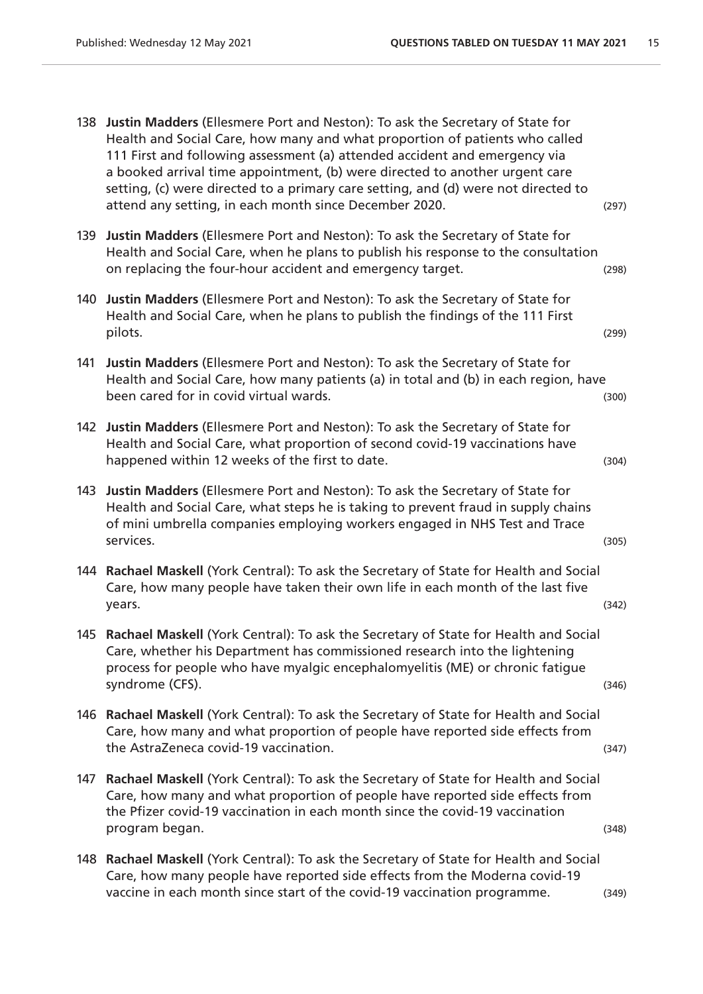138 **Justin Madders** (Ellesmere Port and Neston): To ask the Secretary of State for Health and Social Care, how many and what proportion of patients who called 111 First and following assessment (a) attended accident and emergency via a booked arrival time appointment, (b) were directed to another urgent care setting, (c) were directed to a primary care setting, and (d) were not directed to attend any setting, in each month since December 2020. (297) 139 **Justin Madders** (Ellesmere Port and Neston): To ask the Secretary of State for Health and Social Care, when he plans to publish his response to the consultation on replacing the four-hour accident and emergency target. (298) 140 **Justin Madders** (Ellesmere Port and Neston): To ask the Secretary of State for Health and Social Care, when he plans to publish the findings of the 111 First pilots. (299) 141 **Justin Madders** (Ellesmere Port and Neston): To ask the Secretary of State for Health and Social Care, how many patients (a) in total and (b) in each region, have been cared for in covid virtual wards. (300) been cared for in covid virtual wards. 142 **Justin Madders** (Ellesmere Port and Neston): To ask the Secretary of State for Health and Social Care, what proportion of second covid-19 vaccinations have happened within 12 weeks of the first to date. (304) (304) 143 **Justin Madders** (Ellesmere Port and Neston): To ask the Secretary of State for Health and Social Care, what steps he is taking to prevent fraud in supply chains of mini umbrella companies employing workers engaged in NHS Test and Trace services. (305) 144 **Rachael Maskell** (York Central): To ask the Secretary of State for Health and Social Care, how many people have taken their own life in each month of the last five years. (342) 145 **Rachael Maskell** (York Central): To ask the Secretary of State for Health and Social Care, whether his Department has commissioned research into the lightening process for people who have myalgic encephalomyelitis (ME) or chronic fatigue syndrome (CFS). (346) 146 **Rachael Maskell** (York Central): To ask the Secretary of State for Health and Social Care, how many and what proportion of people have reported side effects from the AstraZeneca covid-19 vaccination. (347) 147 **Rachael Maskell** (York Central): To ask the Secretary of State for Health and Social Care, how many and what proportion of people have reported side effects from the Pfizer covid-19 vaccination in each month since the covid-19 vaccination program began. (348)

148 **Rachael Maskell** (York Central): To ask the Secretary of State for Health and Social Care, how many people have reported side effects from the Moderna covid-19 vaccine in each month since start of the covid-19 vaccination programme. (349)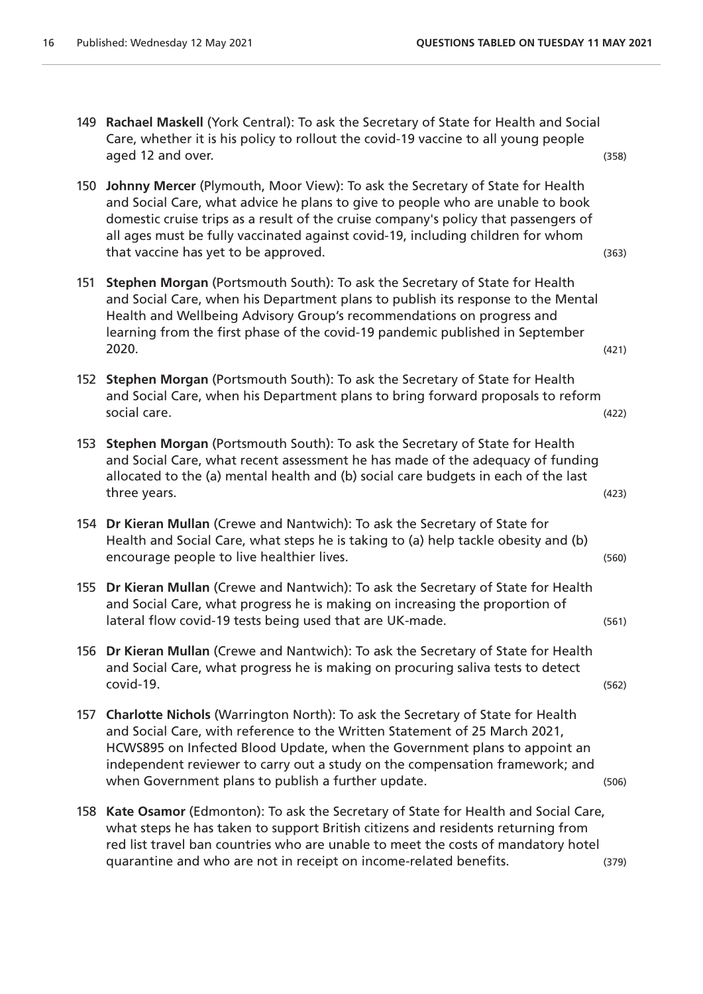- 149 **Rachael Maskell** (York Central): To ask the Secretary of State for Health and Social Care, whether it is his policy to rollout the covid-19 vaccine to all young people aged 12 and over. (358)
- 150 **Johnny Mercer** (Plymouth, Moor View): To ask the Secretary of State for Health and Social Care, what advice he plans to give to people who are unable to book domestic cruise trips as a result of the cruise company's policy that passengers of all ages must be fully vaccinated against covid-19, including children for whom that vaccine has yet to be approved. The same state of the state of the state of the state of the state of the state of the state of the state of the state of the state of the state of the state of the state of the state o
- 151 **Stephen Morgan** (Portsmouth South): To ask the Secretary of State for Health and Social Care, when his Department plans to publish its response to the Mental Health and Wellbeing Advisory Group's recommendations on progress and learning from the first phase of the covid-19 pandemic published in September 2020. (421)
- 152 **Stephen Morgan** (Portsmouth South): To ask the Secretary of State for Health and Social Care, when his Department plans to bring forward proposals to reform social care. (422)
- 153 **Stephen Morgan** (Portsmouth South): To ask the Secretary of State for Health and Social Care, what recent assessment he has made of the adequacy of funding allocated to the (a) mental health and (b) social care budgets in each of the last three years. (423)
- 154 **Dr Kieran Mullan** (Crewe and Nantwich): To ask the Secretary of State for Health and Social Care, what steps he is taking to (a) help tackle obesity and (b) encourage people to live healthier lives. The same state of the state of the state of the state of the state of the state of the state of the state of the state of the state of the state of the state of the state of the st
- 155 **Dr Kieran Mullan** (Crewe and Nantwich): To ask the Secretary of State for Health and Social Care, what progress he is making on increasing the proportion of lateral flow covid-19 tests being used that are UK-made. (561)
- 156 **Dr Kieran Mullan** (Crewe and Nantwich): To ask the Secretary of State for Health and Social Care, what progress he is making on procuring saliva tests to detect covid-19. (562)
- 157 **Charlotte Nichols** (Warrington North): To ask the Secretary of State for Health and Social Care, with reference to the Written Statement of 25 March 2021, HCWS895 on Infected Blood Update, when the Government plans to appoint an independent reviewer to carry out a study on the compensation framework; and when Government plans to publish a further update. The contract of the contract of the contract of the contract of the contract of the contract of the contract of the contract of the contract of the contract of the contrac
- 158 **Kate Osamor** (Edmonton): To ask the Secretary of State for Health and Social Care, what steps he has taken to support British citizens and residents returning from red list travel ban countries who are unable to meet the costs of mandatory hotel quarantine and who are not in receipt on income-related benefits. (379)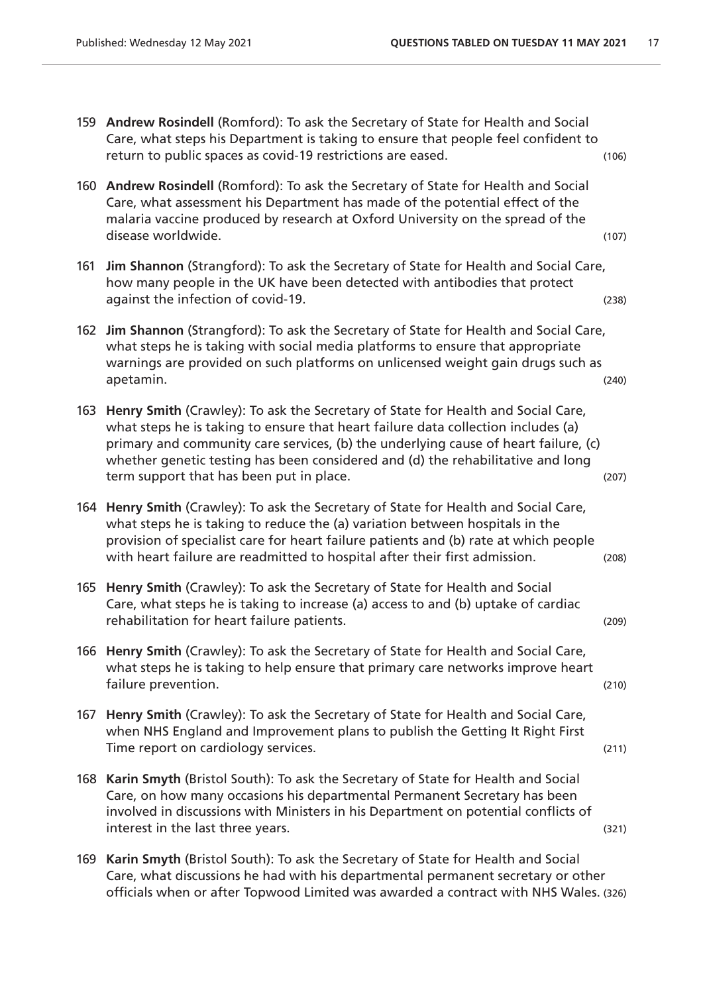- 159 **Andrew Rosindell** (Romford): To ask the Secretary of State for Health and Social Care, what steps his Department is taking to ensure that people feel confident to return to public spaces as covid-19 restrictions are eased. (106)
- 160 **Andrew Rosindell** (Romford): To ask the Secretary of State for Health and Social Care, what assessment his Department has made of the potential effect of the malaria vaccine produced by research at Oxford University on the spread of the disease worldwide. (107)
- 161 **Jim Shannon** (Strangford): To ask the Secretary of State for Health and Social Care, how many people in the UK have been detected with antibodies that protect against the infection of covid-19. (238) and the infection of covid-19.
- 162 **Jim Shannon** (Strangford): To ask the Secretary of State for Health and Social Care, what steps he is taking with social media platforms to ensure that appropriate warnings are provided on such platforms on unlicensed weight gain drugs such as apetamin. (240)
- 163 **Henry Smith** (Crawley): To ask the Secretary of State for Health and Social Care, what steps he is taking to ensure that heart failure data collection includes (a) primary and community care services, (b) the underlying cause of heart failure, (c) whether genetic testing has been considered and (d) the rehabilitative and long term support that has been put in place. (207)  $(207)$
- 164 **Henry Smith** (Crawley): To ask the Secretary of State for Health and Social Care, what steps he is taking to reduce the (a) variation between hospitals in the provision of specialist care for heart failure patients and (b) rate at which people with heart failure are readmitted to hospital after their first admission. (208)
- 165 **Henry Smith** (Crawley): To ask the Secretary of State for Health and Social Care, what steps he is taking to increase (a) access to and (b) uptake of cardiac rehabilitation for heart failure patients. (209)
- 166 **Henry Smith** (Crawley): To ask the Secretary of State for Health and Social Care, what steps he is taking to help ensure that primary care networks improve heart failure prevention. (210) the contract of the contract of the contract of the contract of the contract of the contract of the contract of the contract of the contract of the contract of the contract of the contract of the
- 167 **Henry Smith** (Crawley): To ask the Secretary of State for Health and Social Care, when NHS England and Improvement plans to publish the Getting It Right First Time report on cardiology services. The contract of the contract of the contract of the contract of the contract of the contract of the contract of the contract of the contract of the contract of the contract of the contra
- 168 **Karin Smyth** (Bristol South): To ask the Secretary of State for Health and Social Care, on how many occasions his departmental Permanent Secretary has been involved in discussions with Ministers in his Department on potential conflicts of interest in the last three years. (321)  $(321)$
- 169 **Karin Smyth** (Bristol South): To ask the Secretary of State for Health and Social Care, what discussions he had with his departmental permanent secretary or other officials when or after Topwood Limited was awarded a contract with NHS Wales. (326)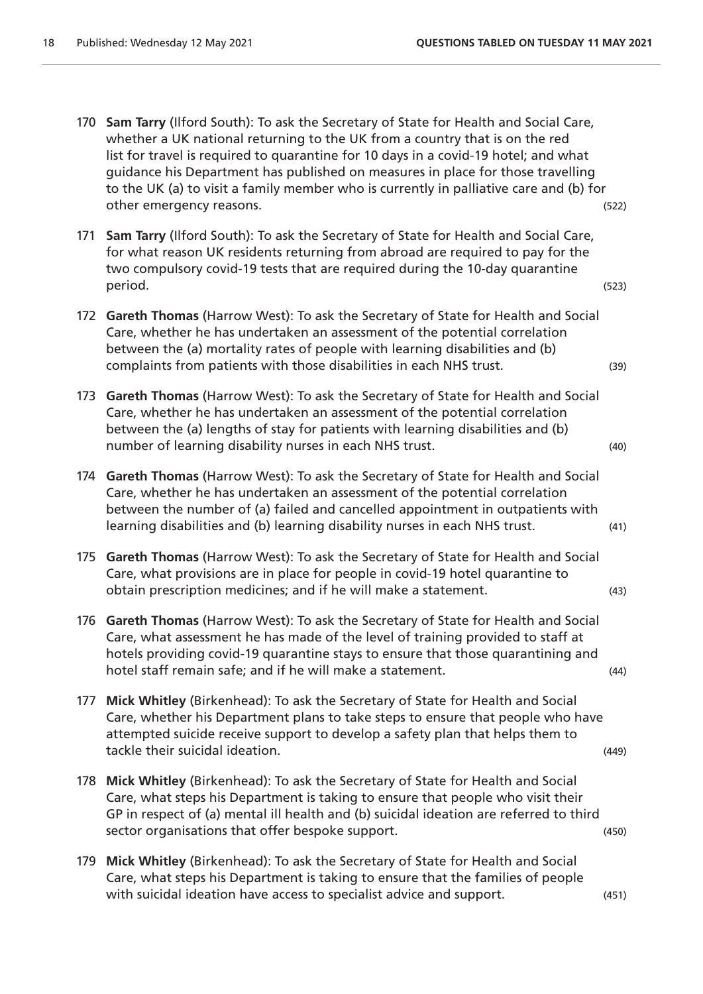- 170 **Sam Tarry** (Ilford South): To ask the Secretary of State for Health and Social Care, whether a UK national returning to the UK from a country that is on the red list for travel is required to quarantine for 10 days in a covid-19 hotel; and what guidance his Department has published on measures in place for those travelling to the UK (a) to visit a family member who is currently in palliative care and (b) for other emergency reasons. (522)
- 171 **Sam Tarry** (Ilford South): To ask the Secretary of State for Health and Social Care, for what reason UK residents returning from abroad are required to pay for the two compulsory covid-19 tests that are required during the 10-day quarantine period. (523)
- 172 **Gareth Thomas** (Harrow West): To ask the Secretary of State for Health and Social Care, whether he has undertaken an assessment of the potential correlation between the (a) mortality rates of people with learning disabilities and (b) complaints from patients with those disabilities in each NHS trust. (39)
- 173 **Gareth Thomas** (Harrow West): To ask the Secretary of State for Health and Social Care, whether he has undertaken an assessment of the potential correlation between the (a) lengths of stay for patients with learning disabilities and (b) number of learning disability nurses in each NHS trust. (40)
- 174 **Gareth Thomas** (Harrow West): To ask the Secretary of State for Health and Social Care, whether he has undertaken an assessment of the potential correlation between the number of (a) failed and cancelled appointment in outpatients with learning disabilities and (b) learning disability nurses in each NHS trust. (41)
- 175 **Gareth Thomas** (Harrow West): To ask the Secretary of State for Health and Social Care, what provisions are in place for people in covid-19 hotel quarantine to obtain prescription medicines; and if he will make a statement. (43)
- 176 **Gareth Thomas** (Harrow West): To ask the Secretary of State for Health and Social Care, what assessment he has made of the level of training provided to staff at hotels providing covid-19 quarantine stays to ensure that those quarantining and hotel staff remain safe; and if he will make a statement. (44)
- 177 **Mick Whitley** (Birkenhead): To ask the Secretary of State for Health and Social Care, whether his Department plans to take steps to ensure that people who have attempted suicide receive support to develop a safety plan that helps them to tackle their suicidal ideation. (449)
- 178 **Mick Whitley** (Birkenhead): To ask the Secretary of State for Health and Social Care, what steps his Department is taking to ensure that people who visit their GP in respect of (a) mental ill health and (b) suicidal ideation are referred to third sector organisations that offer bespoke support.  $(450)$
- 179 **Mick Whitley** (Birkenhead): To ask the Secretary of State for Health and Social Care, what steps his Department is taking to ensure that the families of people with suicidal ideation have access to specialist advice and support. (451)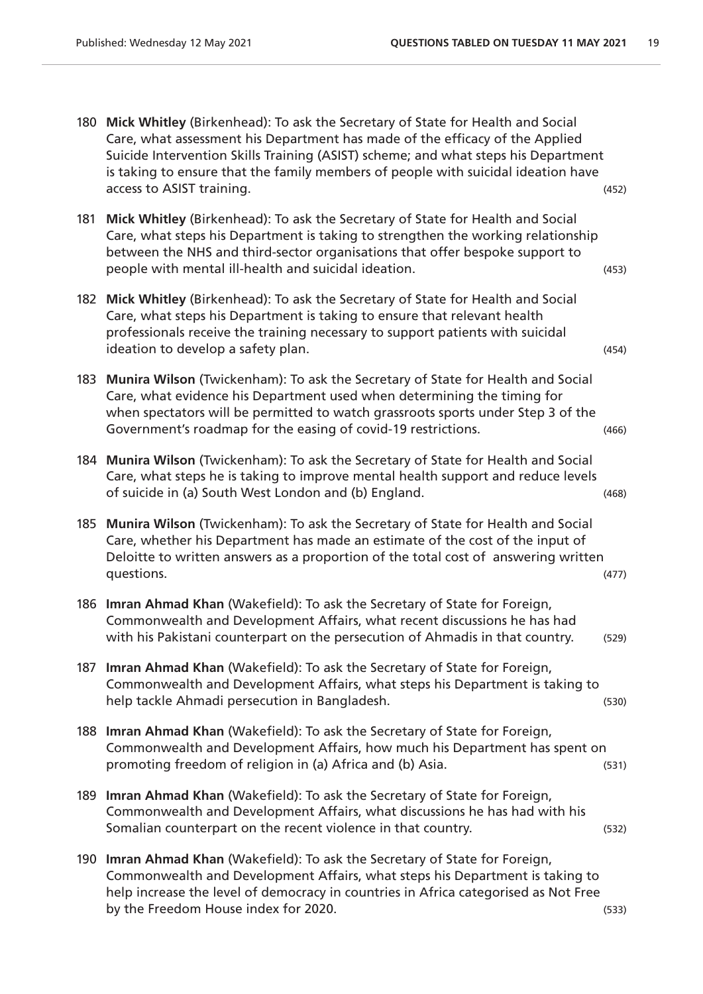- 180 **Mick Whitley** (Birkenhead): To ask the Secretary of State for Health and Social Care, what assessment his Department has made of the efficacy of the Applied Suicide Intervention Skills Training (ASIST) scheme; and what steps his Department is taking to ensure that the family members of people with suicidal ideation have access to ASIST training. (452)
- 181 **Mick Whitley** (Birkenhead): To ask the Secretary of State for Health and Social Care, what steps his Department is taking to strengthen the working relationship between the NHS and third-sector organisations that offer bespoke support to people with mental ill-health and suicidal ideation. (453)
- 182 **Mick Whitley** (Birkenhead): To ask the Secretary of State for Health and Social Care, what steps his Department is taking to ensure that relevant health professionals receive the training necessary to support patients with suicidal ideation to develop a safety plan. (454)  $(454)$
- 183 **Munira Wilson** (Twickenham): To ask the Secretary of State for Health and Social Care, what evidence his Department used when determining the timing for when spectators will be permitted to watch grassroots sports under Step 3 of the Government's roadmap for the easing of covid-19 restrictions. (466)
- 184 **Munira Wilson** (Twickenham): To ask the Secretary of State for Health and Social Care, what steps he is taking to improve mental health support and reduce levels of suicide in (a) South West London and (b) England. (468)
- 185 **Munira Wilson** (Twickenham): To ask the Secretary of State for Health and Social Care, whether his Department has made an estimate of the cost of the input of Deloitte to written answers as a proportion of the total cost of answering written questions. (477)
- 186 **Imran Ahmad Khan** (Wakefield): To ask the Secretary of State for Foreign, Commonwealth and Development Affairs, what recent discussions he has had with his Pakistani counterpart on the persecution of Ahmadis in that country. (529)
- 187 **Imran Ahmad Khan** (Wakefield): To ask the Secretary of State for Foreign, Commonwealth and Development Affairs, what steps his Department is taking to help tackle Ahmadi persecution in Bangladesh. (530)
- 188 **Imran Ahmad Khan** (Wakefield): To ask the Secretary of State for Foreign, Commonwealth and Development Affairs, how much his Department has spent on promoting freedom of religion in (a) Africa and (b) Asia. (531)
- 189 **Imran Ahmad Khan** (Wakefield): To ask the Secretary of State for Foreign, Commonwealth and Development Affairs, what discussions he has had with his Somalian counterpart on the recent violence in that country. (532)
- 190 **Imran Ahmad Khan** (Wakefield): To ask the Secretary of State for Foreign, Commonwealth and Development Affairs, what steps his Department is taking to help increase the level of democracy in countries in Africa categorised as Not Free by the Freedom House index for 2020. (533)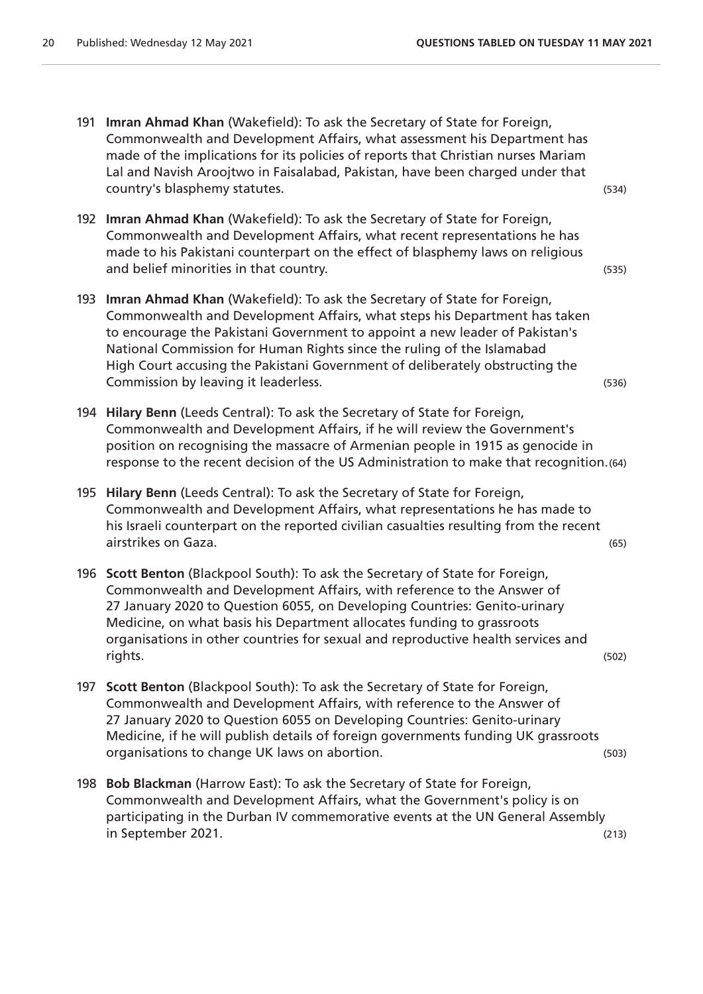- 191 **Imran Ahmad Khan** (Wakefield): To ask the Secretary of State for Foreign, Commonwealth and Development Affairs, what assessment his Department has made of the implications for its policies of reports that Christian nurses Mariam Lal and Navish Aroojtwo in Faisalabad, Pakistan, have been charged under that country's blasphemy statutes. (534)
- 192 **Imran Ahmad Khan** (Wakefield): To ask the Secretary of State for Foreign, Commonwealth and Development Affairs, what recent representations he has made to his Pakistani counterpart on the effect of blasphemy laws on religious and belief minorities in that country. The same state of the state of the state of the state of the state of the state of the state of the state of the state of the state of the state of the state of the state of the state
- 193 **Imran Ahmad Khan** (Wakefield): To ask the Secretary of State for Foreign, Commonwealth and Development Affairs, what steps his Department has taken to encourage the Pakistani Government to appoint a new leader of Pakistan's National Commission for Human Rights since the ruling of the Islamabad High Court accusing the Pakistani Government of deliberately obstructing the Commission by leaving it leaderless. (536)
- 194 **Hilary Benn** (Leeds Central): To ask the Secretary of State for Foreign, Commonwealth and Development Affairs, if he will review the Government's position on recognising the massacre of Armenian people in 1915 as genocide in response to the recent decision of the US Administration to make that recognition.(64)
- 195 **Hilary Benn** (Leeds Central): To ask the Secretary of State for Foreign, Commonwealth and Development Affairs, what representations he has made to his Israeli counterpart on the reported civilian casualties resulting from the recent airstrikes on Gaza. (65)
- 196 **Scott Benton** (Blackpool South): To ask the Secretary of State for Foreign, Commonwealth and Development Affairs, with reference to the Answer of 27 January 2020 to Question 6055, on Developing Countries: Genito-urinary Medicine, on what basis his Department allocates funding to grassroots organisations in other countries for sexual and reproductive health services and rights. (502)
- 197 **Scott Benton** (Blackpool South): To ask the Secretary of State for Foreign, Commonwealth and Development Affairs, with reference to the Answer of 27 January 2020 to Question 6055 on Developing Countries: Genito-urinary Medicine, if he will publish details of foreign governments funding UK grassroots organisations to change UK laws on abortion. (503)
- 198 **Bob Blackman** (Harrow East): To ask the Secretary of State for Foreign, Commonwealth and Development Affairs, what the Government's policy is on participating in the Durban IV commemorative events at the UN General Assembly in September 2021. (213)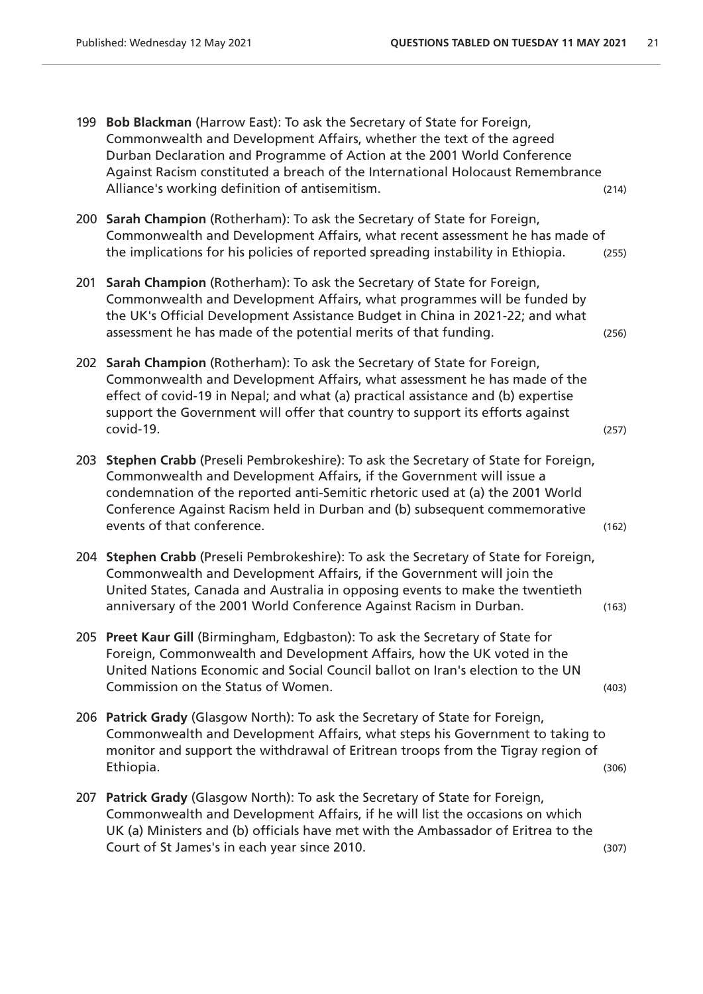- 199 **Bob Blackman** (Harrow East): To ask the Secretary of State for Foreign, Commonwealth and Development Affairs, whether the text of the agreed Durban Declaration and Programme of Action at the 2001 World Conference Against Racism constituted a breach of the International Holocaust Remembrance Alliance's working definition of antisemitism. (214)
- 200 **Sarah Champion** (Rotherham): To ask the Secretary of State for Foreign, Commonwealth and Development Affairs, what recent assessment he has made of the implications for his policies of reported spreading instability in Ethiopia. (255)
- 201 **Sarah Champion** (Rotherham): To ask the Secretary of State for Foreign, Commonwealth and Development Affairs, what programmes will be funded by the UK's Official Development Assistance Budget in China in 2021-22; and what assessment he has made of the potential merits of that funding. (256)
- 202 **Sarah Champion** (Rotherham): To ask the Secretary of State for Foreign, Commonwealth and Development Affairs, what assessment he has made of the effect of covid-19 in Nepal; and what (a) practical assistance and (b) expertise support the Government will offer that country to support its efforts against covid-19. (257)
- 203 **Stephen Crabb** (Preseli Pembrokeshire): To ask the Secretary of State for Foreign, Commonwealth and Development Affairs, if the Government will issue a condemnation of the reported anti-Semitic rhetoric used at (a) the 2001 World Conference Against Racism held in Durban and (b) subsequent commemorative events of that conference. (162)
- 204 **Stephen Crabb** (Preseli Pembrokeshire): To ask the Secretary of State for Foreign, Commonwealth and Development Affairs, if the Government will join the United States, Canada and Australia in opposing events to make the twentieth anniversary of the 2001 World Conference Against Racism in Durban. (163)
- 205 **Preet Kaur Gill** (Birmingham, Edgbaston): To ask the Secretary of State for Foreign, Commonwealth and Development Affairs, how the UK voted in the United Nations Economic and Social Council ballot on Iran's election to the UN Commission on the Status of Women. (403)
- 206 **Patrick Grady** (Glasgow North): To ask the Secretary of State for Foreign, Commonwealth and Development Affairs, what steps his Government to taking to monitor and support the withdrawal of Eritrean troops from the Tigray region of Ethiopia. (306)
- 207 **Patrick Grady** (Glasgow North): To ask the Secretary of State for Foreign, Commonwealth and Development Affairs, if he will list the occasions on which UK (a) Ministers and (b) officials have met with the Ambassador of Eritrea to the Court of St James's in each year since 2010. (307)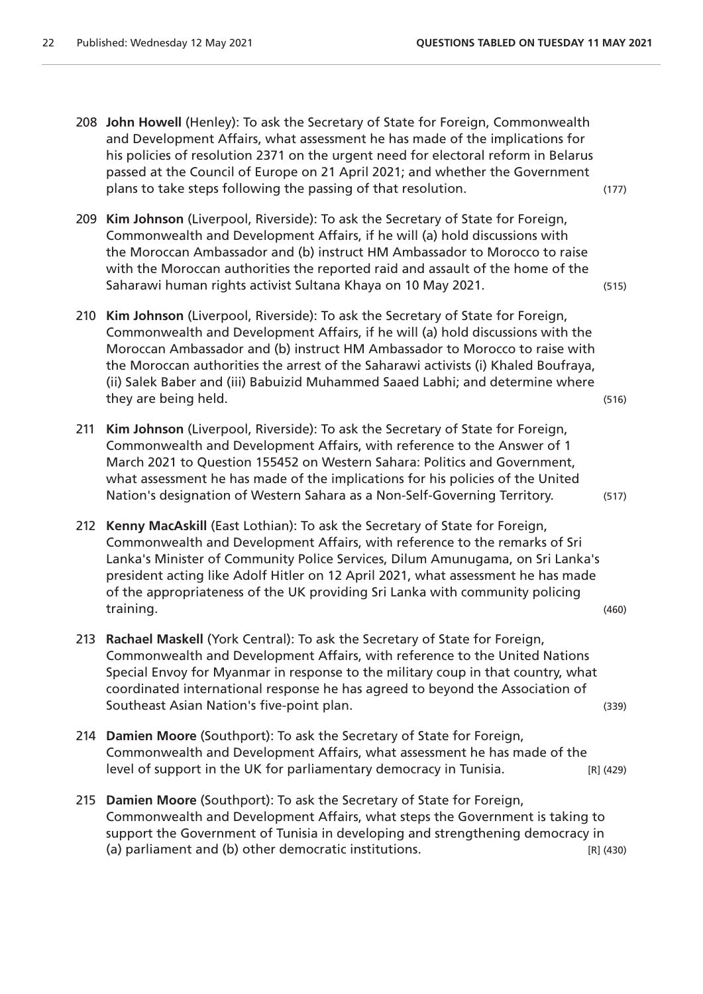- 208 **John Howell** (Henley): To ask the Secretary of State for Foreign, Commonwealth and Development Affairs, what assessment he has made of the implications for his policies of resolution 2371 on the urgent need for electoral reform in Belarus passed at the Council of Europe on 21 April 2021; and whether the Government plans to take steps following the passing of that resolution. (177)
- 209 **Kim Johnson** (Liverpool, Riverside): To ask the Secretary of State for Foreign, Commonwealth and Development Affairs, if he will (a) hold discussions with the Moroccan Ambassador and (b) instruct HM Ambassador to Morocco to raise with the Moroccan authorities the reported raid and assault of the home of the Saharawi human rights activist Sultana Khaya on 10 May 2021. (515)
- 210 **Kim Johnson** (Liverpool, Riverside): To ask the Secretary of State for Foreign, Commonwealth and Development Affairs, if he will (a) hold discussions with the Moroccan Ambassador and (b) instruct HM Ambassador to Morocco to raise with the Moroccan authorities the arrest of the Saharawi activists (i) Khaled Boufraya, (ii) Salek Baber and (iii) Babuizid Muhammed Saaed Labhi; and determine where they are being held. (516)
- 211 **Kim Johnson** (Liverpool, Riverside): To ask the Secretary of State for Foreign, Commonwealth and Development Affairs, with reference to the Answer of 1 March 2021 to Question 155452 on Western Sahara: Politics and Government, what assessment he has made of the implications for his policies of the United Nation's designation of Western Sahara as a Non-Self-Governing Territory. (517)
- 212 **Kenny MacAskill** (East Lothian): To ask the Secretary of State for Foreign, Commonwealth and Development Affairs, with reference to the remarks of Sri Lanka's Minister of Community Police Services, Dilum Amunugama, on Sri Lanka's president acting like Adolf Hitler on 12 April 2021, what assessment he has made of the appropriateness of the UK providing Sri Lanka with community policing training. (460)
- 213 **Rachael Maskell** (York Central): To ask the Secretary of State for Foreign, Commonwealth and Development Affairs, with reference to the United Nations Special Envoy for Myanmar in response to the military coup in that country, what coordinated international response he has agreed to beyond the Association of Southeast Asian Nation's five-point plan. (339)
- 214 **Damien Moore** (Southport): To ask the Secretary of State for Foreign, Commonwealth and Development Affairs, what assessment he has made of the level of support in the UK for parliamentary democracy in Tunisia. [R] (429)
- 215 **Damien Moore** (Southport): To ask the Secretary of State for Foreign, Commonwealth and Development Affairs, what steps the Government is taking to support the Government of Tunisia in developing and strengthening democracy in (a) parliament and (b) other democratic institutions. [R] (A30) [R] (430)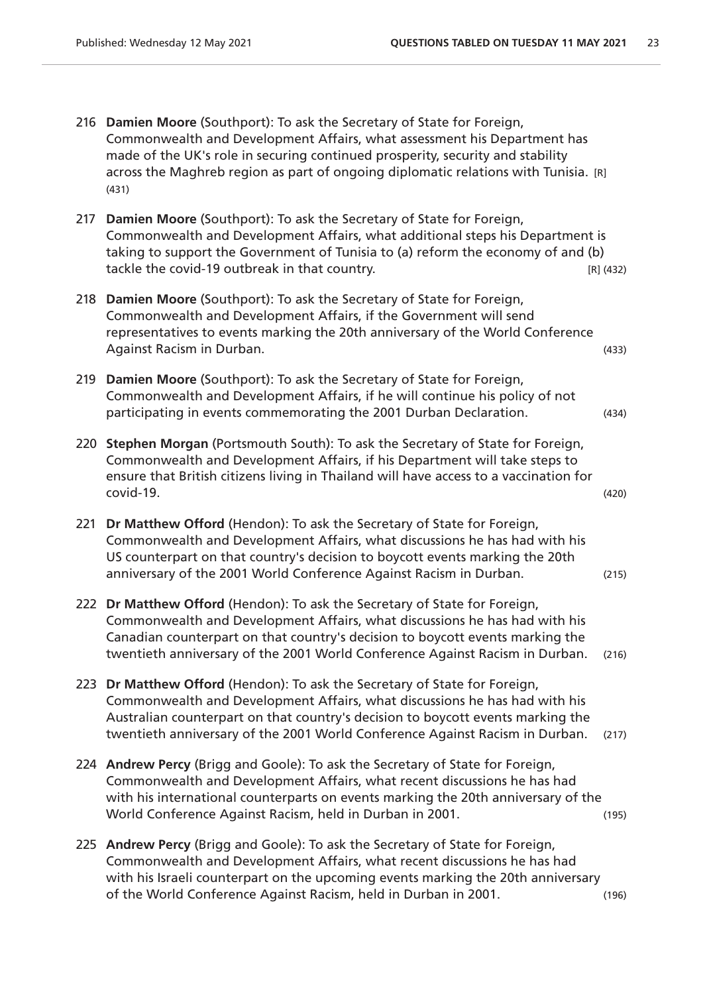- 216 **Damien Moore** (Southport): To ask the Secretary of State for Foreign, Commonwealth and Development Affairs, what assessment his Department has made of the UK's role in securing continued prosperity, security and stability across the Maghreb region as part of ongoing diplomatic relations with Tunisia. [R] (431)
- 217 **Damien Moore** (Southport): To ask the Secretary of State for Foreign, Commonwealth and Development Affairs, what additional steps his Department is taking to support the Government of Tunisia to (a) reform the economy of and (b) tackle the covid-19 outbreak in that country. The same state of the covid-19 outbreak in that country.
- 218 **Damien Moore** (Southport): To ask the Secretary of State for Foreign, Commonwealth and Development Affairs, if the Government will send representatives to events marking the 20th anniversary of the World Conference Against Racism in Durban. (433)
- 219 **Damien Moore** (Southport): To ask the Secretary of State for Foreign, Commonwealth and Development Affairs, if he will continue his policy of not participating in events commemorating the 2001 Durban Declaration. (434)
- 220 **Stephen Morgan** (Portsmouth South): To ask the Secretary of State for Foreign, Commonwealth and Development Affairs, if his Department will take steps to ensure that British citizens living in Thailand will have access to a vaccination for covid-19. (420)
- 221 **Dr Matthew Offord** (Hendon): To ask the Secretary of State for Foreign, Commonwealth and Development Affairs, what discussions he has had with his US counterpart on that country's decision to boycott events marking the 20th anniversary of the 2001 World Conference Against Racism in Durban. (215)
- 222 **Dr Matthew Offord** (Hendon): To ask the Secretary of State for Foreign, Commonwealth and Development Affairs, what discussions he has had with his Canadian counterpart on that country's decision to boycott events marking the twentieth anniversary of the 2001 World Conference Against Racism in Durban. (216)
- 223 **Dr Matthew Offord** (Hendon): To ask the Secretary of State for Foreign, Commonwealth and Development Affairs, what discussions he has had with his Australian counterpart on that country's decision to boycott events marking the twentieth anniversary of the 2001 World Conference Against Racism in Durban. (217)
- 224 **Andrew Percy** (Brigg and Goole): To ask the Secretary of State for Foreign, Commonwealth and Development Affairs, what recent discussions he has had with his international counterparts on events marking the 20th anniversary of the World Conference Against Racism, held in Durban in 2001. (195)
- 225 **Andrew Percy** (Brigg and Goole): To ask the Secretary of State for Foreign, Commonwealth and Development Affairs, what recent discussions he has had with his Israeli counterpart on the upcoming events marking the 20th anniversary of the World Conference Against Racism, held in Durban in 2001. (196)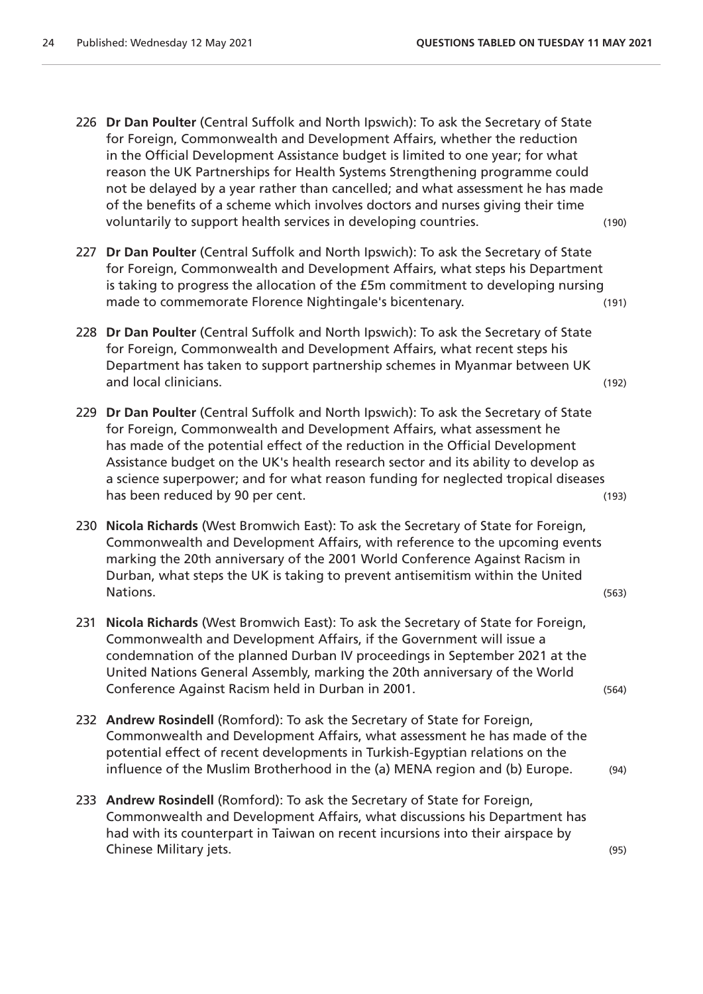- 226 **Dr Dan Poulter** (Central Suffolk and North Ipswich): To ask the Secretary of State for Foreign, Commonwealth and Development Affairs, whether the reduction in the Official Development Assistance budget is limited to one year; for what reason the UK Partnerships for Health Systems Strengthening programme could not be delayed by a year rather than cancelled; and what assessment he has made of the benefits of a scheme which involves doctors and nurses giving their time voluntarily to support health services in developing countries. (190)
- 227 **Dr Dan Poulter** (Central Suffolk and North Ipswich): To ask the Secretary of State for Foreign, Commonwealth and Development Affairs, what steps his Department is taking to progress the allocation of the £5m commitment to developing nursing made to commemorate Florence Nightingale's bicentenary. (191)
- 228 **Dr Dan Poulter** (Central Suffolk and North Ipswich): To ask the Secretary of State for Foreign, Commonwealth and Development Affairs, what recent steps his Department has taken to support partnership schemes in Myanmar between UK and local clinicians. (192)
- 229 **Dr Dan Poulter** (Central Suffolk and North Ipswich): To ask the Secretary of State for Foreign, Commonwealth and Development Affairs, what assessment he has made of the potential effect of the reduction in the Official Development Assistance budget on the UK's health research sector and its ability to develop as a science superpower; and for what reason funding for neglected tropical diseases has been reduced by 90 per cent. (193) has been reduced by 90 per cent.
- 230 **Nicola Richards** (West Bromwich East): To ask the Secretary of State for Foreign, Commonwealth and Development Affairs, with reference to the upcoming events marking the 20th anniversary of the 2001 World Conference Against Racism in Durban, what steps the UK is taking to prevent antisemitism within the United Nations. (563)
- 231 **Nicola Richards** (West Bromwich East): To ask the Secretary of State for Foreign, Commonwealth and Development Affairs, if the Government will issue a condemnation of the planned Durban IV proceedings in September 2021 at the United Nations General Assembly, marking the 20th anniversary of the World Conference Against Racism held in Durban in 2001. (564)
- 232 **Andrew Rosindell** (Romford): To ask the Secretary of State for Foreign, Commonwealth and Development Affairs, what assessment he has made of the potential effect of recent developments in Turkish-Egyptian relations on the influence of the Muslim Brotherhood in the (a) MENA region and (b) Europe. (94)
- 233 **Andrew Rosindell** (Romford): To ask the Secretary of State for Foreign, Commonwealth and Development Affairs, what discussions his Department has had with its counterpart in Taiwan on recent incursions into their airspace by Chinese Military jets. (95)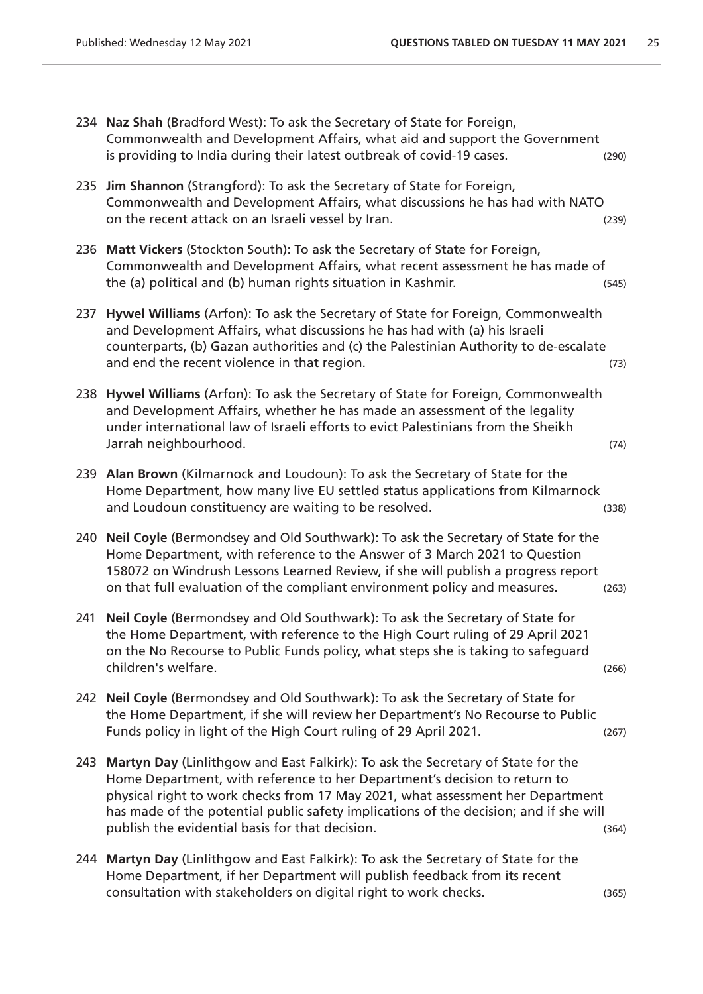234 **Naz Shah** (Bradford West): To ask the Secretary of State for Foreign, Commonwealth and Development Affairs, what aid and support the Government is providing to India during their latest outbreak of covid-19 cases. (290) 235 **Jim Shannon** (Strangford): To ask the Secretary of State for Foreign, Commonwealth and Development Affairs, what discussions he has had with NATO on the recent attack on an Israeli vessel by Iran. (239) 236 **Matt Vickers** (Stockton South): To ask the Secretary of State for Foreign, Commonwealth and Development Affairs, what recent assessment he has made of the (a) political and (b) human rights situation in Kashmir. (545) 237 **Hywel Williams** (Arfon): To ask the Secretary of State for Foreign, Commonwealth and Development Affairs, what discussions he has had with (a) his Israeli counterparts, (b) Gazan authorities and (c) the Palestinian Authority to de-escalate and end the recent violence in that region. (73) 238 **Hywel Williams** (Arfon): To ask the Secretary of State for Foreign, Commonwealth and Development Affairs, whether he has made an assessment of the legality under international law of Israeli efforts to evict Palestinians from the Sheikh Jarrah neighbourhood. (74) 239 **Alan Brown** (Kilmarnock and Loudoun): To ask the Secretary of State for the Home Department, how many live EU settled status applications from Kilmarnock and Loudoun constituency are waiting to be resolved. The same constitution of  $(338)$ 240 **Neil Coyle** (Bermondsey and Old Southwark): To ask the Secretary of State for the Home Department, with reference to the Answer of 3 March 2021 to Question 158072 on Windrush Lessons Learned Review, if she will publish a progress report on that full evaluation of the compliant environment policy and measures. (263) 241 **Neil Coyle** (Bermondsey and Old Southwark): To ask the Secretary of State for the Home Department, with reference to the High Court ruling of 29 April 2021 on the No Recourse to Public Funds policy, what steps she is taking to safeguard children's welfare. (266) 242 **Neil Coyle** (Bermondsey and Old Southwark): To ask the Secretary of State for the Home Department, if she will review her Department's No Recourse to Public Funds policy in light of the High Court ruling of 29 April 2021. (267) 243 **Martyn Day** (Linlithgow and East Falkirk): To ask the Secretary of State for the Home Department, with reference to her Department's decision to return to physical right to work checks from 17 May 2021, what assessment her Department has made of the potential public safety implications of the decision; and if she will publish the evidential basis for that decision. The same state of the state of the state of the state of the s 244 **Martyn Day** (Linlithgow and East Falkirk): To ask the Secretary of State for the Home Department, if her Department will publish feedback from its recent consultation with stakeholders on digital right to work checks. (365)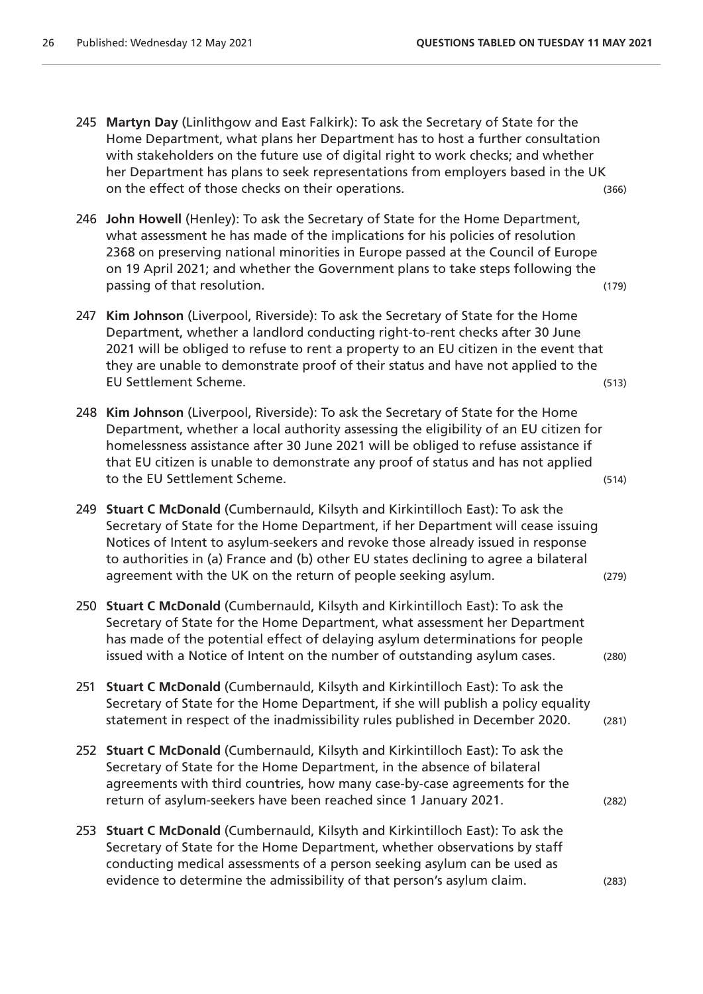- 245 **Martyn Day** (Linlithgow and East Falkirk): To ask the Secretary of State for the Home Department, what plans her Department has to host a further consultation with stakeholders on the future use of digital right to work checks; and whether her Department has plans to seek representations from employers based in the UK on the effect of those checks on their operations. (366)
- 246 **John Howell** (Henley): To ask the Secretary of State for the Home Department, what assessment he has made of the implications for his policies of resolution 2368 on preserving national minorities in Europe passed at the Council of Europe on 19 April 2021; and whether the Government plans to take steps following the passing of that resolution. (179)
- 247 **Kim Johnson** (Liverpool, Riverside): To ask the Secretary of State for the Home Department, whether a landlord conducting right-to-rent checks after 30 June 2021 will be obliged to refuse to rent a property to an EU citizen in the event that they are unable to demonstrate proof of their status and have not applied to the EU Settlement Scheme. (513)
- 248 **Kim Johnson** (Liverpool, Riverside): To ask the Secretary of State for the Home Department, whether a local authority assessing the eligibility of an EU citizen for homelessness assistance after 30 June 2021 will be obliged to refuse assistance if that EU citizen is unable to demonstrate any proof of status and has not applied to the EU Settlement Scheme. (514)
- 249 **Stuart C McDonald** (Cumbernauld, Kilsyth and Kirkintilloch East): To ask the Secretary of State for the Home Department, if her Department will cease issuing Notices of Intent to asylum-seekers and revoke those already issued in response to authorities in (a) France and (b) other EU states declining to agree a bilateral agreement with the UK on the return of people seeking asylum. (279)
- 250 **Stuart C McDonald** (Cumbernauld, Kilsyth and Kirkintilloch East): To ask the Secretary of State for the Home Department, what assessment her Department has made of the potential effect of delaying asylum determinations for people issued with a Notice of Intent on the number of outstanding asylum cases. (280)
- 251 **Stuart C McDonald** (Cumbernauld, Kilsyth and Kirkintilloch East): To ask the Secretary of State for the Home Department, if she will publish a policy equality statement in respect of the inadmissibility rules published in December 2020. (281)
- 252 **Stuart C McDonald** (Cumbernauld, Kilsyth and Kirkintilloch East): To ask the Secretary of State for the Home Department, in the absence of bilateral agreements with third countries, how many case-by-case agreements for the return of asylum-seekers have been reached since 1 January 2021. (282)
- 253 **Stuart C McDonald** (Cumbernauld, Kilsyth and Kirkintilloch East): To ask the Secretary of State for the Home Department, whether observations by staff conducting medical assessments of a person seeking asylum can be used as evidence to determine the admissibility of that person's asylum claim. (283)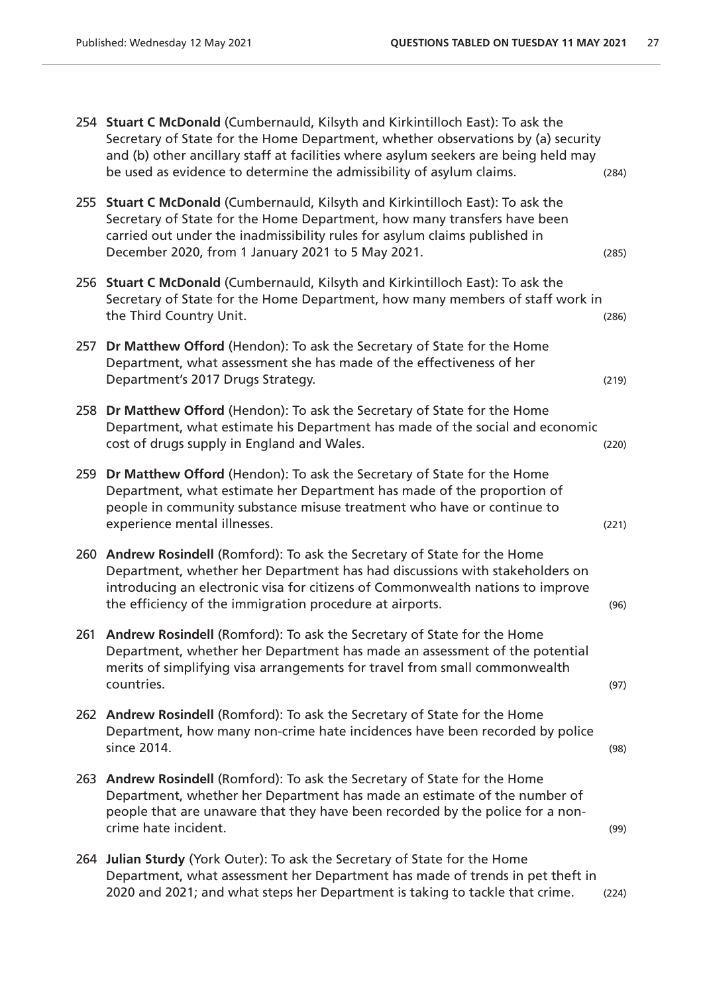|     | 254 Stuart C McDonald (Cumbernauld, Kilsyth and Kirkintilloch East): To ask the<br>Secretary of State for the Home Department, whether observations by (a) security<br>and (b) other ancillary staff at facilities where asylum seekers are being held may<br>be used as evidence to determine the admissibility of asylum claims. | (284) |
|-----|------------------------------------------------------------------------------------------------------------------------------------------------------------------------------------------------------------------------------------------------------------------------------------------------------------------------------------|-------|
|     | 255 Stuart C McDonald (Cumbernauld, Kilsyth and Kirkintilloch East): To ask the<br>Secretary of State for the Home Department, how many transfers have been<br>carried out under the inadmissibility rules for asylum claims published in<br>December 2020, from 1 January 2021 to 5 May 2021.                                     | (285) |
|     | 256 Stuart C McDonald (Cumbernauld, Kilsyth and Kirkintilloch East): To ask the<br>Secretary of State for the Home Department, how many members of staff work in<br>the Third Country Unit.                                                                                                                                        | (286) |
| 257 | Dr Matthew Offord (Hendon): To ask the Secretary of State for the Home<br>Department, what assessment she has made of the effectiveness of her<br>Department's 2017 Drugs Strategy.                                                                                                                                                | (219) |
|     | 258 Dr Matthew Offord (Hendon): To ask the Secretary of State for the Home<br>Department, what estimate his Department has made of the social and economic<br>cost of drugs supply in England and Wales.                                                                                                                           | (220) |
| 259 | Dr Matthew Offord (Hendon): To ask the Secretary of State for the Home<br>Department, what estimate her Department has made of the proportion of<br>people in community substance misuse treatment who have or continue to<br>experience mental illnesses.                                                                         | (221) |
| 260 | Andrew Rosindell (Romford): To ask the Secretary of State for the Home<br>Department, whether her Department has had discussions with stakeholders on<br>introducing an electronic visa for citizens of Commonwealth nations to improve<br>the efficiency of the immigration procedure at airports.                                | (96)  |
|     | 261 Andrew Rosindell (Romford): To ask the Secretary of State for the Home<br>Department, whether her Department has made an assessment of the potential<br>merits of simplifying visa arrangements for travel from small commonwealth<br>countries.                                                                               | (97)  |
|     | 262 Andrew Rosindell (Romford): To ask the Secretary of State for the Home<br>Department, how many non-crime hate incidences have been recorded by police<br>since 2014.                                                                                                                                                           | (98)  |
|     | 263 Andrew Rosindell (Romford): To ask the Secretary of State for the Home<br>Department, whether her Department has made an estimate of the number of<br>people that are unaware that they have been recorded by the police for a non-<br>crime hate incident.                                                                    | (99)  |
|     | 264 Julian Sturdy (York Outer): To ask the Secretary of State for the Home<br>Department, what assessment her Department has made of trends in pet theft in<br>2020 and 2021; and what steps her Department is taking to tackle that crime.                                                                                        | (224) |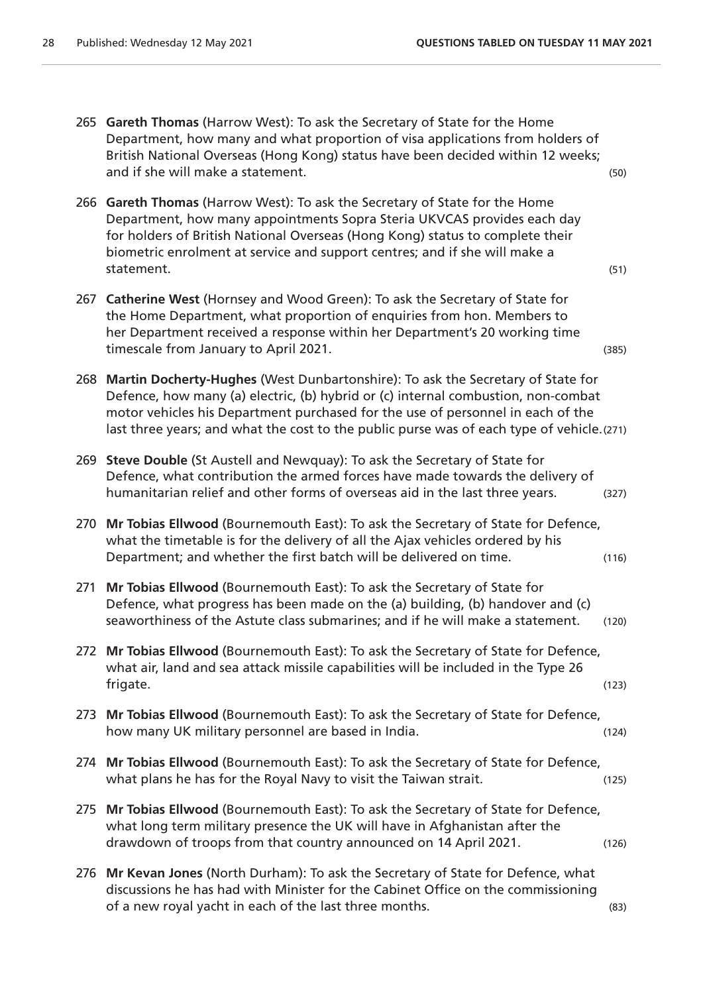- 265 **Gareth Thomas** (Harrow West): To ask the Secretary of State for the Home Department, how many and what proportion of visa applications from holders of British National Overseas (Hong Kong) status have been decided within 12 weeks; and if she will make a statement. (50)
- 266 **Gareth Thomas** (Harrow West): To ask the Secretary of State for the Home Department, how many appointments Sopra Steria UKVCAS provides each day for holders of British National Overseas (Hong Kong) status to complete their biometric enrolment at service and support centres; and if she will make a statement. (51)
- 267 **Catherine West** (Hornsey and Wood Green): To ask the Secretary of State for the Home Department, what proportion of enquiries from hon. Members to her Department received a response within her Department's 20 working time timescale from January to April 2021. The same state of the state of the state of the state of the state of the state of the state of the state of the state of the state of the state of the state of the state of the state
- 268 **Martin Docherty-Hughes** (West Dunbartonshire): To ask the Secretary of State for Defence, how many (a) electric, (b) hybrid or (c) internal combustion, non-combat motor vehicles his Department purchased for the use of personnel in each of the last three years; and what the cost to the public purse was of each type of vehicle.(271)
- 269 **Steve Double** (St Austell and Newquay): To ask the Secretary of State for Defence, what contribution the armed forces have made towards the delivery of humanitarian relief and other forms of overseas aid in the last three years. (327)
- 270 **Mr Tobias Ellwood** (Bournemouth East): To ask the Secretary of State for Defence, what the timetable is for the delivery of all the Ajax vehicles ordered by his Department; and whether the first batch will be delivered on time. (116)
- 271 **Mr Tobias Ellwood** (Bournemouth East): To ask the Secretary of State for Defence, what progress has been made on the (a) building, (b) handover and (c) seaworthiness of the Astute class submarines; and if he will make a statement. (120)
- 272 **Mr Tobias Ellwood** (Bournemouth East): To ask the Secretary of State for Defence, what air, land and sea attack missile capabilities will be included in the Type 26 frigate. (123)
- 273 **Mr Tobias Ellwood** (Bournemouth East): To ask the Secretary of State for Defence, how many UK military personnel are based in India. (124)
- 274 **Mr Tobias Ellwood** (Bournemouth East): To ask the Secretary of State for Defence, what plans he has for the Royal Navy to visit the Taiwan strait. (125)
- 275 **Mr Tobias Ellwood** (Bournemouth East): To ask the Secretary of State for Defence, what long term military presence the UK will have in Afghanistan after the drawdown of troops from that country announced on 14 April 2021. (126)
- 276 **Mr Kevan Jones** (North Durham): To ask the Secretary of State for Defence, what discussions he has had with Minister for the Cabinet Office on the commissioning of a new royal yacht in each of the last three months. (83)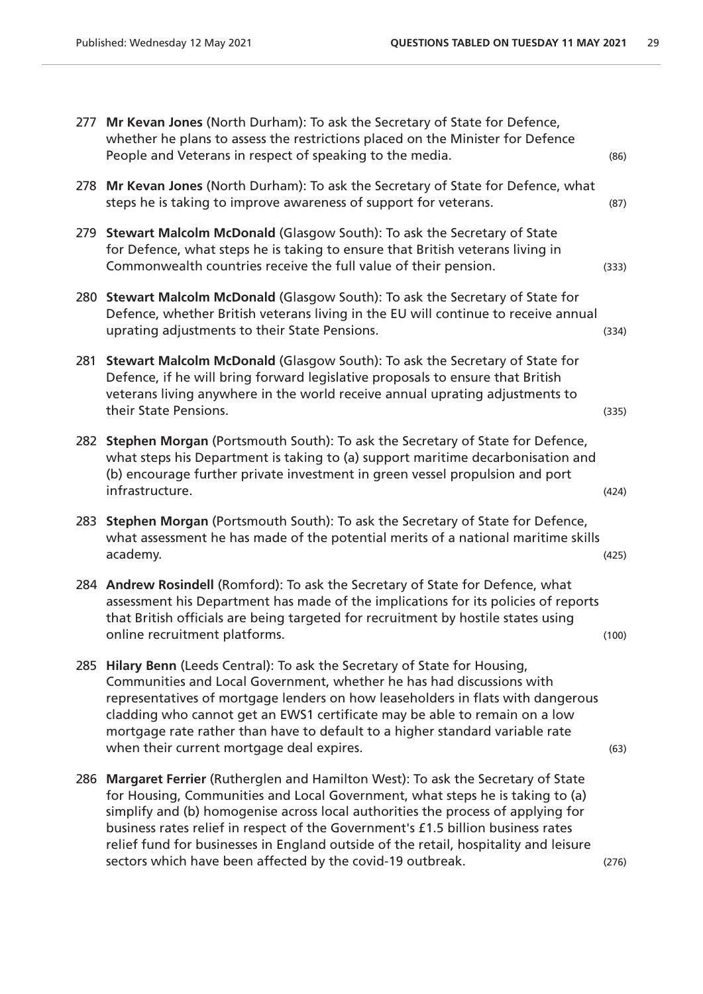|     | 277 Mr Kevan Jones (North Durham): To ask the Secretary of State for Defence,<br>whether he plans to assess the restrictions placed on the Minister for Defence<br>People and Veterans in respect of speaking to the media.                                                                                                                                                                                                                                                                   | (86)  |
|-----|-----------------------------------------------------------------------------------------------------------------------------------------------------------------------------------------------------------------------------------------------------------------------------------------------------------------------------------------------------------------------------------------------------------------------------------------------------------------------------------------------|-------|
| 278 | Mr Kevan Jones (North Durham): To ask the Secretary of State for Defence, what<br>steps he is taking to improve awareness of support for veterans.                                                                                                                                                                                                                                                                                                                                            | (87)  |
|     | 279 Stewart Malcolm McDonald (Glasgow South): To ask the Secretary of State<br>for Defence, what steps he is taking to ensure that British veterans living in<br>Commonwealth countries receive the full value of their pension.                                                                                                                                                                                                                                                              | (333) |
|     | 280 Stewart Malcolm McDonald (Glasgow South): To ask the Secretary of State for<br>Defence, whether British veterans living in the EU will continue to receive annual<br>uprating adjustments to their State Pensions.                                                                                                                                                                                                                                                                        | (334) |
| 281 | Stewart Malcolm McDonald (Glasgow South): To ask the Secretary of State for<br>Defence, if he will bring forward legislative proposals to ensure that British<br>veterans living anywhere in the world receive annual uprating adjustments to<br>their State Pensions.                                                                                                                                                                                                                        | (335) |
|     | 282 Stephen Morgan (Portsmouth South): To ask the Secretary of State for Defence,<br>what steps his Department is taking to (a) support maritime decarbonisation and<br>(b) encourage further private investment in green vessel propulsion and port<br>infrastructure.                                                                                                                                                                                                                       | (424) |
| 283 | Stephen Morgan (Portsmouth South): To ask the Secretary of State for Defence,<br>what assessment he has made of the potential merits of a national maritime skills<br>academy.                                                                                                                                                                                                                                                                                                                | (425) |
|     | 284 Andrew Rosindell (Romford): To ask the Secretary of State for Defence, what<br>assessment his Department has made of the implications for its policies of reports<br>that British officials are being targeted for recruitment by hostile states using<br>online recruitment platforms.                                                                                                                                                                                                   | (100) |
|     | 285 Hilary Benn (Leeds Central): To ask the Secretary of State for Housing,<br>Communities and Local Government, whether he has had discussions with<br>representatives of mortgage lenders on how leaseholders in flats with dangerous<br>cladding who cannot get an EWS1 certificate may be able to remain on a low<br>mortgage rate rather than have to default to a higher standard variable rate<br>when their current mortgage deal expires.                                            | (63)  |
| 286 | Margaret Ferrier (Rutherglen and Hamilton West): To ask the Secretary of State<br>for Housing, Communities and Local Government, what steps he is taking to (a)<br>simplify and (b) homogenise across local authorities the process of applying for<br>business rates relief in respect of the Government's £1.5 billion business rates<br>relief fund for businesses in England outside of the retail, hospitality and leisure<br>sectors which have been affected by the covid-19 outbreak. | (276) |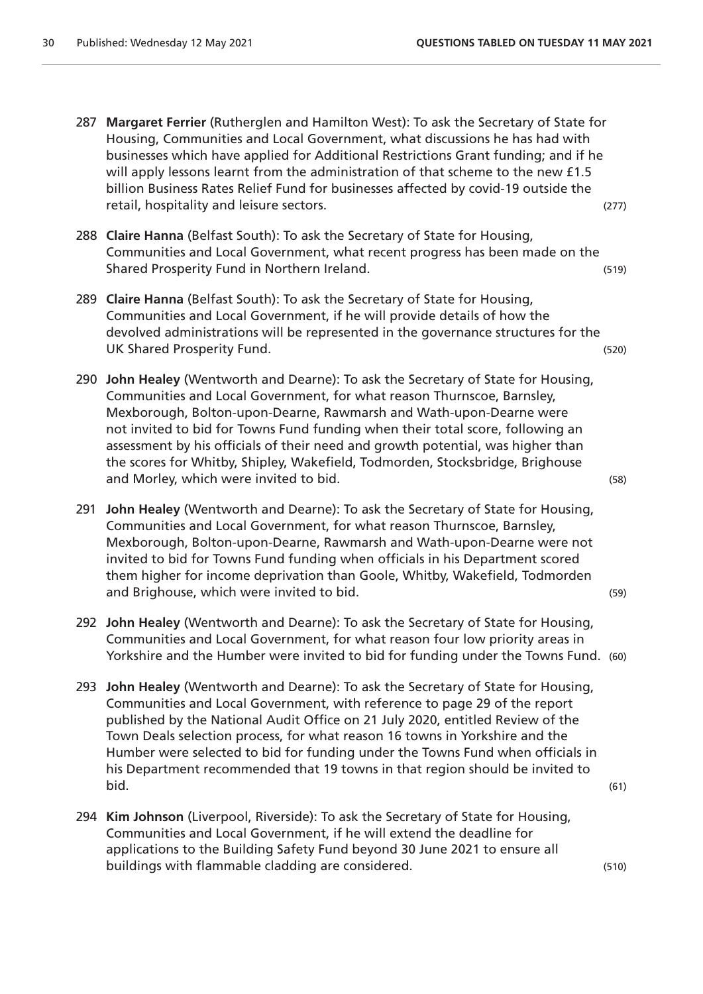- 287 **Margaret Ferrier** (Rutherglen and Hamilton West): To ask the Secretary of State for Housing, Communities and Local Government, what discussions he has had with businesses which have applied for Additional Restrictions Grant funding; and if he will apply lessons learnt from the administration of that scheme to the new £1.5 billion Business Rates Relief Fund for businesses affected by covid-19 outside the retail, hospitality and leisure sectors. (277)
- 288 **Claire Hanna** (Belfast South): To ask the Secretary of State for Housing, Communities and Local Government, what recent progress has been made on the Shared Prosperity Fund in Northern Ireland. The state of the state of the state of the state of the state of the state of the state of the state of the state of the state of the state of the state of the state of the state
- 289 **Claire Hanna** (Belfast South): To ask the Secretary of State for Housing, Communities and Local Government, if he will provide details of how the devolved administrations will be represented in the governance structures for the UK Shared Prosperity Fund. (520)
- 290 **John Healey** (Wentworth and Dearne): To ask the Secretary of State for Housing, Communities and Local Government, for what reason Thurnscoe, Barnsley, Mexborough, Bolton-upon-Dearne, Rawmarsh and Wath-upon-Dearne were not invited to bid for Towns Fund funding when their total score, following an assessment by his officials of their need and growth potential, was higher than the scores for Whitby, Shipley, Wakefield, Todmorden, Stocksbridge, Brighouse and Morley, which were invited to bid. The same state of the state of the state of the state of the state of the state of the state of the state of the state of the state of the state of the state of the state of the state
- 291 **John Healey** (Wentworth and Dearne): To ask the Secretary of State for Housing, Communities and Local Government, for what reason Thurnscoe, Barnsley, Mexborough, Bolton-upon-Dearne, Rawmarsh and Wath-upon-Dearne were not invited to bid for Towns Fund funding when officials in his Department scored them higher for income deprivation than Goole, Whitby, Wakefield, Todmorden and Brighouse, which were invited to bid. (59)
- 292 **John Healey** (Wentworth and Dearne): To ask the Secretary of State for Housing, Communities and Local Government, for what reason four low priority areas in Yorkshire and the Humber were invited to bid for funding under the Towns Fund. (60)
- 293 **John Healey** (Wentworth and Dearne): To ask the Secretary of State for Housing, Communities and Local Government, with reference to page 29 of the report published by the National Audit Office on 21 July 2020, entitled Review of the Town Deals selection process, for what reason 16 towns in Yorkshire and the Humber were selected to bid for funding under the Towns Fund when officials in his Department recommended that 19 towns in that region should be invited to bid. (61)
- 294 **Kim Johnson** (Liverpool, Riverside): To ask the Secretary of State for Housing, Communities and Local Government, if he will extend the deadline for applications to the Building Safety Fund beyond 30 June 2021 to ensure all buildings with flammable cladding are considered. (510)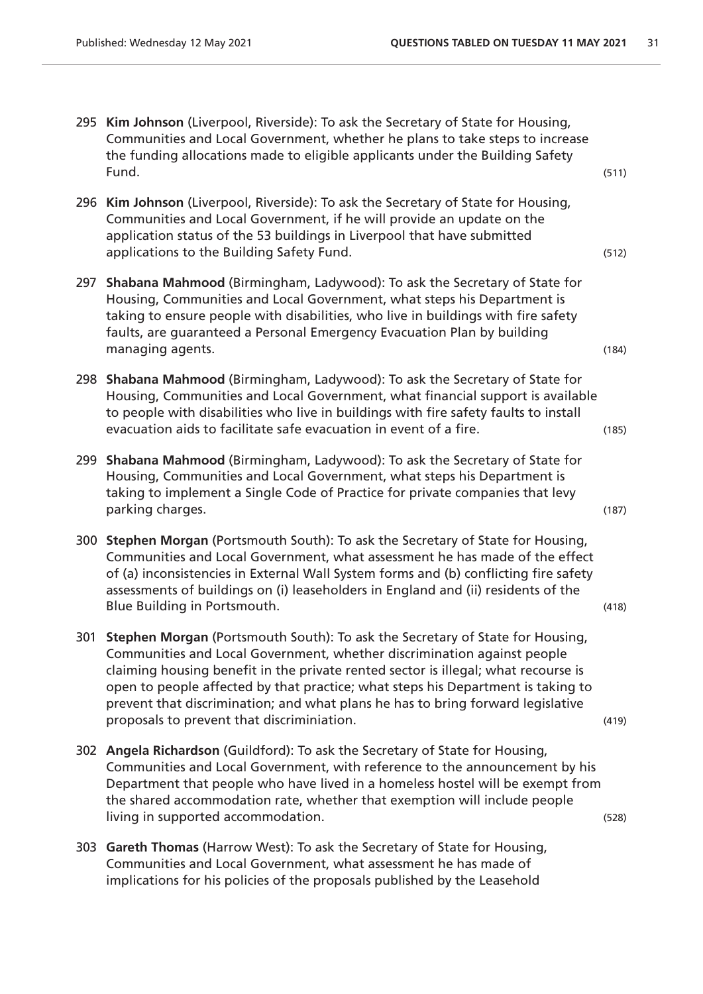|     | 295 Kim Johnson (Liverpool, Riverside): To ask the Secretary of State for Housing,<br>Communities and Local Government, whether he plans to take steps to increase<br>the funding allocations made to eligible applicants under the Building Safety<br>Fund.                                                                                                                                                                                                            | (511) |
|-----|-------------------------------------------------------------------------------------------------------------------------------------------------------------------------------------------------------------------------------------------------------------------------------------------------------------------------------------------------------------------------------------------------------------------------------------------------------------------------|-------|
|     | 296 Kim Johnson (Liverpool, Riverside): To ask the Secretary of State for Housing,<br>Communities and Local Government, if he will provide an update on the<br>application status of the 53 buildings in Liverpool that have submitted<br>applications to the Building Safety Fund.                                                                                                                                                                                     | (512) |
| 297 | Shabana Mahmood (Birmingham, Ladywood): To ask the Secretary of State for<br>Housing, Communities and Local Government, what steps his Department is<br>taking to ensure people with disabilities, who live in buildings with fire safety<br>faults, are guaranteed a Personal Emergency Evacuation Plan by building<br>managing agents.                                                                                                                                | (184) |
|     | 298 Shabana Mahmood (Birmingham, Ladywood): To ask the Secretary of State for<br>Housing, Communities and Local Government, what financial support is available<br>to people with disabilities who live in buildings with fire safety faults to install<br>evacuation aids to facilitate safe evacuation in event of a fire.                                                                                                                                            | (185) |
| 299 | Shabana Mahmood (Birmingham, Ladywood): To ask the Secretary of State for<br>Housing, Communities and Local Government, what steps his Department is<br>taking to implement a Single Code of Practice for private companies that levy<br>parking charges.                                                                                                                                                                                                               | (187) |
|     | 300 Stephen Morgan (Portsmouth South): To ask the Secretary of State for Housing,<br>Communities and Local Government, what assessment he has made of the effect<br>of (a) inconsistencies in External Wall System forms and (b) conflicting fire safety<br>assessments of buildings on (i) leaseholders in England and (ii) residents of the<br>Blue Building in Portsmouth.                                                                                           | (418) |
|     | 301 Stephen Morgan (Portsmouth South): To ask the Secretary of State for Housing,<br>Communities and Local Government, whether discrimination against people<br>claiming housing benefit in the private rented sector is illegal; what recourse is<br>open to people affected by that practice; what steps his Department is taking to<br>prevent that discrimination; and what plans he has to bring forward legislative<br>proposals to prevent that discriminiation. | (419) |
|     | 302 Angela Richardson (Guildford): To ask the Secretary of State for Housing,<br>Communities and Local Government, with reference to the announcement by his                                                                                                                                                                                                                                                                                                            |       |

living in supported accommodation. (528)

303 **Gareth Thomas** (Harrow West): To ask the Secretary of State for Housing, Communities and Local Government, what assessment he has made of implications for his policies of the proposals published by the Leasehold

Department that people who have lived in a homeless hostel will be exempt from the shared accommodation rate, whether that exemption will include people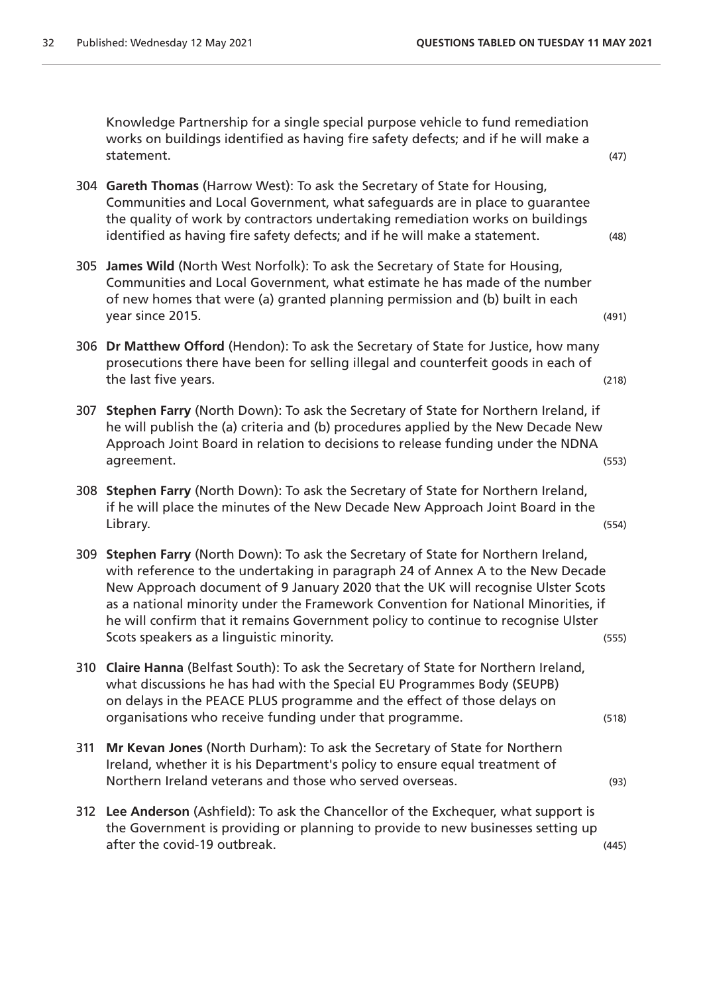Knowledge Partnership for a single special purpose vehicle to fund remediation works on buildings identified as having fire safety defects; and if he will make a statement. (47)

- 304 **Gareth Thomas** (Harrow West): To ask the Secretary of State for Housing, Communities and Local Government, what safeguards are in place to guarantee the quality of work by contractors undertaking remediation works on buildings identified as having fire safety defects; and if he will make a statement. (48)
- 305 **James Wild** (North West Norfolk): To ask the Secretary of State for Housing, Communities and Local Government, what estimate he has made of the number of new homes that were (a) granted planning permission and (b) built in each year since 2015. (491)
- 306 **Dr Matthew Offord** (Hendon): To ask the Secretary of State for Justice, how many prosecutions there have been for selling illegal and counterfeit goods in each of the last five years. (218)
- 307 **Stephen Farry** (North Down): To ask the Secretary of State for Northern Ireland, if he will publish the (a) criteria and (b) procedures applied by the New Decade New Approach Joint Board in relation to decisions to release funding under the NDNA agreement. (553)
- 308 **Stephen Farry** (North Down): To ask the Secretary of State for Northern Ireland, if he will place the minutes of the New Decade New Approach Joint Board in the Library. (554)
- 309 **Stephen Farry** (North Down): To ask the Secretary of State for Northern Ireland, with reference to the undertaking in paragraph 24 of Annex A to the New Decade New Approach document of 9 January 2020 that the UK will recognise Ulster Scots as a national minority under the Framework Convention for National Minorities, if he will confirm that it remains Government policy to continue to recognise Ulster Scots speakers as a linguistic minority. The second second second second second second second second second second second second second second second second second second second second second second second second second se
- 310 **Claire Hanna** (Belfast South): To ask the Secretary of State for Northern Ireland, what discussions he has had with the Special EU Programmes Body (SEUPB) on delays in the PEACE PLUS programme and the effect of those delays on organisations who receive funding under that programme. (518)
- 311 **Mr Kevan Jones** (North Durham): To ask the Secretary of State for Northern Ireland, whether it is his Department's policy to ensure equal treatment of Northern Ireland veterans and those who served overseas. (93)
- 312 **Lee Anderson** (Ashfield): To ask the Chancellor of the Exchequer, what support is the Government is providing or planning to provide to new businesses setting up after the covid-19 outbreak. (445)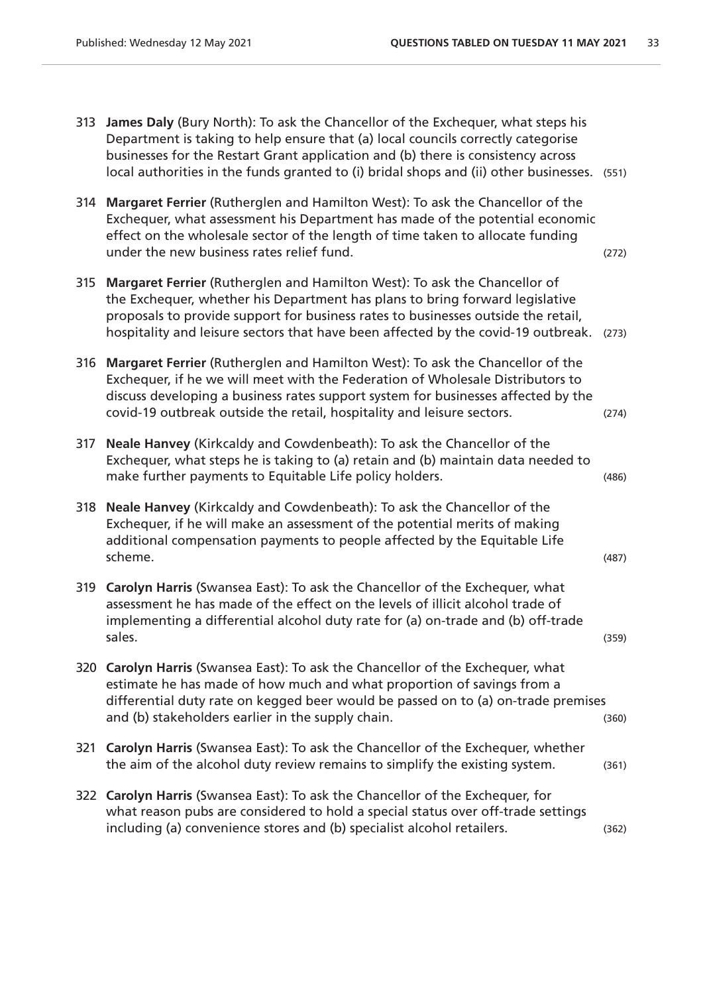- 313 **James Daly** (Bury North): To ask the Chancellor of the Exchequer, what steps his Department is taking to help ensure that (a) local councils correctly categorise businesses for the Restart Grant application and (b) there is consistency across local authorities in the funds granted to (i) bridal shops and (ii) other businesses. (551)
- 314 **Margaret Ferrier** (Rutherglen and Hamilton West): To ask the Chancellor of the Exchequer, what assessment his Department has made of the potential economic effect on the wholesale sector of the length of time taken to allocate funding under the new business rates relief fund. (272)
- 315 **Margaret Ferrier** (Rutherglen and Hamilton West): To ask the Chancellor of the Exchequer, whether his Department has plans to bring forward legislative proposals to provide support for business rates to businesses outside the retail, hospitality and leisure sectors that have been affected by the covid-19 outbreak. (273)
- 316 **Margaret Ferrier** (Rutherglen and Hamilton West): To ask the Chancellor of the Exchequer, if he we will meet with the Federation of Wholesale Distributors to discuss developing a business rates support system for businesses affected by the covid-19 outbreak outside the retail, hospitality and leisure sectors. (274)
- 317 **Neale Hanvey** (Kirkcaldy and Cowdenbeath): To ask the Chancellor of the Exchequer, what steps he is taking to (a) retain and (b) maintain data needed to make further payments to Equitable Life policy holders. (486)
- 318 **Neale Hanvey** (Kirkcaldy and Cowdenbeath): To ask the Chancellor of the Exchequer, if he will make an assessment of the potential merits of making additional compensation payments to people affected by the Equitable Life scheme. (487)
- 319 **Carolyn Harris** (Swansea East): To ask the Chancellor of the Exchequer, what assessment he has made of the effect on the levels of illicit alcohol trade of implementing a differential alcohol duty rate for (a) on-trade and (b) off-trade sales. (359)
- 320 **Carolyn Harris** (Swansea East): To ask the Chancellor of the Exchequer, what estimate he has made of how much and what proportion of savings from a differential duty rate on kegged beer would be passed on to (a) on-trade premises and (b) stakeholders earlier in the supply chain. (360)  $(360)$
- 321 **Carolyn Harris** (Swansea East): To ask the Chancellor of the Exchequer, whether the aim of the alcohol duty review remains to simplify the existing system. (361)
- 322 **Carolyn Harris** (Swansea East): To ask the Chancellor of the Exchequer, for what reason pubs are considered to hold a special status over off-trade settings including (a) convenience stores and (b) specialist alcohol retailers. (362)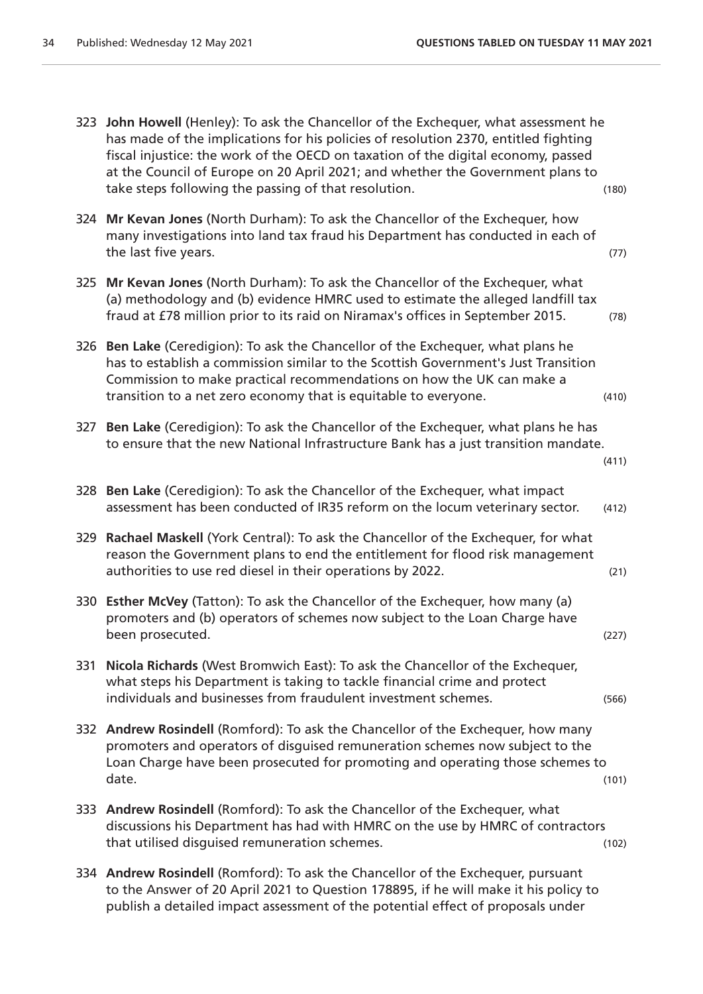|     | 323 John Howell (Henley): To ask the Chancellor of the Exchequer, what assessment he<br>has made of the implications for his policies of resolution 2370, entitled fighting<br>fiscal injustice: the work of the OECD on taxation of the digital economy, passed<br>at the Council of Europe on 20 April 2021; and whether the Government plans to<br>take steps following the passing of that resolution. | (180) |
|-----|------------------------------------------------------------------------------------------------------------------------------------------------------------------------------------------------------------------------------------------------------------------------------------------------------------------------------------------------------------------------------------------------------------|-------|
| 324 | Mr Kevan Jones (North Durham): To ask the Chancellor of the Exchequer, how<br>many investigations into land tax fraud his Department has conducted in each of<br>the last five years.                                                                                                                                                                                                                      | (77)  |
|     | 325 Mr Kevan Jones (North Durham): To ask the Chancellor of the Exchequer, what<br>(a) methodology and (b) evidence HMRC used to estimate the alleged landfill tax<br>fraud at £78 million prior to its raid on Niramax's offices in September 2015.                                                                                                                                                       | (78)  |
| 326 | Ben Lake (Ceredigion): To ask the Chancellor of the Exchequer, what plans he<br>has to establish a commission similar to the Scottish Government's Just Transition<br>Commission to make practical recommendations on how the UK can make a<br>transition to a net zero economy that is equitable to everyone.                                                                                             | (410) |
| 327 | Ben Lake (Ceredigion): To ask the Chancellor of the Exchequer, what plans he has<br>to ensure that the new National Infrastructure Bank has a just transition mandate.                                                                                                                                                                                                                                     | (411) |
|     | 328 Ben Lake (Ceredigion): To ask the Chancellor of the Exchequer, what impact<br>assessment has been conducted of IR35 reform on the locum veterinary sector.                                                                                                                                                                                                                                             | (412) |
| 329 | Rachael Maskell (York Central): To ask the Chancellor of the Exchequer, for what<br>reason the Government plans to end the entitlement for flood risk management<br>authorities to use red diesel in their operations by 2022.                                                                                                                                                                             | (21)  |
|     | 330 Esther McVey (Tatton): To ask the Chancellor of the Exchequer, how many (a)<br>promoters and (b) operators of schemes now subject to the Loan Charge have<br>been prosecuted.                                                                                                                                                                                                                          | (227) |
| 331 | Nicola Richards (West Bromwich East): To ask the Chancellor of the Exchequer,<br>what steps his Department is taking to tackle financial crime and protect<br>individuals and businesses from fraudulent investment schemes.                                                                                                                                                                               | (566) |
|     | 332 Andrew Rosindell (Romford): To ask the Chancellor of the Exchequer, how many<br>promoters and operators of disguised remuneration schemes now subject to the<br>Loan Charge have been prosecuted for promoting and operating those schemes to<br>date.                                                                                                                                                 | (101) |
|     | 333 Andrew Rosindell (Romford): To ask the Chancellor of the Exchequer, what<br>discussions his Department has had with HMRC on the use by HMRC of contractors<br>that utilised disguised remuneration schemes.                                                                                                                                                                                            | (102) |
|     | 334 Andrew Rosindell (Romford): To ask the Chancellor of the Exchequer, pursuant<br>to the Apswer of 20 April 2021 to Question 170005 if he will make it bis policy to                                                                                                                                                                                                                                     |       |

to the Answer of 20 April 2021 to Question 178895, if he will make it his policy to publish a detailed impact assessment of the potential effect of proposals under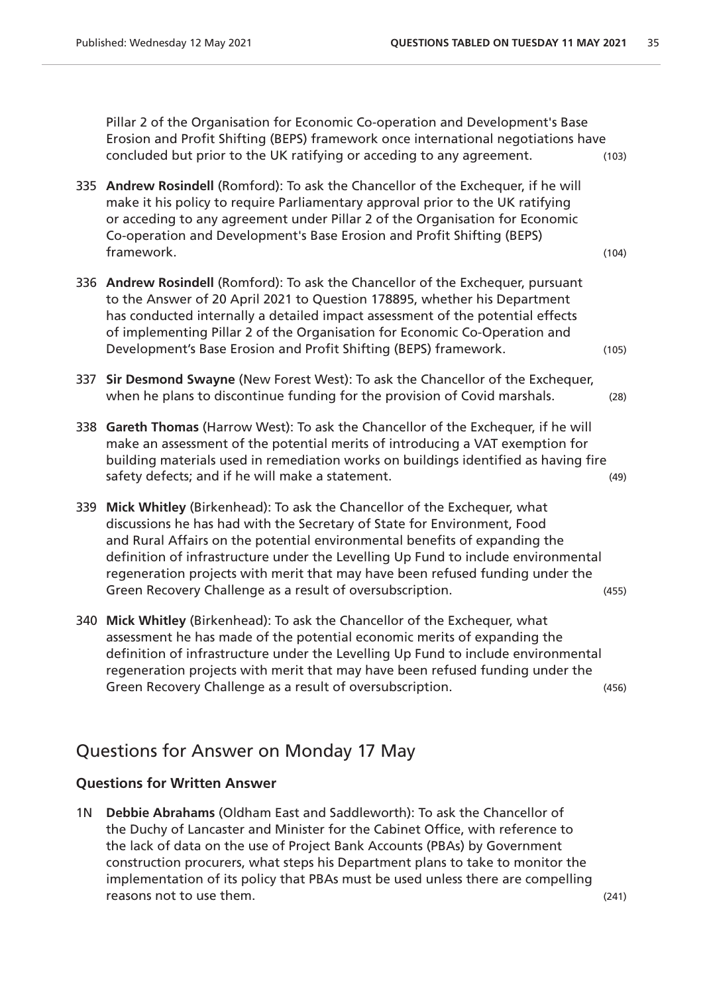Pillar 2 of the Organisation for Economic Co-operation and Development's Base Erosion and Profit Shifting (BEPS) framework once international negotiations have concluded but prior to the UK ratifying or acceding to any agreement. (103)

- 335 **Andrew Rosindell** (Romford): To ask the Chancellor of the Exchequer, if he will make it his policy to require Parliamentary approval prior to the UK ratifying or acceding to any agreement under Pillar 2 of the Organisation for Economic Co-operation and Development's Base Erosion and Profit Shifting (BEPS) framework. (104)
- 336 **Andrew Rosindell** (Romford): To ask the Chancellor of the Exchequer, pursuant to the Answer of 20 April 2021 to Question 178895, whether his Department has conducted internally a detailed impact assessment of the potential effects of implementing Pillar 2 of the Organisation for Economic Co-Operation and Development's Base Erosion and Profit Shifting (BEPS) framework. (105)
- 337 **Sir Desmond Swayne** (New Forest West): To ask the Chancellor of the Exchequer, when he plans to discontinue funding for the provision of Covid marshals. (28)
- 338 **Gareth Thomas** (Harrow West): To ask the Chancellor of the Exchequer, if he will make an assessment of the potential merits of introducing a VAT exemption for building materials used in remediation works on buildings identified as having fire safety defects; and if he will make a statement. (49)
- 339 **Mick Whitley** (Birkenhead): To ask the Chancellor of the Exchequer, what discussions he has had with the Secretary of State for Environment, Food and Rural Affairs on the potential environmental benefits of expanding the definition of infrastructure under the Levelling Up Fund to include environmental regeneration projects with merit that may have been refused funding under the Green Recovery Challenge as a result of oversubscription. (455)
- 340 **Mick Whitley** (Birkenhead): To ask the Chancellor of the Exchequer, what assessment he has made of the potential economic merits of expanding the definition of infrastructure under the Levelling Up Fund to include environmental regeneration projects with merit that may have been refused funding under the Green Recovery Challenge as a result of oversubscription. (456)

## Questions for Answer on Monday 17 May

#### **Questions for Written Answer**

1N **Debbie Abrahams** (Oldham East and Saddleworth): To ask the Chancellor of the Duchy of Lancaster and Minister for the Cabinet Office, with reference to the lack of data on the use of Project Bank Accounts (PBAs) by Government construction procurers, what steps his Department plans to take to monitor the implementation of its policy that PBAs must be used unless there are compelling reasons not to use them. (241)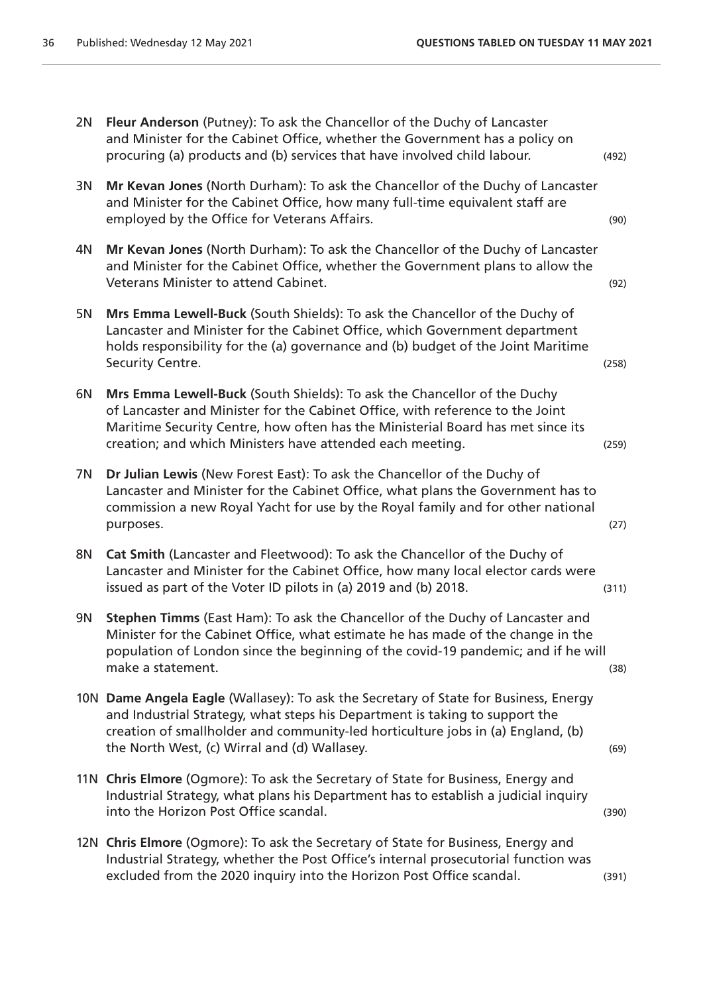| 2N        | Fleur Anderson (Putney): To ask the Chancellor of the Duchy of Lancaster<br>and Minister for the Cabinet Office, whether the Government has a policy on<br>procuring (a) products and (b) services that have involved child labour.                                                                       | (492) |
|-----------|-----------------------------------------------------------------------------------------------------------------------------------------------------------------------------------------------------------------------------------------------------------------------------------------------------------|-------|
| 3N        | Mr Kevan Jones (North Durham): To ask the Chancellor of the Duchy of Lancaster<br>and Minister for the Cabinet Office, how many full-time equivalent staff are<br>employed by the Office for Veterans Affairs.                                                                                            | (90)  |
| 4N        | Mr Kevan Jones (North Durham): To ask the Chancellor of the Duchy of Lancaster<br>and Minister for the Cabinet Office, whether the Government plans to allow the<br>Veterans Minister to attend Cabinet.                                                                                                  | (92)  |
| 5N        | Mrs Emma Lewell-Buck (South Shields): To ask the Chancellor of the Duchy of<br>Lancaster and Minister for the Cabinet Office, which Government department<br>holds responsibility for the (a) governance and (b) budget of the Joint Maritime<br>Security Centre.                                         | (258) |
| 6N        | Mrs Emma Lewell-Buck (South Shields): To ask the Chancellor of the Duchy<br>of Lancaster and Minister for the Cabinet Office, with reference to the Joint<br>Maritime Security Centre, how often has the Ministerial Board has met since its<br>creation; and which Ministers have attended each meeting. | (259) |
| 7N        | Dr Julian Lewis (New Forest East): To ask the Chancellor of the Duchy of<br>Lancaster and Minister for the Cabinet Office, what plans the Government has to<br>commission a new Royal Yacht for use by the Royal family and for other national<br>purposes.                                               | (27)  |
| <b>8N</b> | Cat Smith (Lancaster and Fleetwood): To ask the Chancellor of the Duchy of<br>Lancaster and Minister for the Cabinet Office, how many local elector cards were<br>issued as part of the Voter ID pilots in (a) 2019 and (b) 2018.                                                                         | (311) |
| 9N        | Stephen Timms (East Ham): To ask the Chancellor of the Duchy of Lancaster and<br>Minister for the Cabinet Office, what estimate he has made of the change in the<br>population of London since the beginning of the covid-19 pandemic; and if he will<br>make a statement.                                | (38)  |
|           | 10N Dame Angela Eagle (Wallasey): To ask the Secretary of State for Business, Energy<br>and Industrial Strategy, what steps his Department is taking to support the<br>creation of smallholder and community-led horticulture jobs in (a) England, (b)<br>the North West, (c) Wirral and (d) Wallasey.    | (69)  |
|           | 11N Chris Elmore (Ogmore): To ask the Secretary of State for Business, Energy and<br>Industrial Strategy, what plans his Department has to establish a judicial inquiry<br>into the Horizon Post Office scandal.                                                                                          | (390) |
|           | 12N Chris Elmore (Ogmore): To ask the Secretary of State for Business, Energy and<br>Industrial Strategy, whether the Post Office's internal prosecutorial function was<br>excluded from the 2020 inquiry into the Horizon Post Office scandal.                                                           | (391) |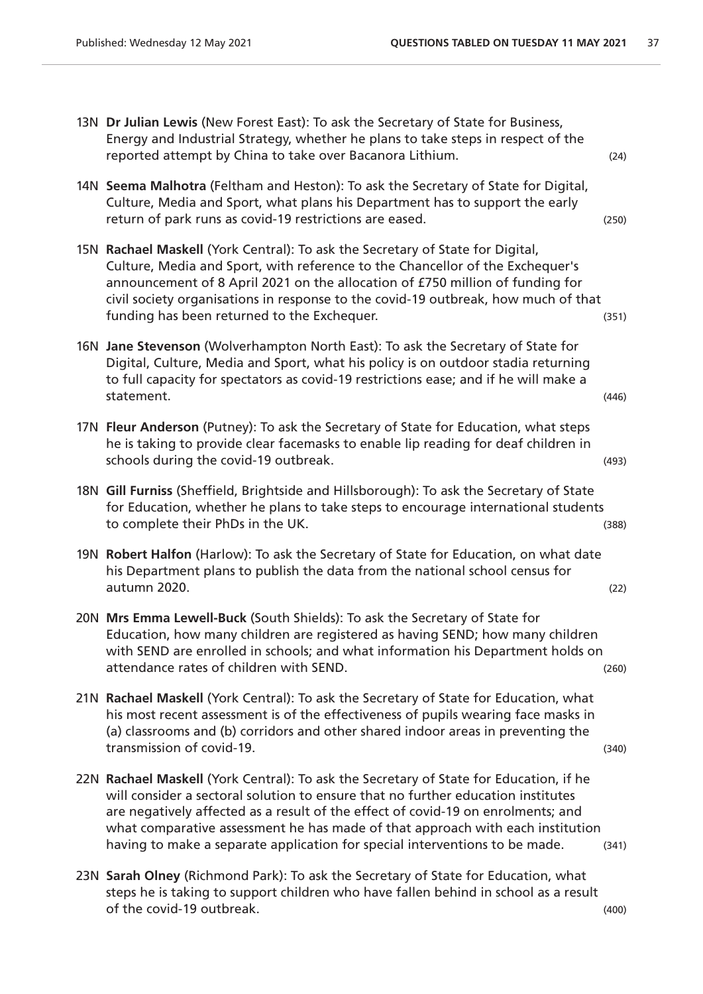- 13N **Dr Julian Lewis** (New Forest East): To ask the Secretary of State for Business, Energy and Industrial Strategy, whether he plans to take steps in respect of the reported attempt by China to take over Bacanora Lithium. (24)
- 14N **Seema Malhotra** (Feltham and Heston): To ask the Secretary of State for Digital, Culture, Media and Sport, what plans his Department has to support the early return of park runs as covid-19 restrictions are eased. (250) (250)
- 15N **Rachael Maskell** (York Central): To ask the Secretary of State for Digital, Culture, Media and Sport, with reference to the Chancellor of the Exchequer's announcement of 8 April 2021 on the allocation of £750 million of funding for civil society organisations in response to the covid-19 outbreak, how much of that funding has been returned to the Exchequer. (351)
- 16N **Jane Stevenson** (Wolverhampton North East): To ask the Secretary of State for Digital, Culture, Media and Sport, what his policy is on outdoor stadia returning to full capacity for spectators as covid-19 restrictions ease; and if he will make a statement. (446)
- 17N **Fleur Anderson** (Putney): To ask the Secretary of State for Education, what steps he is taking to provide clear facemasks to enable lip reading for deaf children in schools during the covid-19 outbreak. (493)  $(493)$
- 18N **Gill Furniss** (Sheffield, Brightside and Hillsborough): To ask the Secretary of State for Education, whether he plans to take steps to encourage international students to complete their PhDs in the UK. (388) to complete their PhDs in the UK.
- 19N **Robert Halfon** (Harlow): To ask the Secretary of State for Education, on what date his Department plans to publish the data from the national school census for autumn 2020. (22)
- 20N **Mrs Emma Lewell-Buck** (South Shields): To ask the Secretary of State for Education, how many children are registered as having SEND; how many children with SEND are enrolled in schools; and what information his Department holds on attendance rates of children with SEND. (260)
- 21N **Rachael Maskell** (York Central): To ask the Secretary of State for Education, what his most recent assessment is of the effectiveness of pupils wearing face masks in (a) classrooms and (b) corridors and other shared indoor areas in preventing the transmission of covid-19. (340)
- 22N **Rachael Maskell** (York Central): To ask the Secretary of State for Education, if he will consider a sectoral solution to ensure that no further education institutes are negatively affected as a result of the effect of covid-19 on enrolments; and what comparative assessment he has made of that approach with each institution having to make a separate application for special interventions to be made. (341)
- 23N **Sarah Olney** (Richmond Park): To ask the Secretary of State for Education, what steps he is taking to support children who have fallen behind in school as a result of the covid-19 outbreak. (400)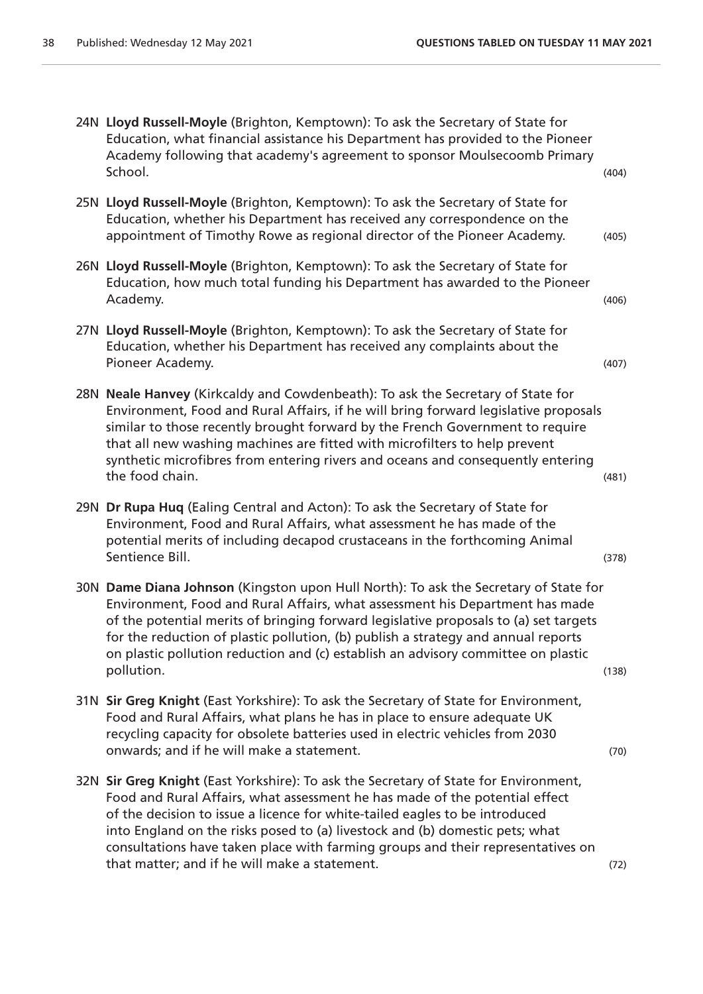- 24N **Lloyd Russell-Moyle** (Brighton, Kemptown): To ask the Secretary of State for Education, what financial assistance his Department has provided to the Pioneer Academy following that academy's agreement to sponsor Moulsecoomb Primary School. (404)
- 25N **Lloyd Russell-Moyle** (Brighton, Kemptown): To ask the Secretary of State for Education, whether his Department has received any correspondence on the appointment of Timothy Rowe as regional director of the Pioneer Academy. (405)
- 26N **Lloyd Russell-Moyle** (Brighton, Kemptown): To ask the Secretary of State for Education, how much total funding his Department has awarded to the Pioneer Academy. (406)
- 27N **Lloyd Russell-Moyle** (Brighton, Kemptown): To ask the Secretary of State for Education, whether his Department has received any complaints about the Pioneer Academy. (407)
- 28N **Neale Hanvey** (Kirkcaldy and Cowdenbeath): To ask the Secretary of State for Environment, Food and Rural Affairs, if he will bring forward legislative proposals similar to those recently brought forward by the French Government to require that all new washing machines are fitted with microfilters to help prevent synthetic microfibres from entering rivers and oceans and consequently entering the food chain. (481)
- 29N **Dr Rupa Huq** (Ealing Central and Acton): To ask the Secretary of State for Environment, Food and Rural Affairs, what assessment he has made of the potential merits of including decapod crustaceans in the forthcoming Animal Sentience Bill. (378)
- 30N **Dame Diana Johnson** (Kingston upon Hull North): To ask the Secretary of State for Environment, Food and Rural Affairs, what assessment his Department has made of the potential merits of bringing forward legislative proposals to (a) set targets for the reduction of plastic pollution, (b) publish a strategy and annual reports on plastic pollution reduction and (c) establish an advisory committee on plastic pollution. (138)
- 31N **Sir Greg Knight** (East Yorkshire): To ask the Secretary of State for Environment, Food and Rural Affairs, what plans he has in place to ensure adequate UK recycling capacity for obsolete batteries used in electric vehicles from 2030 onwards; and if he will make a statement. (70)
- 32N **Sir Greg Knight** (East Yorkshire): To ask the Secretary of State for Environment, Food and Rural Affairs, what assessment he has made of the potential effect of the decision to issue a licence for white-tailed eagles to be introduced into England on the risks posed to (a) livestock and (b) domestic pets; what consultations have taken place with farming groups and their representatives on that matter; and if he will make a statement. (72)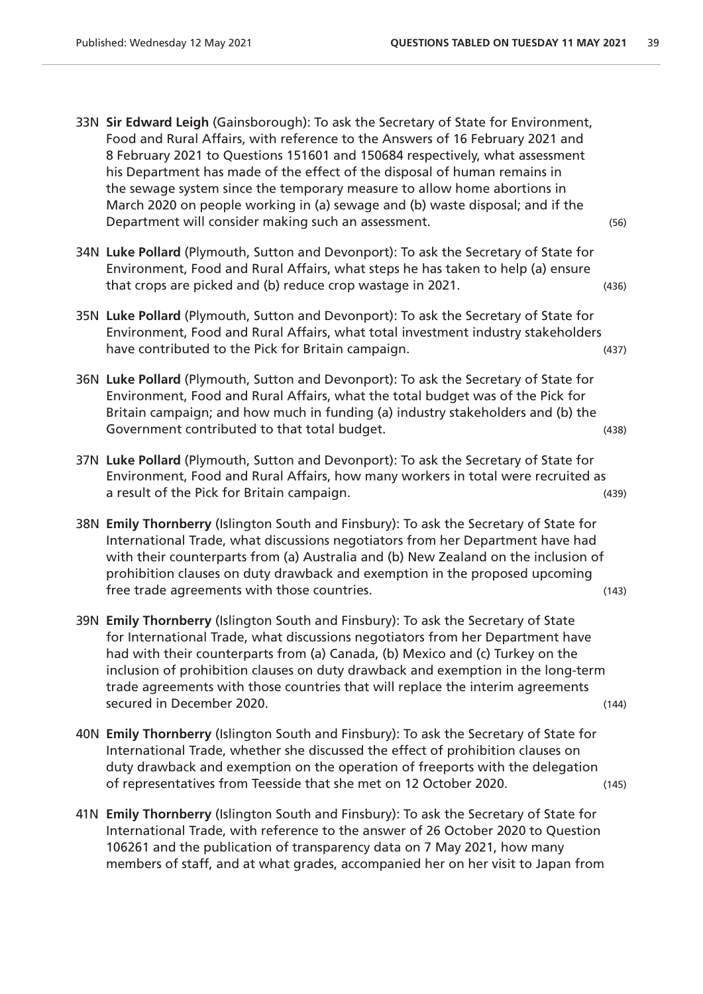- 33N **Sir Edward Leigh** (Gainsborough): To ask the Secretary of State for Environment, Food and Rural Affairs, with reference to the Answers of 16 February 2021 and 8 February 2021 to Questions 151601 and 150684 respectively, what assessment his Department has made of the effect of the disposal of human remains in the sewage system since the temporary measure to allow home abortions in March 2020 on people working in (a) sewage and (b) waste disposal; and if the Department will consider making such an assessment. (56)
- 34N **Luke Pollard** (Plymouth, Sutton and Devonport): To ask the Secretary of State for Environment, Food and Rural Affairs, what steps he has taken to help (a) ensure that crops are picked and (b) reduce crop wastage in 2021.
- 35N **Luke Pollard** (Plymouth, Sutton and Devonport): To ask the Secretary of State for Environment, Food and Rural Affairs, what total investment industry stakeholders have contributed to the Pick for Britain campaign. (437)
- 36N **Luke Pollard** (Plymouth, Sutton and Devonport): To ask the Secretary of State for Environment, Food and Rural Affairs, what the total budget was of the Pick for Britain campaign; and how much in funding (a) industry stakeholders and (b) the Government contributed to that total budget. The contribution of the contributed to that total budget.
- 37N **Luke Pollard** (Plymouth, Sutton and Devonport): To ask the Secretary of State for Environment, Food and Rural Affairs, how many workers in total were recruited as a result of the Pick for Britain campaign. (439)
- 38N **Emily Thornberry** (Islington South and Finsbury): To ask the Secretary of State for International Trade, what discussions negotiators from her Department have had with their counterparts from (a) Australia and (b) New Zealand on the inclusion of prohibition clauses on duty drawback and exemption in the proposed upcoming free trade agreements with those countries. (143)
- 39N **Emily Thornberry** (Islington South and Finsbury): To ask the Secretary of State for International Trade, what discussions negotiators from her Department have had with their counterparts from (a) Canada, (b) Mexico and (c) Turkey on the inclusion of prohibition clauses on duty drawback and exemption in the long-term trade agreements with those countries that will replace the interim agreements secured in December 2020. (144)
- 40N **Emily Thornberry** (Islington South and Finsbury): To ask the Secretary of State for International Trade, whether she discussed the effect of prohibition clauses on duty drawback and exemption on the operation of freeports with the delegation of representatives from Teesside that she met on 12 October 2020. (145)
- 41N **Emily Thornberry** (Islington South and Finsbury): To ask the Secretary of State for International Trade, with reference to the answer of 26 October 2020 to Question 106261 and the publication of transparency data on 7 May 2021, how many members of staff, and at what grades, accompanied her on her visit to Japan from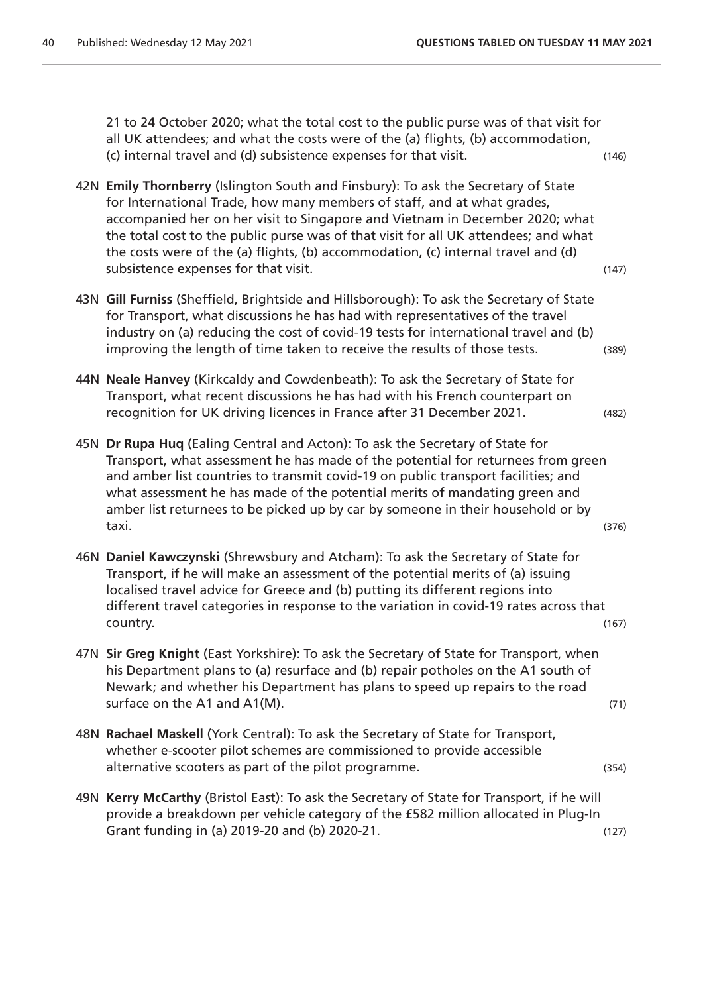21 to 24 October 2020; what the total cost to the public purse was of that visit for all UK attendees; and what the costs were of the (a) flights, (b) accommodation, (c) internal travel and (d) subsistence expenses for that visit. (146)

- 42N **Emily Thornberry** (Islington South and Finsbury): To ask the Secretary of State for International Trade, how many members of staff, and at what grades, accompanied her on her visit to Singapore and Vietnam in December 2020; what the total cost to the public purse was of that visit for all UK attendees; and what the costs were of the (a) flights, (b) accommodation, (c) internal travel and (d) subsistence expenses for that visit. The subsistence of  $(147)$
- 43N **Gill Furniss** (Sheffield, Brightside and Hillsborough): To ask the Secretary of State for Transport, what discussions he has had with representatives of the travel industry on (a) reducing the cost of covid-19 tests for international travel and (b) improving the length of time taken to receive the results of those tests. (389)
- 44N **Neale Hanvey** (Kirkcaldy and Cowdenbeath): To ask the Secretary of State for Transport, what recent discussions he has had with his French counterpart on recognition for UK driving licences in France after 31 December 2021. (482)
- 45N **Dr Rupa Huq** (Ealing Central and Acton): To ask the Secretary of State for Transport, what assessment he has made of the potential for returnees from green and amber list countries to transmit covid-19 on public transport facilities; and what assessment he has made of the potential merits of mandating green and amber list returnees to be picked up by car by someone in their household or by taxi. (376)
- 46N **Daniel Kawczynski** (Shrewsbury and Atcham): To ask the Secretary of State for Transport, if he will make an assessment of the potential merits of (a) issuing localised travel advice for Greece and (b) putting its different regions into different travel categories in response to the variation in covid-19 rates across that country. (167)
- 47N **Sir Greg Knight** (East Yorkshire): To ask the Secretary of State for Transport, when his Department plans to (a) resurface and (b) repair potholes on the A1 south of Newark; and whether his Department has plans to speed up repairs to the road surface on the A1 and A1(M).  $(71)$
- 48N **Rachael Maskell** (York Central): To ask the Secretary of State for Transport, whether e-scooter pilot schemes are commissioned to provide accessible alternative scooters as part of the pilot programme. (354)
- 49N **Kerry McCarthy** (Bristol East): To ask the Secretary of State for Transport, if he will provide a breakdown per vehicle category of the £582 million allocated in Plug-In Grant funding in (a) 2019-20 and (b) 2020-21. (127) (127)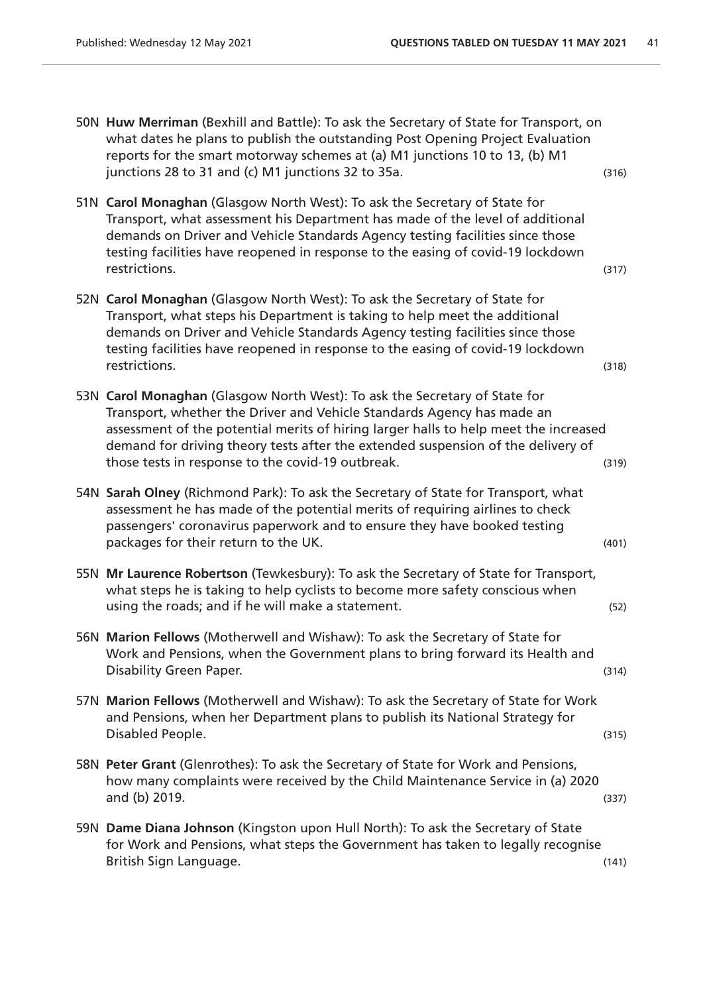- 50N **Huw Merriman** (Bexhill and Battle): To ask the Secretary of State for Transport, on what dates he plans to publish the outstanding Post Opening Project Evaluation reports for the smart motorway schemes at (a) M1 junctions 10 to 13, (b) M1 junctions  $28$  to  $31$  and (c) M1 junctions  $32$  to  $35a$ . (316)
- 51N **Carol Monaghan** (Glasgow North West): To ask the Secretary of State for Transport, what assessment his Department has made of the level of additional demands on Driver and Vehicle Standards Agency testing facilities since those testing facilities have reopened in response to the easing of covid-19 lockdown restrictions. (317)
- 52N **Carol Monaghan** (Glasgow North West): To ask the Secretary of State for Transport, what steps his Department is taking to help meet the additional demands on Driver and Vehicle Standards Agency testing facilities since those testing facilities have reopened in response to the easing of covid-19 lockdown restrictions. (318)
- 53N **Carol Monaghan** (Glasgow North West): To ask the Secretary of State for Transport, whether the Driver and Vehicle Standards Agency has made an assessment of the potential merits of hiring larger halls to help meet the increased demand for driving theory tests after the extended suspension of the delivery of those tests in response to the covid-19 outbreak. (319)
- 54N **Sarah Olney** (Richmond Park): To ask the Secretary of State for Transport, what assessment he has made of the potential merits of requiring airlines to check passengers' coronavirus paperwork and to ensure they have booked testing packages for their return to the UK. (401)  $(401)$
- 55N **Mr Laurence Robertson** (Tewkesbury): To ask the Secretary of State for Transport, what steps he is taking to help cyclists to become more safety conscious when using the roads; and if he will make a statement. (52)
- 56N **Marion Fellows** (Motherwell and Wishaw): To ask the Secretary of State for Work and Pensions, when the Government plans to bring forward its Health and Disability Green Paper. (314)
- 57N **Marion Fellows** (Motherwell and Wishaw): To ask the Secretary of State for Work and Pensions, when her Department plans to publish its National Strategy for Disabled People. (315)
- 58N **Peter Grant** (Glenrothes): To ask the Secretary of State for Work and Pensions, how many complaints were received by the Child Maintenance Service in (a) 2020 and (b) 2019. (337)
- 59N **Dame Diana Johnson** (Kingston upon Hull North): To ask the Secretary of State for Work and Pensions, what steps the Government has taken to legally recognise British Sign Language. (141)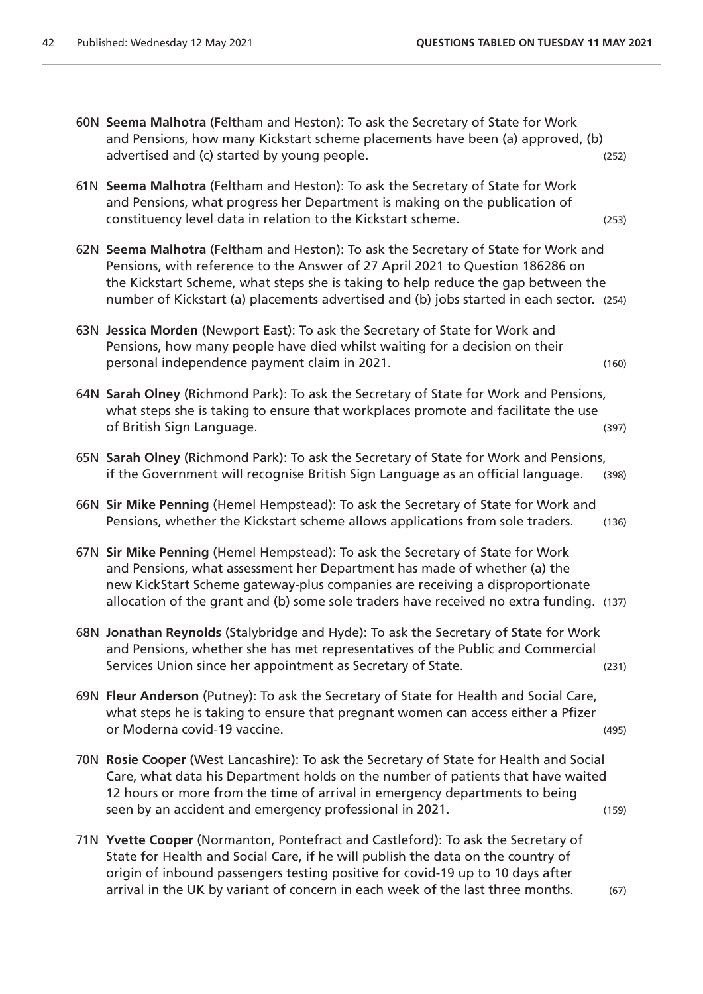|  | 60N Seema Malhotra (Feltham and Heston): To ask the Secretary of State for Work<br>and Pensions, how many Kickstart scheme placements have been (a) approved, (b)<br>advertised and (c) started by young people.                                                                                                                                      | (252) |
|--|-------------------------------------------------------------------------------------------------------------------------------------------------------------------------------------------------------------------------------------------------------------------------------------------------------------------------------------------------------|-------|
|  | 61N Seema Malhotra (Feltham and Heston): To ask the Secretary of State for Work<br>and Pensions, what progress her Department is making on the publication of<br>constituency level data in relation to the Kickstart scheme.                                                                                                                         | (253) |
|  | 62N Seema Malhotra (Feltham and Heston): To ask the Secretary of State for Work and<br>Pensions, with reference to the Answer of 27 April 2021 to Question 186286 on<br>the Kickstart Scheme, what steps she is taking to help reduce the gap between the<br>number of Kickstart (a) placements advertised and (b) jobs started in each sector. (254) |       |
|  | 63N Jessica Morden (Newport East): To ask the Secretary of State for Work and<br>Pensions, how many people have died whilst waiting for a decision on their<br>personal independence payment claim in 2021.                                                                                                                                           | (160) |
|  | 64N Sarah Olney (Richmond Park): To ask the Secretary of State for Work and Pensions,<br>what steps she is taking to ensure that workplaces promote and facilitate the use<br>of British Sign Language.                                                                                                                                               | (397) |
|  | 65N Sarah Olney (Richmond Park): To ask the Secretary of State for Work and Pensions,<br>if the Government will recognise British Sign Language as an official language.                                                                                                                                                                              | (398) |
|  | 66N Sir Mike Penning (Hemel Hempstead): To ask the Secretary of State for Work and<br>Pensions, whether the Kickstart scheme allows applications from sole traders.                                                                                                                                                                                   | (136) |
|  | 67N Sir Mike Penning (Hemel Hempstead): To ask the Secretary of State for Work<br>and Pensions, what assessment her Department has made of whether (a) the<br>new KickStart Scheme gateway-plus companies are receiving a disproportionate<br>allocation of the grant and (b) some sole traders have received no extra funding. (137)                 |       |
|  | 68N Jonathan Reynolds (Stalybridge and Hyde): To ask the Secretary of State for Work<br>and Pensions, whether she has met representatives of the Public and Commercial<br>Services Union since her appointment as Secretary of State.                                                                                                                 | (231) |
|  | 69N Fleur Anderson (Putney): To ask the Secretary of State for Health and Social Care,<br>what steps he is taking to ensure that pregnant women can access either a Pfizer<br>or Moderna covid-19 vaccine.                                                                                                                                            | (495) |
|  | 70N Rosie Cooper (West Lancashire): To ask the Secretary of State for Health and Social<br>Care, what data his Department holds on the number of patients that have waited<br>12 hours or more from the time of arrival in emergency departments to being<br>seen by an accident and emergency professional in 2021.                                  | (159) |
|  | 71N Yvette Cooper (Normanton, Pontefract and Castleford): To ask the Secretary of<br>State for Health and Social Care, if he will publish the data on the country of<br>origin of inbound passengers testing positive for covid-19 up to 10 days after<br>arrival in the UK by variant of concern in each week of the last three months.              | (67)  |
|  |                                                                                                                                                                                                                                                                                                                                                       |       |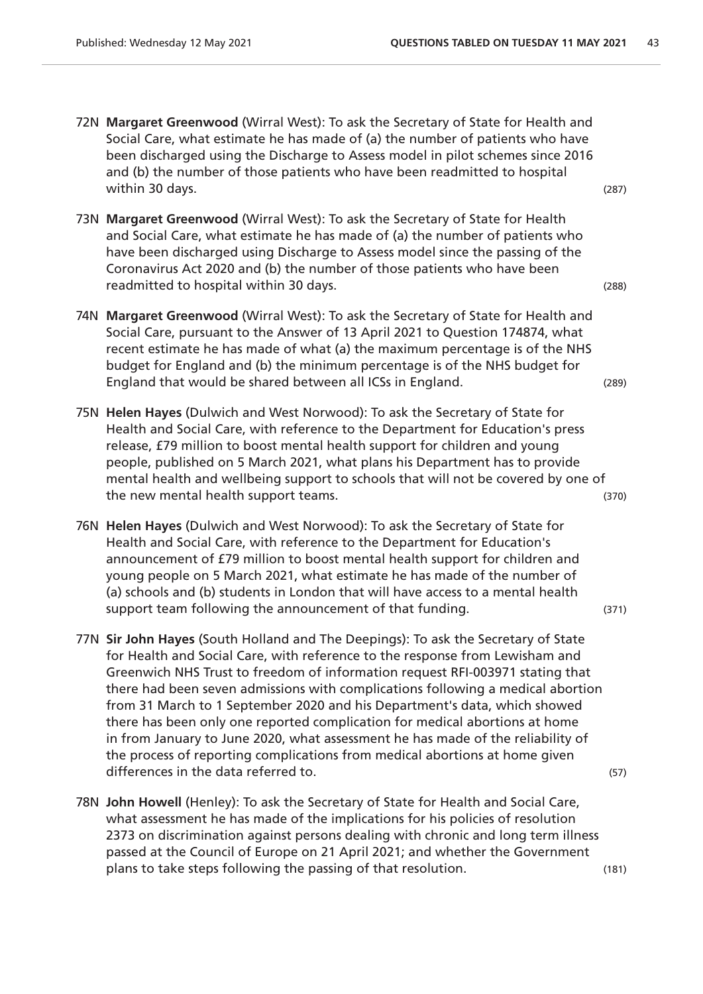- 72N **Margaret Greenwood** (Wirral West): To ask the Secretary of State for Health and Social Care, what estimate he has made of (a) the number of patients who have been discharged using the Discharge to Assess model in pilot schemes since 2016 and (b) the number of those patients who have been readmitted to hospital within 30 days. (287) (287)
- 73N **Margaret Greenwood** (Wirral West): To ask the Secretary of State for Health and Social Care, what estimate he has made of (a) the number of patients who have been discharged using Discharge to Assess model since the passing of the Coronavirus Act 2020 and (b) the number of those patients who have been readmitted to hospital within 30 days. The same state of the state of the state of the state of the state of the state of the state of the state of the state of the state of the state of the state of the state of the state
- 74N **Margaret Greenwood** (Wirral West): To ask the Secretary of State for Health and Social Care, pursuant to the Answer of 13 April 2021 to Question 174874, what recent estimate he has made of what (a) the maximum percentage is of the NHS budget for England and (b) the minimum percentage is of the NHS budget for England that would be shared between all ICSs in England. (289)
- 75N **Helen Hayes** (Dulwich and West Norwood): To ask the Secretary of State for Health and Social Care, with reference to the Department for Education's press release, £79 million to boost mental health support for children and young people, published on 5 March 2021, what plans his Department has to provide mental health and wellbeing support to schools that will not be covered by one of the new mental health support teams. (370)
- 76N **Helen Hayes** (Dulwich and West Norwood): To ask the Secretary of State for Health and Social Care, with reference to the Department for Education's announcement of £79 million to boost mental health support for children and young people on 5 March 2021, what estimate he has made of the number of (a) schools and (b) students in London that will have access to a mental health support team following the announcement of that funding. (371)
- 77N **Sir John Hayes** (South Holland and The Deepings): To ask the Secretary of State for Health and Social Care, with reference to the response from Lewisham and Greenwich NHS Trust to freedom of information request RFI-003971 stating that there had been seven admissions with complications following a medical abortion from 31 March to 1 September 2020 and his Department's data, which showed there has been only one reported complication for medical abortions at home in from January to June 2020, what assessment he has made of the reliability of the process of reporting complications from medical abortions at home given differences in the data referred to.  $(57)$
- 78N **John Howell** (Henley): To ask the Secretary of State for Health and Social Care, what assessment he has made of the implications for his policies of resolution 2373 on discrimination against persons dealing with chronic and long term illness passed at the Council of Europe on 21 April 2021; and whether the Government plans to take steps following the passing of that resolution. (181)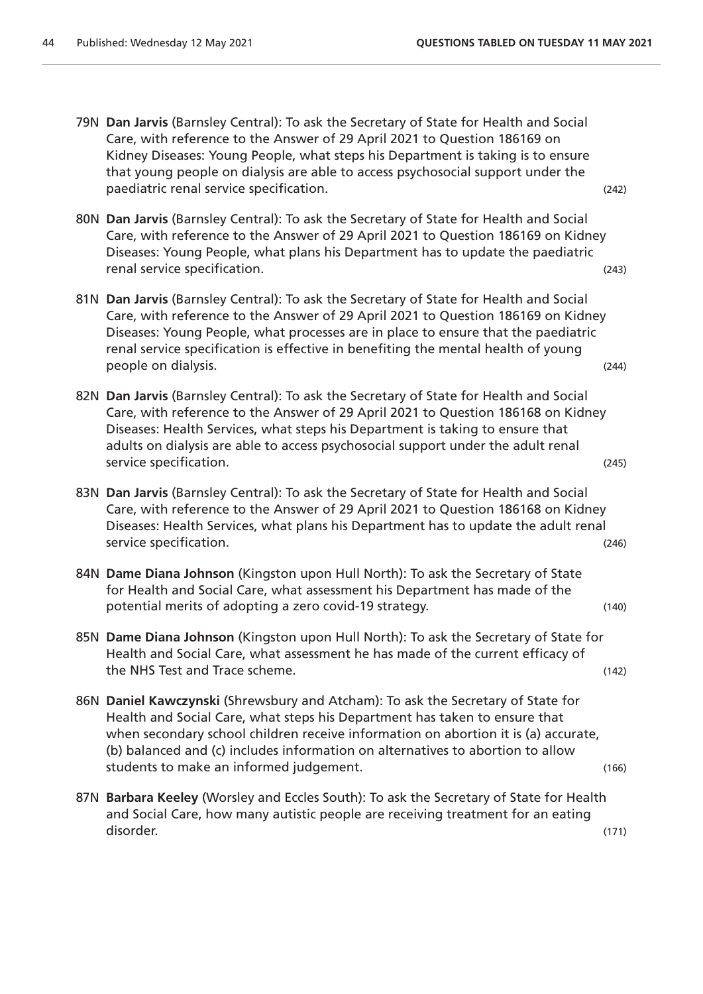- 79N **Dan Jarvis** (Barnsley Central): To ask the Secretary of State for Health and Social Care, with reference to the Answer of 29 April 2021 to Question 186169 on Kidney Diseases: Young People, what steps his Department is taking is to ensure that young people on dialysis are able to access psychosocial support under the paediatric renal service specification. (242)
- 80N **Dan Jarvis** (Barnsley Central): To ask the Secretary of State for Health and Social Care, with reference to the Answer of 29 April 2021 to Question 186169 on Kidney Diseases: Young People, what plans his Department has to update the paediatric renal service specification. (243)
- 81N **Dan Jarvis** (Barnsley Central): To ask the Secretary of State for Health and Social Care, with reference to the Answer of 29 April 2021 to Question 186169 on Kidney Diseases: Young People, what processes are in place to ensure that the paediatric renal service specification is effective in benefiting the mental health of young people on dialysis. (244)
- 82N **Dan Jarvis** (Barnsley Central): To ask the Secretary of State for Health and Social Care, with reference to the Answer of 29 April 2021 to Question 186168 on Kidney Diseases: Health Services, what steps his Department is taking to ensure that adults on dialysis are able to access psychosocial support under the adult renal service specification. (245)
- 83N **Dan Jarvis** (Barnsley Central): To ask the Secretary of State for Health and Social Care, with reference to the Answer of 29 April 2021 to Question 186168 on Kidney Diseases: Health Services, what plans his Department has to update the adult renal service specification. (246)
- 84N **Dame Diana Johnson** (Kingston upon Hull North): To ask the Secretary of State for Health and Social Care, what assessment his Department has made of the potential merits of adopting a zero covid-19 strategy. (140)
- 85N **Dame Diana Johnson** (Kingston upon Hull North): To ask the Secretary of State for Health and Social Care, what assessment he has made of the current efficacy of the NHS Test and Trace scheme. (142)
- 86N **Daniel Kawczynski** (Shrewsbury and Atcham): To ask the Secretary of State for Health and Social Care, what steps his Department has taken to ensure that when secondary school children receive information on abortion it is (a) accurate, (b) balanced and (c) includes information on alternatives to abortion to allow students to make an informed judgement. (166)
- 87N **Barbara Keeley** (Worsley and Eccles South): To ask the Secretary of State for Health and Social Care, how many autistic people are receiving treatment for an eating disorder. (171)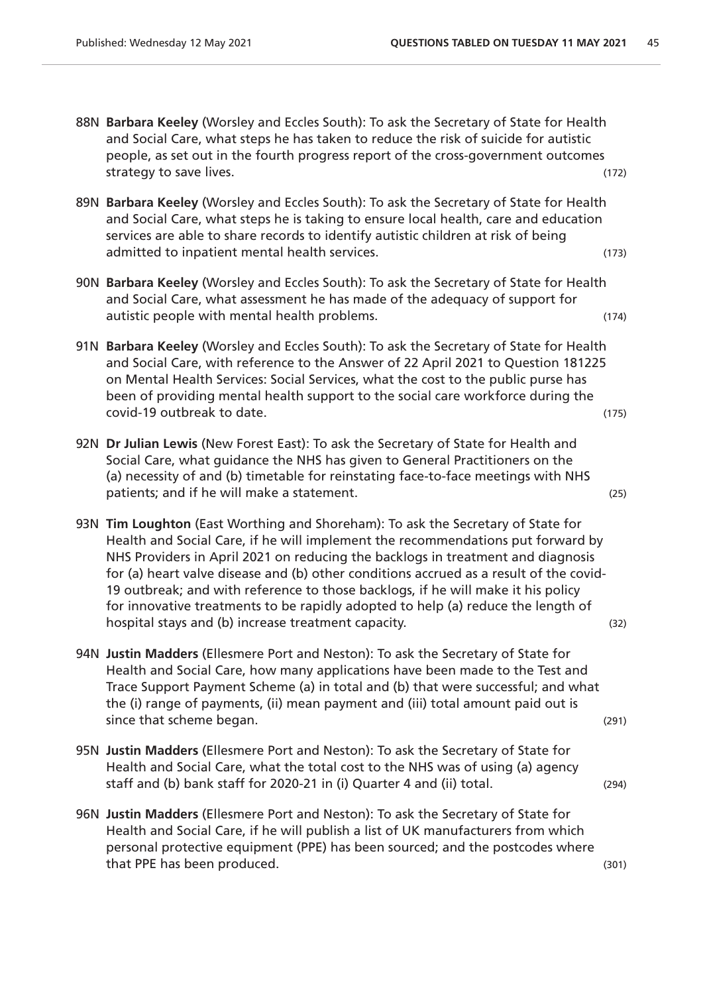- 88N **Barbara Keeley** (Worsley and Eccles South): To ask the Secretary of State for Health and Social Care, what steps he has taken to reduce the risk of suicide for autistic people, as set out in the fourth progress report of the cross-government outcomes strategy to save lives. (172)
- 89N **Barbara Keeley** (Worsley and Eccles South): To ask the Secretary of State for Health and Social Care, what steps he is taking to ensure local health, care and education services are able to share records to identify autistic children at risk of being admitted to inpatient mental health services. (173)
- 90N **Barbara Keeley** (Worsley and Eccles South): To ask the Secretary of State for Health and Social Care, what assessment he has made of the adequacy of support for autistic people with mental health problems. (174)
- 91N **Barbara Keeley** (Worsley and Eccles South): To ask the Secretary of State for Health and Social Care, with reference to the Answer of 22 April 2021 to Question 181225 on Mental Health Services: Social Services, what the cost to the public purse has been of providing mental health support to the social care workforce during the covid-19 outbreak to date. (175)
- 92N **Dr Julian Lewis** (New Forest East): To ask the Secretary of State for Health and Social Care, what guidance the NHS has given to General Practitioners on the (a) necessity of and (b) timetable for reinstating face-to-face meetings with NHS patients; and if he will make a statement. (25)
- 93N **Tim Loughton** (East Worthing and Shoreham): To ask the Secretary of State for Health and Social Care, if he will implement the recommendations put forward by NHS Providers in April 2021 on reducing the backlogs in treatment and diagnosis for (a) heart valve disease and (b) other conditions accrued as a result of the covid-19 outbreak; and with reference to those backlogs, if he will make it his policy for innovative treatments to be rapidly adopted to help (a) reduce the length of hospital stays and (b) increase treatment capacity. (32) (32)
- 94N **Justin Madders** (Ellesmere Port and Neston): To ask the Secretary of State for Health and Social Care, how many applications have been made to the Test and Trace Support Payment Scheme (a) in total and (b) that were successful; and what the (i) range of payments, (ii) mean payment and (iii) total amount paid out is since that scheme began. (291)
- 95N **Justin Madders** (Ellesmere Port and Neston): To ask the Secretary of State for Health and Social Care, what the total cost to the NHS was of using (a) agency staff and (b) bank staff for 2020-21 in (i) Quarter 4 and (ii) total. (294)
- 96N **Justin Madders** (Ellesmere Port and Neston): To ask the Secretary of State for Health and Social Care, if he will publish a list of UK manufacturers from which personal protective equipment (PPE) has been sourced; and the postcodes where that PPE has been produced. (301) the state of the state of the state of the state of the state of the state of the state of the state of the state of the state of the state of the state of the state of the state of the st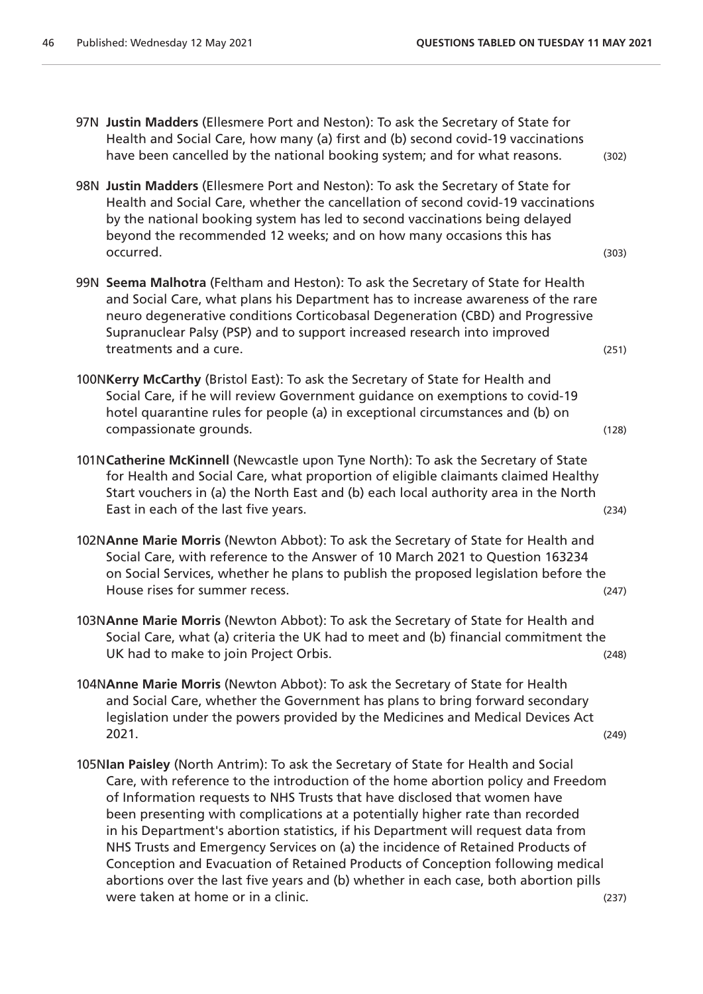- 97N **Justin Madders** (Ellesmere Port and Neston): To ask the Secretary of State for Health and Social Care, how many (a) first and (b) second covid-19 vaccinations have been cancelled by the national booking system; and for what reasons. (302)
- 98N **Justin Madders** (Ellesmere Port and Neston): To ask the Secretary of State for Health and Social Care, whether the cancellation of second covid-19 vaccinations by the national booking system has led to second vaccinations being delayed beyond the recommended 12 weeks; and on how many occasions this has occurred. (303)
- 99N **Seema Malhotra** (Feltham and Heston): To ask the Secretary of State for Health and Social Care, what plans his Department has to increase awareness of the rare neuro degenerative conditions Corticobasal Degeneration (CBD) and Progressive Supranuclear Palsy (PSP) and to support increased research into improved treatments and a cure. (251) the contract of the contract of the contract of the contract of the contract of the contract of the contract of the contract of the contract of the contract of the contract of the contract of t
- 100N**Kerry McCarthy** (Bristol East): To ask the Secretary of State for Health and Social Care, if he will review Government guidance on exemptions to covid-19 hotel quarantine rules for people (a) in exceptional circumstances and (b) on compassionate grounds. (128)
- 101N**Catherine McKinnell** (Newcastle upon Tyne North): To ask the Secretary of State for Health and Social Care, what proportion of eligible claimants claimed Healthy Start vouchers in (a) the North East and (b) each local authority area in the North East in each of the last five years. (234)
- 102N**Anne Marie Morris** (Newton Abbot): To ask the Secretary of State for Health and Social Care, with reference to the Answer of 10 March 2021 to Question 163234 on Social Services, whether he plans to publish the proposed legislation before the House rises for summer recess. (247)
- 103N**Anne Marie Morris** (Newton Abbot): To ask the Secretary of State for Health and Social Care, what (a) criteria the UK had to meet and (b) financial commitment the UK had to make to join Project Orbis. (248)
- 104N**Anne Marie Morris** (Newton Abbot): To ask the Secretary of State for Health and Social Care, whether the Government has plans to bring forward secondary legislation under the powers provided by the Medicines and Medical Devices Act 2021. (249)
- 105N**Ian Paisley** (North Antrim): To ask the Secretary of State for Health and Social Care, with reference to the introduction of the home abortion policy and Freedom of Information requests to NHS Trusts that have disclosed that women have been presenting with complications at a potentially higher rate than recorded in his Department's abortion statistics, if his Department will request data from NHS Trusts and Emergency Services on (a) the incidence of Retained Products of Conception and Evacuation of Retained Products of Conception following medical abortions over the last five years and (b) whether in each case, both abortion pills were taken at home or in a clinic. (237)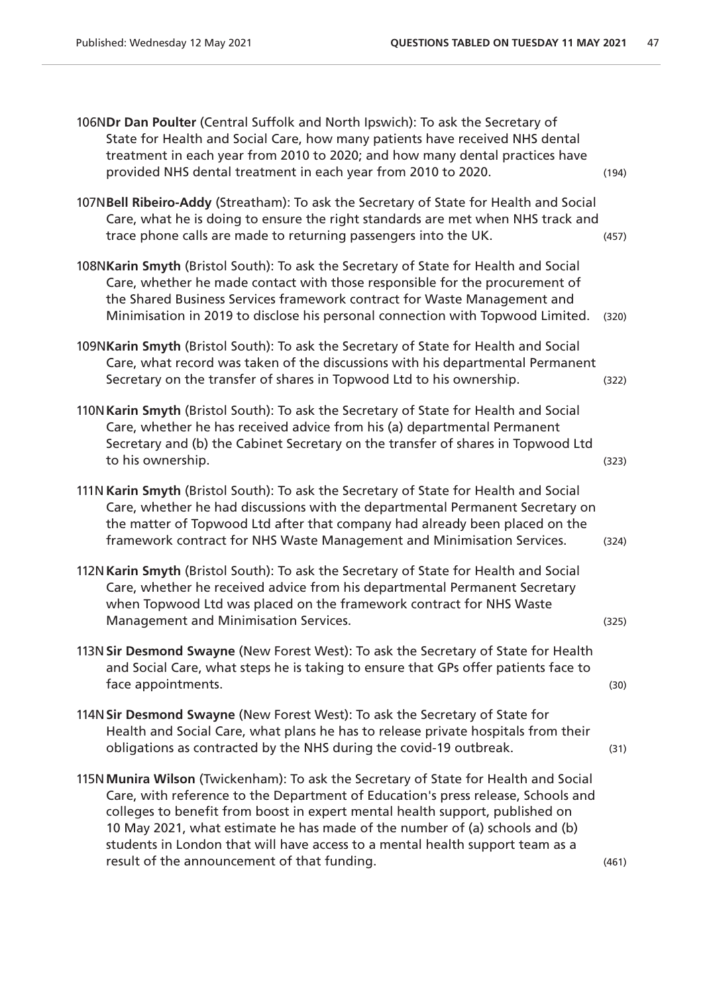| 106NDr Dan Poulter (Central Suffolk and North Ipswich): To ask the Secretary of<br>State for Health and Social Care, how many patients have received NHS dental<br>treatment in each year from 2010 to 2020; and how many dental practices have<br>provided NHS dental treatment in each year from 2010 to 2020.                                                                                                                                                        | (194) |
|-------------------------------------------------------------------------------------------------------------------------------------------------------------------------------------------------------------------------------------------------------------------------------------------------------------------------------------------------------------------------------------------------------------------------------------------------------------------------|-------|
| 107NBell Ribeiro-Addy (Streatham): To ask the Secretary of State for Health and Social<br>Care, what he is doing to ensure the right standards are met when NHS track and<br>trace phone calls are made to returning passengers into the UK.                                                                                                                                                                                                                            | (457) |
| 108NKarin Smyth (Bristol South): To ask the Secretary of State for Health and Social<br>Care, whether he made contact with those responsible for the procurement of<br>the Shared Business Services framework contract for Waste Management and<br>Minimisation in 2019 to disclose his personal connection with Topwood Limited.                                                                                                                                       | (320) |
| 109NKarin Smyth (Bristol South): To ask the Secretary of State for Health and Social<br>Care, what record was taken of the discussions with his departmental Permanent<br>Secretary on the transfer of shares in Topwood Ltd to his ownership.                                                                                                                                                                                                                          | (322) |
| 110N Karin Smyth (Bristol South): To ask the Secretary of State for Health and Social<br>Care, whether he has received advice from his (a) departmental Permanent<br>Secretary and (b) the Cabinet Secretary on the transfer of shares in Topwood Ltd<br>to his ownership.                                                                                                                                                                                              | (323) |
| 111N Karin Smyth (Bristol South): To ask the Secretary of State for Health and Social<br>Care, whether he had discussions with the departmental Permanent Secretary on<br>the matter of Topwood Ltd after that company had already been placed on the<br>framework contract for NHS Waste Management and Minimisation Services.                                                                                                                                         | (324) |
| 112N Karin Smyth (Bristol South): To ask the Secretary of State for Health and Social<br>Care, whether he received advice from his departmental Permanent Secretary<br>when Topwood Ltd was placed on the framework contract for NHS Waste<br>Management and Minimisation Services.                                                                                                                                                                                     | (325) |
| 113N Sir Desmond Swayne (New Forest West): To ask the Secretary of State for Health<br>and Social Care, what steps he is taking to ensure that GPs offer patients face to<br>face appointments.                                                                                                                                                                                                                                                                         | (30)  |
| 114N Sir Desmond Swayne (New Forest West): To ask the Secretary of State for<br>Health and Social Care, what plans he has to release private hospitals from their<br>obligations as contracted by the NHS during the covid-19 outbreak.                                                                                                                                                                                                                                 | (31)  |
| 115N Munira Wilson (Twickenham): To ask the Secretary of State for Health and Social<br>Care, with reference to the Department of Education's press release, Schools and<br>colleges to benefit from boost in expert mental health support, published on<br>10 May 2021, what estimate he has made of the number of (a) schools and (b)<br>students in London that will have access to a mental health support team as a<br>result of the announcement of that funding. | (461) |
|                                                                                                                                                                                                                                                                                                                                                                                                                                                                         |       |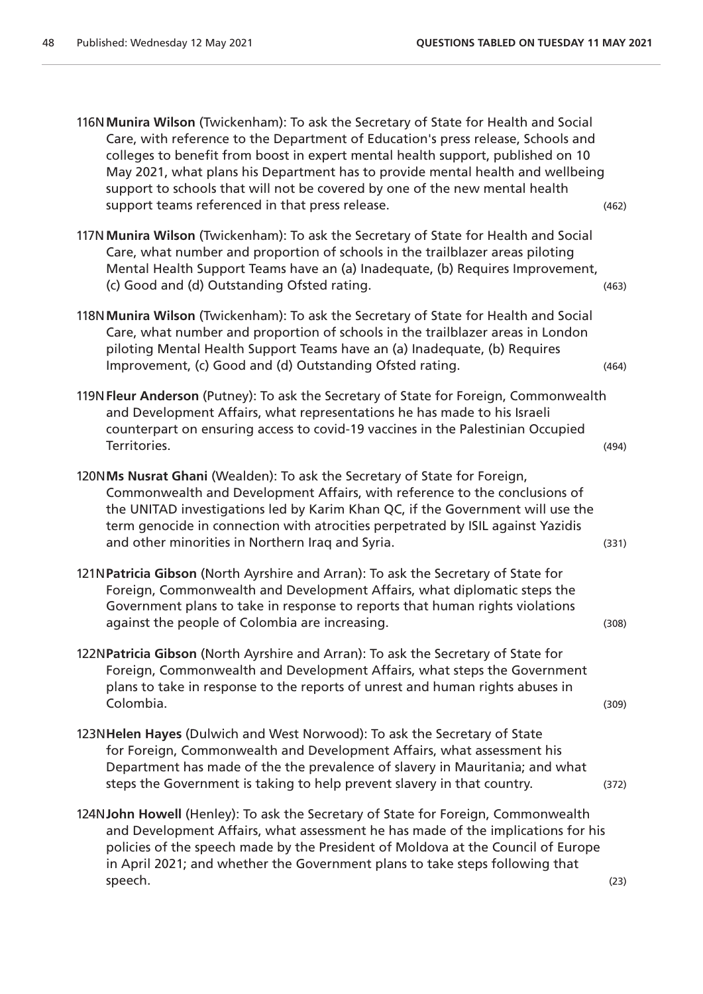116N**Munira Wilson** (Twickenham): To ask the Secretary of State for Health and Social Care, with reference to the Department of Education's press release, Schools and colleges to benefit from boost in expert mental health support, published on 10 May 2021, what plans his Department has to provide mental health and wellbeing support to schools that will not be covered by one of the new mental health support teams referenced in that press release. (462)  $(462)$ 

117N**Munira Wilson** (Twickenham): To ask the Secretary of State for Health and Social Care, what number and proportion of schools in the trailblazer areas piloting Mental Health Support Teams have an (a) Inadequate, (b) Requires Improvement, (c) Good and (d) Outstanding Ofsted rating. (463)

- 118N**Munira Wilson** (Twickenham): To ask the Secretary of State for Health and Social Care, what number and proportion of schools in the trailblazer areas in London piloting Mental Health Support Teams have an (a) Inadequate, (b) Requires Improvement, (c) Good and (d) Outstanding Ofsted rating. (464)
- 119N**Fleur Anderson** (Putney): To ask the Secretary of State for Foreign, Commonwealth and Development Affairs, what representations he has made to his Israeli counterpart on ensuring access to covid-19 vaccines in the Palestinian Occupied Territories. (494)
- 120N**Ms Nusrat Ghani** (Wealden): To ask the Secretary of State for Foreign, Commonwealth and Development Affairs, with reference to the conclusions of the UNITAD investigations led by Karim Khan QC, if the Government will use the term genocide in connection with atrocities perpetrated by ISIL against Yazidis and other minorities in Northern Iraq and Syria. (331)
- 121N**Patricia Gibson** (North Ayrshire and Arran): To ask the Secretary of State for Foreign, Commonwealth and Development Affairs, what diplomatic steps the Government plans to take in response to reports that human rights violations against the people of Colombia are increasing. (308)
- 122N**Patricia Gibson** (North Ayrshire and Arran): To ask the Secretary of State for Foreign, Commonwealth and Development Affairs, what steps the Government plans to take in response to the reports of unrest and human rights abuses in Colombia. (309)
- 123N**Helen Hayes** (Dulwich and West Norwood): To ask the Secretary of State for Foreign, Commonwealth and Development Affairs, what assessment his Department has made of the the prevalence of slavery in Mauritania; and what steps the Government is taking to help prevent slavery in that country. (372)
- 124N**John Howell** (Henley): To ask the Secretary of State for Foreign, Commonwealth and Development Affairs, what assessment he has made of the implications for his policies of the speech made by the President of Moldova at the Council of Europe in April 2021; and whether the Government plans to take steps following that speech. (23)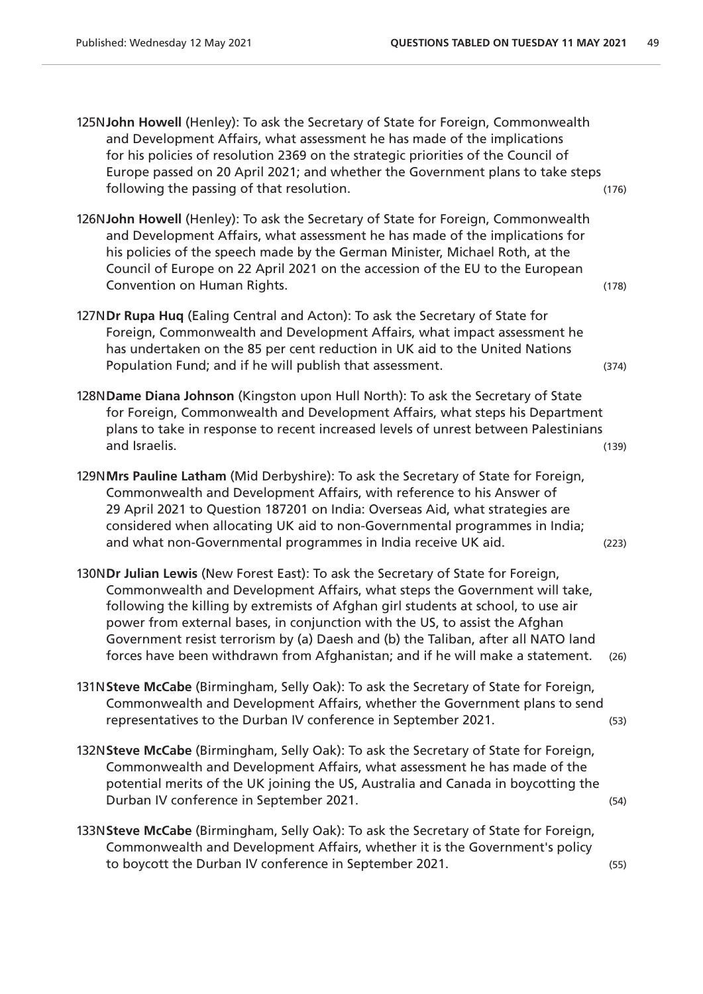125N**John Howell** (Henley): To ask the Secretary of State for Foreign, Commonwealth and Development Affairs, what assessment he has made of the implications for his policies of resolution 2369 on the strategic priorities of the Council of Europe passed on 20 April 2021; and whether the Government plans to take steps following the passing of that resolution. The same state of the state of the state of the state of the state of the state of the state of the state of the state of the state of the state of the state of the state of the st

- 126N**John Howell** (Henley): To ask the Secretary of State for Foreign, Commonwealth and Development Affairs, what assessment he has made of the implications for his policies of the speech made by the German Minister, Michael Roth, at the Council of Europe on 22 April 2021 on the accession of the EU to the European Convention on Human Rights. (178)
- 127N**Dr Rupa Huq** (Ealing Central and Acton): To ask the Secretary of State for Foreign, Commonwealth and Development Affairs, what impact assessment he has undertaken on the 85 per cent reduction in UK aid to the United Nations Population Fund; and if he will publish that assessment. (374)
- 128N**Dame Diana Johnson** (Kingston upon Hull North): To ask the Secretary of State for Foreign, Commonwealth and Development Affairs, what steps his Department plans to take in response to recent increased levels of unrest between Palestinians and Israelis. (139)
- 129N**Mrs Pauline Latham** (Mid Derbyshire): To ask the Secretary of State for Foreign, Commonwealth and Development Affairs, with reference to his Answer of 29 April 2021 to Question 187201 on India: Overseas Aid, what strategies are considered when allocating UK aid to non-Governmental programmes in India; and what non-Governmental programmes in India receive UK aid. (223)
- 130N**Dr Julian Lewis** (New Forest East): To ask the Secretary of State for Foreign, Commonwealth and Development Affairs, what steps the Government will take, following the killing by extremists of Afghan girl students at school, to use air power from external bases, in conjunction with the US, to assist the Afghan Government resist terrorism by (a) Daesh and (b) the Taliban, after all NATO land forces have been withdrawn from Afghanistan; and if he will make a statement. (26)
- 131N**Steve McCabe** (Birmingham, Selly Oak): To ask the Secretary of State for Foreign, Commonwealth and Development Affairs, whether the Government plans to send representatives to the Durban IV conference in September 2021. (53)
- 132N**Steve McCabe** (Birmingham, Selly Oak): To ask the Secretary of State for Foreign, Commonwealth and Development Affairs, what assessment he has made of the potential merits of the UK joining the US, Australia and Canada in boycotting the Durban IV conference in September 2021. (54)
- 133N**Steve McCabe** (Birmingham, Selly Oak): To ask the Secretary of State for Foreign, Commonwealth and Development Affairs, whether it is the Government's policy to boycott the Durban IV conference in September 2021. (55)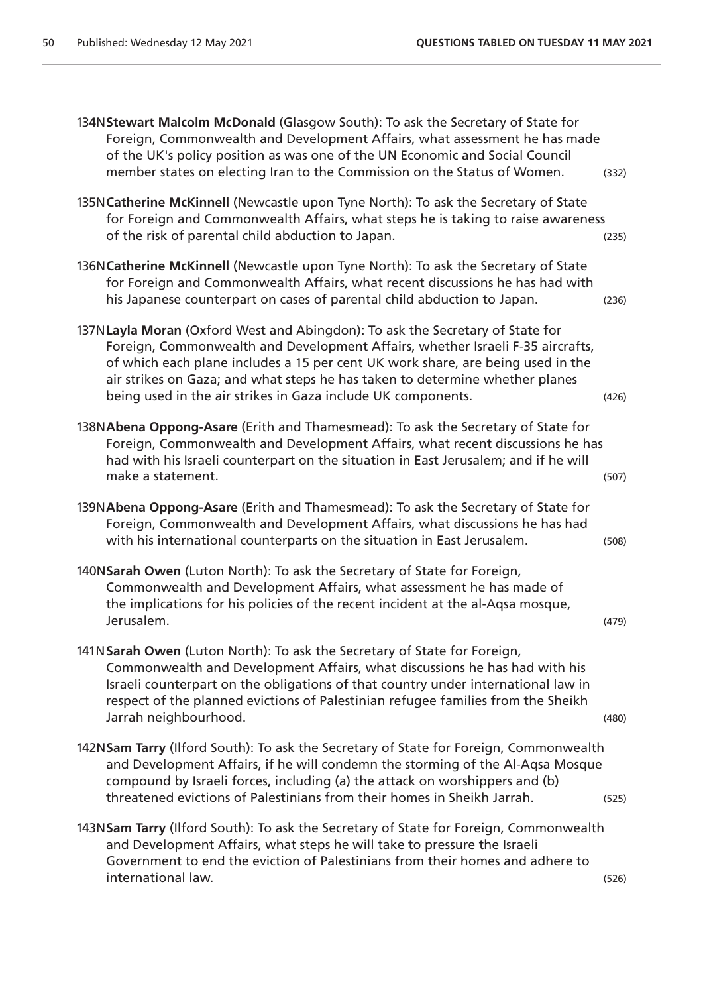| 134NStewart Malcolm McDonald (Glasgow South): To ask the Secretary of State for<br>Foreign, Commonwealth and Development Affairs, what assessment he has made<br>of the UK's policy position as was one of the UN Economic and Social Council<br>member states on electing Iran to the Commission on the Status of Women.                                                                          | (332) |
|----------------------------------------------------------------------------------------------------------------------------------------------------------------------------------------------------------------------------------------------------------------------------------------------------------------------------------------------------------------------------------------------------|-------|
| 135N Catherine McKinnell (Newcastle upon Tyne North): To ask the Secretary of State<br>for Foreign and Commonwealth Affairs, what steps he is taking to raise awareness<br>of the risk of parental child abduction to Japan.                                                                                                                                                                       | (235) |
| 136N Catherine McKinnell (Newcastle upon Tyne North): To ask the Secretary of State<br>for Foreign and Commonwealth Affairs, what recent discussions he has had with<br>his Japanese counterpart on cases of parental child abduction to Japan.                                                                                                                                                    | (236) |
| 137NLayla Moran (Oxford West and Abingdon): To ask the Secretary of State for<br>Foreign, Commonwealth and Development Affairs, whether Israeli F-35 aircrafts,<br>of which each plane includes a 15 per cent UK work share, are being used in the<br>air strikes on Gaza; and what steps he has taken to determine whether planes<br>being used in the air strikes in Gaza include UK components. | (426) |
| 138NAbena Oppong-Asare (Erith and Thamesmead): To ask the Secretary of State for<br>Foreign, Commonwealth and Development Affairs, what recent discussions he has<br>had with his Israeli counterpart on the situation in East Jerusalem; and if he will<br>make a statement.                                                                                                                      | (507) |
| 139N Abena Oppong-Asare (Erith and Thamesmead): To ask the Secretary of State for<br>Foreign, Commonwealth and Development Affairs, what discussions he has had<br>with his international counterparts on the situation in East Jerusalem.                                                                                                                                                         | (508) |
| 140NSarah Owen (Luton North): To ask the Secretary of State for Foreign,<br>Commonwealth and Development Affairs, what assessment he has made of<br>the implications for his policies of the recent incident at the al-Aqsa mosque,<br>Jerusalem.                                                                                                                                                  | (479) |
| 141N Sarah Owen (Luton North): To ask the Secretary of State for Foreign,<br>Commonwealth and Development Affairs, what discussions he has had with his<br>Israeli counterpart on the obligations of that country under international law in<br>respect of the planned evictions of Palestinian refugee families from the Sheikh<br>Jarrah neighbourhood.                                          | (480) |
| 142NSam Tarry (Ilford South): To ask the Secretary of State for Foreign, Commonwealth<br>and Development Affairs, if he will condemn the storming of the Al-Aqsa Mosque<br>compound by Israeli forces, including (a) the attack on worshippers and (b)<br>threatened evictions of Palestinians from their homes in Sheikh Jarrah.                                                                  | (525) |
| 143NSam Tarry (Ilford South): To ask the Secretary of State for Foreign, Commonwealth<br>and Development Affairs, what steps he will take to pressure the Israeli<br>Government to end the eviction of Palestinians from their homes and adhere to<br>international law.                                                                                                                           | (526) |
|                                                                                                                                                                                                                                                                                                                                                                                                    |       |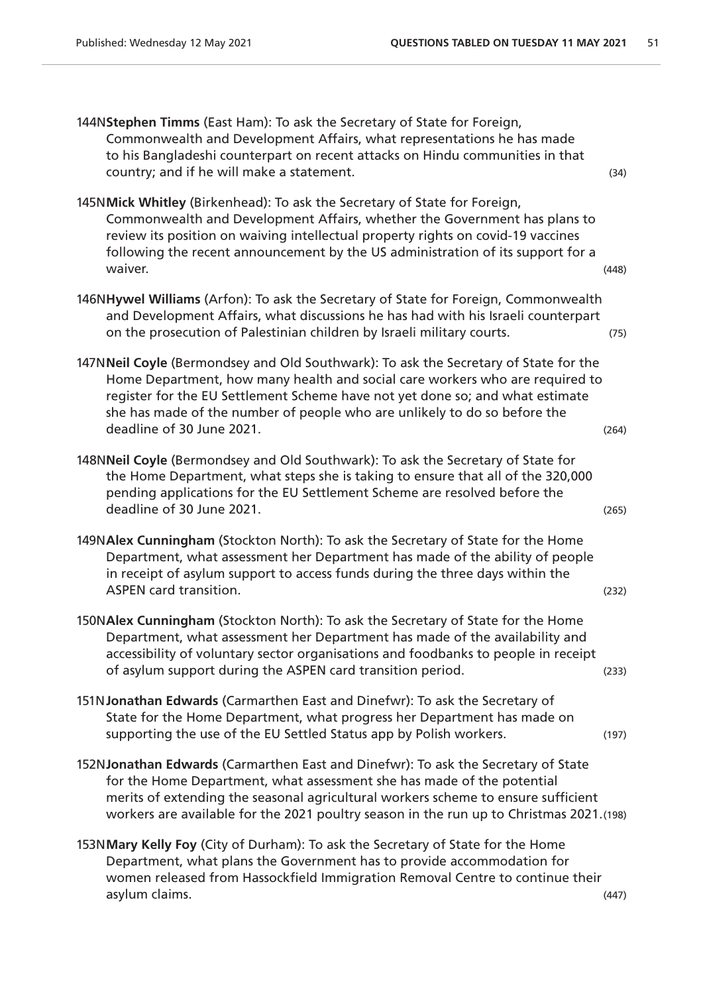| 144NStephen Timms (East Ham): To ask the Secretary of State for Foreign,<br>Commonwealth and Development Affairs, what representations he has made<br>to his Bangladeshi counterpart on recent attacks on Hindu communities in that<br>country; and if he will make a statement.                                                                                | (34)  |
|-----------------------------------------------------------------------------------------------------------------------------------------------------------------------------------------------------------------------------------------------------------------------------------------------------------------------------------------------------------------|-------|
| 145NMick Whitley (Birkenhead): To ask the Secretary of State for Foreign,<br>Commonwealth and Development Affairs, whether the Government has plans to<br>review its position on waiving intellectual property rights on covid-19 vaccines<br>following the recent announcement by the US administration of its support for a<br>waiver.                        | (448) |
| 146NHywel Williams (Arfon): To ask the Secretary of State for Foreign, Commonwealth<br>and Development Affairs, what discussions he has had with his Israeli counterpart<br>on the prosecution of Palestinian children by Israeli military courts.                                                                                                              | (75)  |
| 147NNeil Coyle (Bermondsey and Old Southwark): To ask the Secretary of State for the<br>Home Department, how many health and social care workers who are required to<br>register for the EU Settlement Scheme have not yet done so; and what estimate<br>she has made of the number of people who are unlikely to do so before the<br>deadline of 30 June 2021. | (264) |
| 148NNeil Coyle (Bermondsey and Old Southwark): To ask the Secretary of State for<br>the Home Department, what steps she is taking to ensure that all of the 320,000<br>pending applications for the EU Settlement Scheme are resolved before the<br>deadline of 30 June 2021.                                                                                   | (265) |
| 149NAlex Cunningham (Stockton North): To ask the Secretary of State for the Home<br>Department, what assessment her Department has made of the ability of people<br>in receipt of asylum support to access funds during the three days within the<br><b>ASPEN card transition.</b>                                                                              | (232) |
| 150NAlex Cunningham (Stockton North): To ask the Secretary of State for the Home<br>Department, what assessment her Department has made of the availability and<br>accessibility of voluntary sector organisations and foodbanks to people in receipt<br>of asylum support during the ASPEN card transition period.                                             | (233) |
| 151N Jonathan Edwards (Carmarthen East and Dinefwr): To ask the Secretary of<br>State for the Home Department, what progress her Department has made on<br>supporting the use of the EU Settled Status app by Polish workers.                                                                                                                                   | (197) |
| 152NJonathan Edwards (Carmarthen East and Dinefwr): To ask the Secretary of State<br>for the Home Department, what assessment she has made of the potential<br>merits of extending the seasonal agricultural workers scheme to ensure sufficient<br>workers are available for the 2021 poultry season in the run up to Christmas 2021.(198)                     |       |
| 153NMary Kelly Foy (City of Durham): To ask the Secretary of State for the Home<br>Department, what plans the Government has to provide accommodation for<br>women released from Hassockfield Immigration Removal Centre to continue their                                                                                                                      |       |

asylum claims. (447)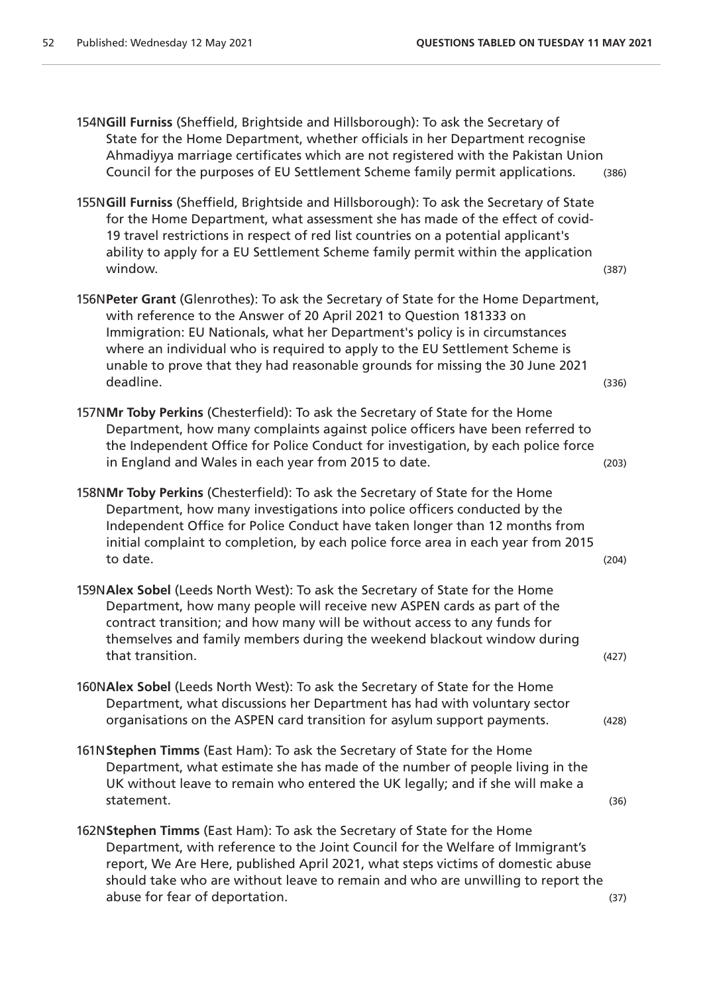154N**Gill Furniss** (Sheffield, Brightside and Hillsborough): To ask the Secretary of State for the Home Department, whether officials in her Department recognise Ahmadiyya marriage certificates which are not registered with the Pakistan Union Council for the purposes of EU Settlement Scheme family permit applications. (386)

- 155N**Gill Furniss** (Sheffield, Brightside and Hillsborough): To ask the Secretary of State for the Home Department, what assessment she has made of the effect of covid-19 travel restrictions in respect of red list countries on a potential applicant's ability to apply for a EU Settlement Scheme family permit within the application window. (387)
- 156N**Peter Grant** (Glenrothes): To ask the Secretary of State for the Home Department, with reference to the Answer of 20 April 2021 to Question 181333 on Immigration: EU Nationals, what her Department's policy is in circumstances where an individual who is required to apply to the EU Settlement Scheme is unable to prove that they had reasonable grounds for missing the 30 June 2021 deadline. (336)
- 157N**Mr Toby Perkins** (Chesterfield): To ask the Secretary of State for the Home Department, how many complaints against police officers have been referred to the Independent Office for Police Conduct for investigation, by each police force in England and Wales in each year from 2015 to date. (203)
- 158N**Mr Toby Perkins** (Chesterfield): To ask the Secretary of State for the Home Department, how many investigations into police officers conducted by the Independent Office for Police Conduct have taken longer than 12 months from initial complaint to completion, by each police force area in each year from 2015 to date. (204)
- 159N**Alex Sobel** (Leeds North West): To ask the Secretary of State for the Home Department, how many people will receive new ASPEN cards as part of the contract transition; and how many will be without access to any funds for themselves and family members during the weekend blackout window during that transition. (427)
- 160N**Alex Sobel** (Leeds North West): To ask the Secretary of State for the Home Department, what discussions her Department has had with voluntary sector organisations on the ASPEN card transition for asylum support payments. (428)
- 161N**Stephen Timms** (East Ham): To ask the Secretary of State for the Home Department, what estimate she has made of the number of people living in the UK without leave to remain who entered the UK legally; and if she will make a statement. (36)
- 162N**Stephen Timms** (East Ham): To ask the Secretary of State for the Home Department, with reference to the Joint Council for the Welfare of Immigrant's report, We Are Here, published April 2021, what steps victims of domestic abuse should take who are without leave to remain and who are unwilling to report the abuse for fear of deportation. (37) and  $(37)$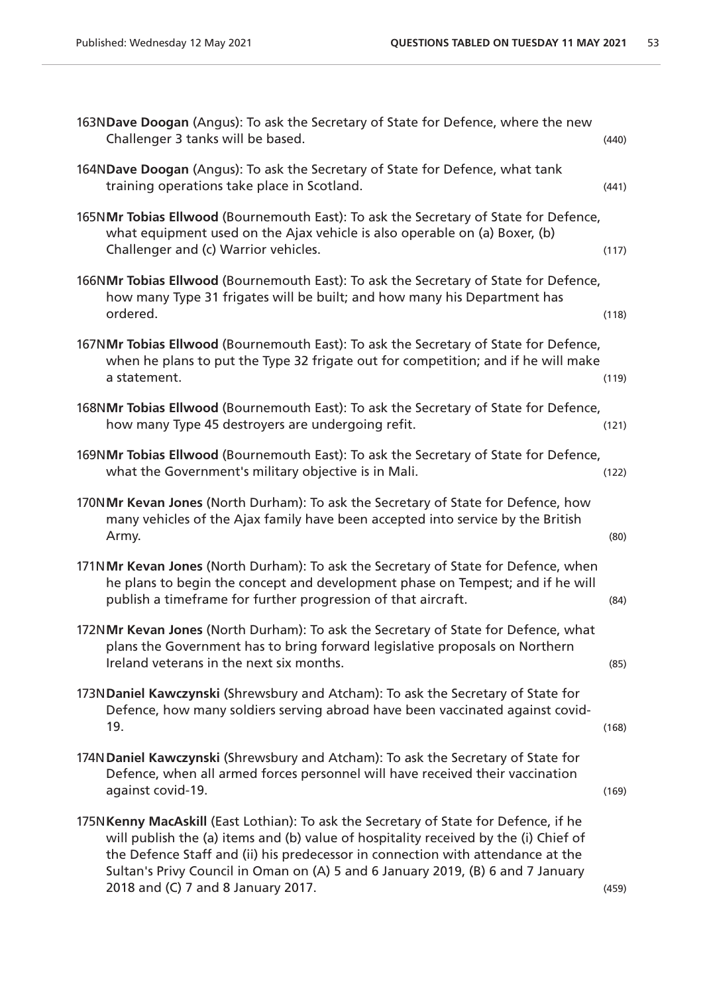| 163NDave Doogan (Angus): To ask the Secretary of State for Defence, where the new<br>Challenger 3 tanks will be based.                                                                                                                                                                                                                                                                    | (440) |
|-------------------------------------------------------------------------------------------------------------------------------------------------------------------------------------------------------------------------------------------------------------------------------------------------------------------------------------------------------------------------------------------|-------|
| 164NDave Doogan (Angus): To ask the Secretary of State for Defence, what tank<br>training operations take place in Scotland.                                                                                                                                                                                                                                                              | (441) |
| 165NMr Tobias Ellwood (Bournemouth East): To ask the Secretary of State for Defence,<br>what equipment used on the Ajax vehicle is also operable on (a) Boxer, (b)<br>Challenger and (c) Warrior vehicles.                                                                                                                                                                                | (117) |
| 166NMr Tobias Ellwood (Bournemouth East): To ask the Secretary of State for Defence,<br>how many Type 31 frigates will be built; and how many his Department has<br>ordered.                                                                                                                                                                                                              | (118) |
| 167NMr Tobias Ellwood (Bournemouth East): To ask the Secretary of State for Defence,<br>when he plans to put the Type 32 frigate out for competition; and if he will make<br>a statement.                                                                                                                                                                                                 | (119) |
| 168NMr Tobias Ellwood (Bournemouth East): To ask the Secretary of State for Defence,<br>how many Type 45 destroyers are undergoing refit.                                                                                                                                                                                                                                                 | (121) |
| 169NMr Tobias Ellwood (Bournemouth East): To ask the Secretary of State for Defence,<br>what the Government's military objective is in Mali.                                                                                                                                                                                                                                              | (122) |
| 170NMr Kevan Jones (North Durham): To ask the Secretary of State for Defence, how<br>many vehicles of the Ajax family have been accepted into service by the British<br>Army.                                                                                                                                                                                                             | (80)  |
| 171NMr Kevan Jones (North Durham): To ask the Secretary of State for Defence, when<br>he plans to begin the concept and development phase on Tempest; and if he will<br>publish a timeframe for further progression of that aircraft.                                                                                                                                                     | (84)  |
| 172NMr Kevan Jones (North Durham): To ask the Secretary of State for Defence, what<br>plans the Government has to bring forward legislative proposals on Northern<br>Ireland veterans in the next six months.                                                                                                                                                                             | (85)  |
| 173NDaniel Kawczynski (Shrewsbury and Atcham): To ask the Secretary of State for<br>Defence, how many soldiers serving abroad have been vaccinated against covid-<br>19.                                                                                                                                                                                                                  | (168) |
| 174N Daniel Kawczynski (Shrewsbury and Atcham): To ask the Secretary of State for<br>Defence, when all armed forces personnel will have received their vaccination<br>against covid-19.                                                                                                                                                                                                   | (169) |
| 175N Kenny MacAskill (East Lothian): To ask the Secretary of State for Defence, if he<br>will publish the (a) items and (b) value of hospitality received by the (i) Chief of<br>the Defence Staff and (ii) his predecessor in connection with attendance at the<br>Sultan's Privy Council in Oman on (A) 5 and 6 January 2019, (B) 6 and 7 January<br>2018 and (C) 7 and 8 January 2017. | (459) |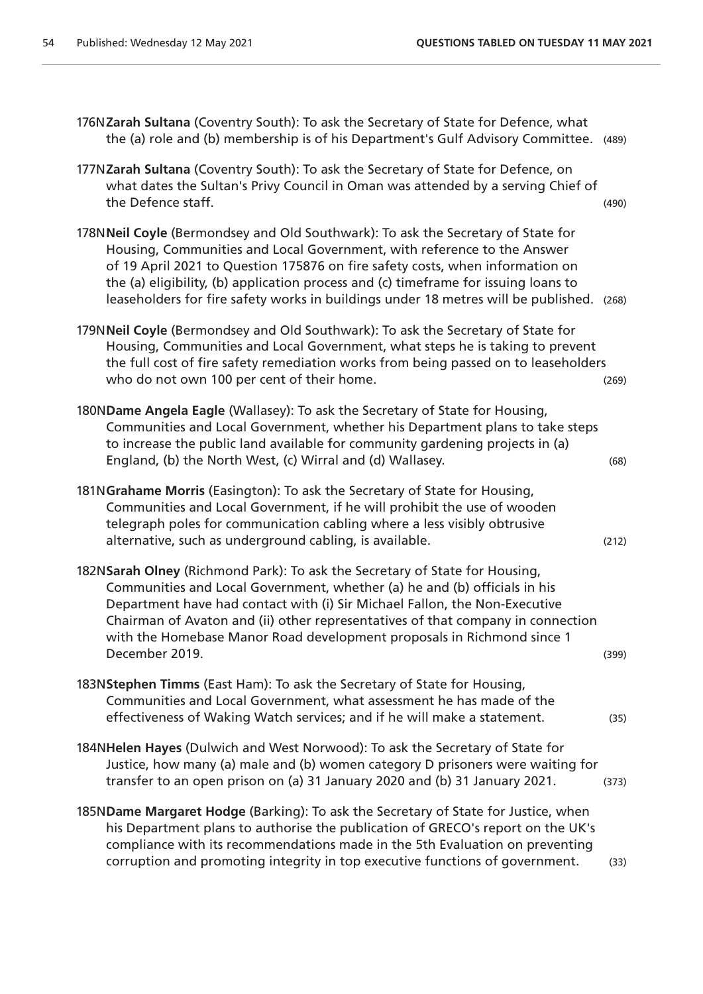| 176NZarah Sultana (Coventry South): To ask the Secretary of State for Defence, what<br>the (a) role and (b) membership is of his Department's Gulf Advisory Committee.                                                                                                                                                                                                                                                           | (489) |
|----------------------------------------------------------------------------------------------------------------------------------------------------------------------------------------------------------------------------------------------------------------------------------------------------------------------------------------------------------------------------------------------------------------------------------|-------|
| 177NZarah Sultana (Coventry South): To ask the Secretary of State for Defence, on<br>what dates the Sultan's Privy Council in Oman was attended by a serving Chief of<br>the Defence staff.                                                                                                                                                                                                                                      | (490) |
| 178N Neil Coyle (Bermondsey and Old Southwark): To ask the Secretary of State for<br>Housing, Communities and Local Government, with reference to the Answer<br>of 19 April 2021 to Question 175876 on fire safety costs, when information on<br>the (a) eligibility, (b) application process and (c) timeframe for issuing loans to<br>leaseholders for fire safety works in buildings under 18 metres will be published. (268) |       |
| 179NNeil Coyle (Bermondsey and Old Southwark): To ask the Secretary of State for<br>Housing, Communities and Local Government, what steps he is taking to prevent<br>the full cost of fire safety remediation works from being passed on to leaseholders<br>who do not own 100 per cent of their home.                                                                                                                           | (269) |
| 180NDame Angela Eagle (Wallasey): To ask the Secretary of State for Housing,<br>Communities and Local Government, whether his Department plans to take steps<br>to increase the public land available for community gardening projects in (a)<br>England, (b) the North West, (c) Wirral and (d) Wallasey.                                                                                                                       | (68)  |
| 181NGrahame Morris (Easington): To ask the Secretary of State for Housing,<br>Communities and Local Government, if he will prohibit the use of wooden<br>telegraph poles for communication cabling where a less visibly obtrusive<br>alternative, such as underground cabling, is available.                                                                                                                                     | (212) |
| 182NSarah Olney (Richmond Park): To ask the Secretary of State for Housing,<br>Communities and Local Government, whether (a) he and (b) officials in his<br>Department have had contact with (i) Sir Michael Fallon, the Non-Executive<br>Chairman of Avaton and (ii) other representatives of that company in connection<br>with the Homebase Manor Road development proposals in Richmond since 1<br>December 2019.            | (399) |
| 183NStephen Timms (East Ham): To ask the Secretary of State for Housing,<br>Communities and Local Government, what assessment he has made of the<br>effectiveness of Waking Watch services; and if he will make a statement.                                                                                                                                                                                                     | (35)  |
| 184NHelen Hayes (Dulwich and West Norwood): To ask the Secretary of State for<br>Justice, how many (a) male and (b) women category D prisoners were waiting for<br>transfer to an open prison on (a) 31 January 2020 and (b) 31 January 2021.                                                                                                                                                                                    | (373) |
| 185NDame Margaret Hodge (Barking): To ask the Secretary of State for Justice, when<br>his Department plans to authorise the publication of GRECO's report on the UK's<br>compliance with its recommendations made in the 5th Evaluation on preventing<br>corruption and promoting integrity in top executive functions of government.                                                                                            | (33)  |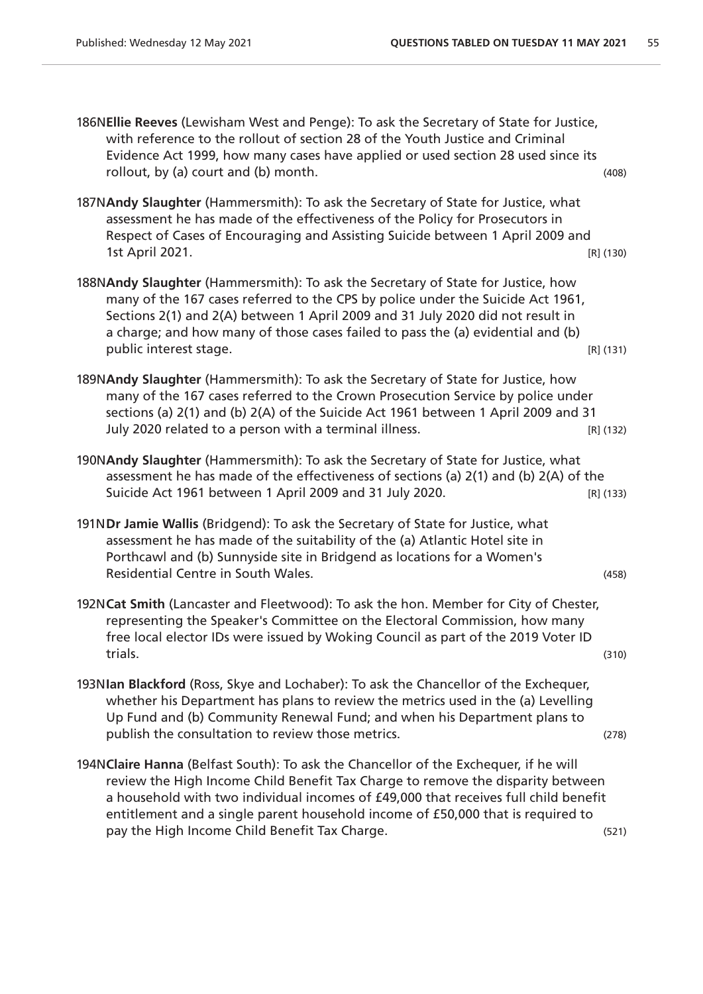| 186NEllie Reeves (Lewisham West and Penge): To ask the Secretary of State for Justice,<br>with reference to the rollout of section 28 of the Youth Justice and Criminal<br>Evidence Act 1999, how many cases have applied or used section 28 used since its<br>rollout, by (a) court and (b) month.                                                                               | (408) |
|-----------------------------------------------------------------------------------------------------------------------------------------------------------------------------------------------------------------------------------------------------------------------------------------------------------------------------------------------------------------------------------|-------|
| 187NAndy Slaughter (Hammersmith): To ask the Secretary of State for Justice, what<br>assessment he has made of the effectiveness of the Policy for Prosecutors in<br>Respect of Cases of Encouraging and Assisting Suicide between 1 April 2009 and<br>1st April 2021.<br>$[R]$ (130)                                                                                             |       |
| 188NAndy Slaughter (Hammersmith): To ask the Secretary of State for Justice, how<br>many of the 167 cases referred to the CPS by police under the Suicide Act 1961,<br>Sections 2(1) and 2(A) between 1 April 2009 and 31 July 2020 did not result in<br>a charge; and how many of those cases failed to pass the (a) evidential and (b)<br>public interest stage.<br>$[R]$ (131) |       |
| 189NAndy Slaughter (Hammersmith): To ask the Secretary of State for Justice, how<br>many of the 167 cases referred to the Crown Prosecution Service by police under<br>sections (a) 2(1) and (b) 2(A) of the Suicide Act 1961 between 1 April 2009 and 31<br>July 2020 related to a person with a terminal illness.<br>$[R]$ (132)                                                |       |
| 190NAndy Slaughter (Hammersmith): To ask the Secretary of State for Justice, what<br>assessment he has made of the effectiveness of sections (a) 2(1) and (b) 2(A) of the<br>Suicide Act 1961 between 1 April 2009 and 31 July 2020.<br>$[R]$ (133)                                                                                                                               |       |
| 191NDr Jamie Wallis (Bridgend): To ask the Secretary of State for Justice, what<br>assessment he has made of the suitability of the (a) Atlantic Hotel site in<br>Porthcawl and (b) Sunnyside site in Bridgend as locations for a Women's<br>Residential Centre in South Wales.                                                                                                   | (458) |
| 192NCat Smith (Lancaster and Fleetwood): To ask the hon. Member for City of Chester,<br>representing the Speaker's Committee on the Electoral Commission, how many<br>free local elector IDs were issued by Woking Council as part of the 2019 Voter ID<br>trials.                                                                                                                | (310) |
| 193NIan Blackford (Ross, Skye and Lochaber): To ask the Chancellor of the Exchequer,<br>whether his Department has plans to review the metrics used in the (a) Levelling<br>Up Fund and (b) Community Renewal Fund; and when his Department plans to<br>publish the consultation to review those metrics.                                                                         | (278) |
| 194NClaire Hanna (Belfast South): To ask the Chancellor of the Exchequer, if he will<br>review the High Income Child Benefit Tax Charge to remove the disparity between                                                                                                                                                                                                           |       |

a household with two individual incomes of £49,000 that receives full child benefit entitlement and a single parent household income of £50,000 that is required to

pay the High Income Child Benefit Tax Charge. (521)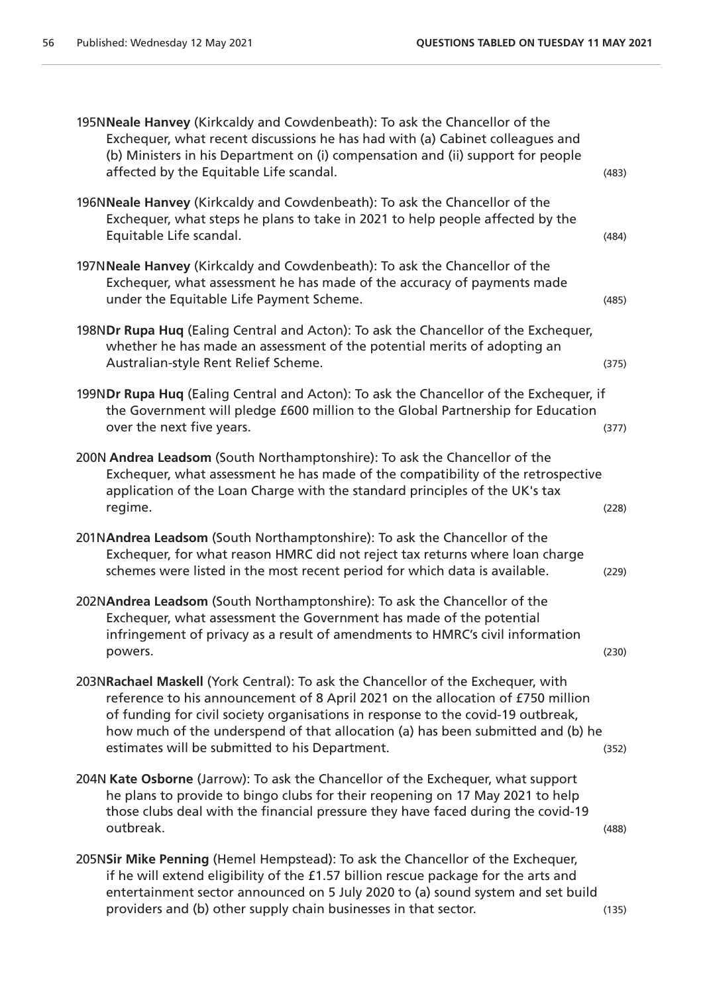| 195NNeale Hanvey (Kirkcaldy and Cowdenbeath): To ask the Chancellor of the<br>Exchequer, what recent discussions he has had with (a) Cabinet colleagues and<br>(b) Ministers in his Department on (i) compensation and (ii) support for people<br>affected by the Equitable Life scandal.                                                                                                    | (483) |
|----------------------------------------------------------------------------------------------------------------------------------------------------------------------------------------------------------------------------------------------------------------------------------------------------------------------------------------------------------------------------------------------|-------|
| 196NNeale Hanvey (Kirkcaldy and Cowdenbeath): To ask the Chancellor of the<br>Exchequer, what steps he plans to take in 2021 to help people affected by the<br>Equitable Life scandal.                                                                                                                                                                                                       | (484) |
| 197NNeale Hanvey (Kirkcaldy and Cowdenbeath): To ask the Chancellor of the<br>Exchequer, what assessment he has made of the accuracy of payments made<br>under the Equitable Life Payment Scheme.                                                                                                                                                                                            | (485) |
| 198NDr Rupa Huq (Ealing Central and Acton): To ask the Chancellor of the Exchequer,<br>whether he has made an assessment of the potential merits of adopting an<br>Australian-style Rent Relief Scheme.                                                                                                                                                                                      | (375) |
| 199NDr Rupa Huq (Ealing Central and Acton): To ask the Chancellor of the Exchequer, if<br>the Government will pledge £600 million to the Global Partnership for Education<br>over the next five years.                                                                                                                                                                                       | (377) |
| 200N Andrea Leadsom (South Northamptonshire): To ask the Chancellor of the<br>Exchequer, what assessment he has made of the compatibility of the retrospective<br>application of the Loan Charge with the standard principles of the UK's tax<br>regime.                                                                                                                                     | (228) |
| 201NAndrea Leadsom (South Northamptonshire): To ask the Chancellor of the<br>Exchequer, for what reason HMRC did not reject tax returns where loan charge<br>schemes were listed in the most recent period for which data is available.                                                                                                                                                      | (229) |
| 202NAndrea Leadsom (South Northamptonshire): To ask the Chancellor of the<br>Exchequer, what assessment the Government has made of the potential<br>infringement of privacy as a result of amendments to HMRC's civil information<br>powers.                                                                                                                                                 | (230) |
| 203NRachael Maskell (York Central): To ask the Chancellor of the Exchequer, with<br>reference to his announcement of 8 April 2021 on the allocation of £750 million<br>of funding for civil society organisations in response to the covid-19 outbreak,<br>how much of the underspend of that allocation (a) has been submitted and (b) he<br>estimates will be submitted to his Department. | (352) |
| 204N Kate Osborne (Jarrow): To ask the Chancellor of the Exchequer, what support<br>he plans to provide to bingo clubs for their reopening on 17 May 2021 to help<br>those clubs deal with the financial pressure they have faced during the covid-19<br>outbreak.                                                                                                                           | (488) |
| 205NSir Mike Penning (Hemel Hempstead): To ask the Chancellor of the Exchequer,<br>if he will extend eligibility of the £1.57 billion rescue package for the arts and<br>entertainment sector announced on 5 July 2020 to (a) sound system and set build<br>providers and (b) other supply chain businesses in that sector.                                                                  | (135) |